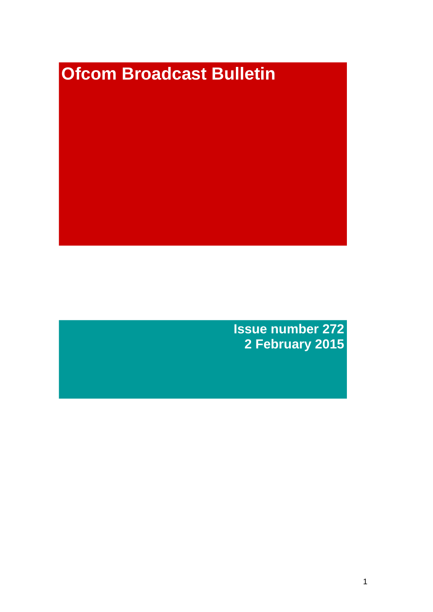# **Ofcom Broadcast Bulletin**

**Issue number 272 2 February 2015**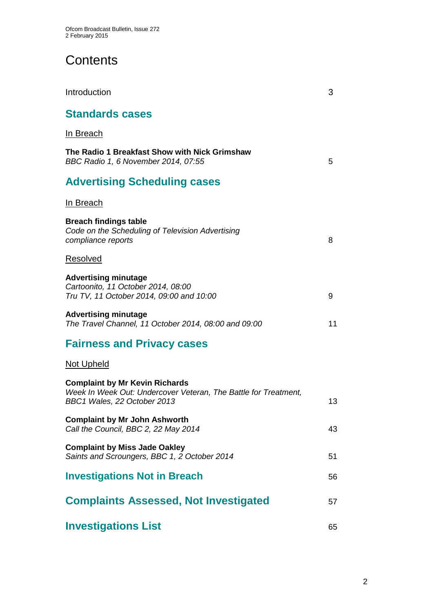# **Contents**

| Introduction                                                                                                                            | 3  |
|-----------------------------------------------------------------------------------------------------------------------------------------|----|
| <b>Standards cases</b>                                                                                                                  |    |
| <u>In Breach</u>                                                                                                                        |    |
| The Radio 1 Breakfast Show with Nick Grimshaw<br>BBC Radio 1, 6 November 2014, 07:55                                                    | 5  |
| <b>Advertising Scheduling cases</b>                                                                                                     |    |
| In Breach                                                                                                                               |    |
| <b>Breach findings table</b><br>Code on the Scheduling of Television Advertising<br>compliance reports                                  | 8  |
| Resolved                                                                                                                                |    |
| <b>Advertising minutage</b><br>Cartoonito, 11 October 2014, 08:00<br>Tru TV, 11 October 2014, 09:00 and 10:00                           | 9  |
| <b>Advertising minutage</b><br>The Travel Channel, 11 October 2014, 08:00 and 09:00                                                     | 11 |
| <b>Fairness and Privacy cases</b>                                                                                                       |    |
| <u>Not Upheld</u>                                                                                                                       |    |
| <b>Complaint by Mr Kevin Richards</b><br>Week In Week Out: Undercover Veteran, The Battle for Treatment,<br>BBC1 Wales, 22 October 2013 | 13 |
| <b>Complaint by Mr John Ashworth</b><br>Call the Council, BBC 2, 22 May 2014                                                            | 43 |
| <b>Complaint by Miss Jade Oakley</b><br>Saints and Scroungers, BBC 1, 2 October 2014                                                    | 51 |
| <b>Investigations Not in Breach</b>                                                                                                     | 56 |
| <b>Complaints Assessed, Not Investigated</b>                                                                                            | 57 |
| <b>Investigations List</b>                                                                                                              | 65 |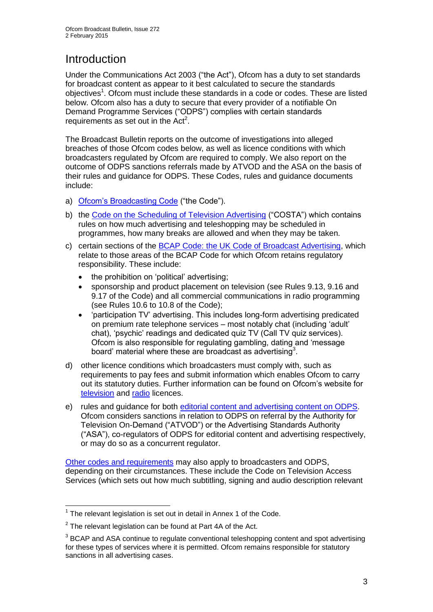# Introduction

Under the Communications Act 2003 ("the Act"), Ofcom has a duty to set standards for broadcast content as appear to it best calculated to secure the standards objectives<sup>1</sup>. Ofcom must include these standards in a code or codes. These are listed below. Ofcom also has a duty to secure that every provider of a notifiable On Demand Programme Services ("ODPS") complies with certain standards requirements as set out in the  $Act<sup>2</sup>$ .

The Broadcast Bulletin reports on the outcome of investigations into alleged breaches of those Ofcom codes below, as well as licence conditions with which broadcasters regulated by Ofcom are required to comply. We also report on the outcome of ODPS sanctions referrals made by ATVOD and the ASA on the basis of their rules and guidance for ODPS. These Codes, rules and guidance documents include:

- a) [Ofcom's Broadcasting Code](http://stakeholders.ofcom.org.uk/broadcasting/broadcast-codes/broadcast-code/) ("the Code").
- b) the [Code on the Scheduling of Television Advertising](http://stakeholders.ofcom.org.uk/broadcasting/broadcast-codes/advert-code/) ("COSTA") which contains rules on how much advertising and teleshopping may be scheduled in programmes, how many breaks are allowed and when they may be taken.
- c) certain sections of the [BCAP Code: the UK Code of Broadcast Advertising,](http://www.bcap.org.uk/Advertising-Codes/Broadcast-HTML.aspx) which relate to those areas of the BCAP Code for which Ofcom retains regulatory responsibility. These include:
	- the prohibition on 'political' advertising:
	- sponsorship and product placement on television (see Rules 9.13, 9.16 and 9.17 of the Code) and all commercial communications in radio programming (see Rules 10.6 to 10.8 of the Code);
	- 'participation TV' advertising. This includes long-form advertising predicated on premium rate telephone services – most notably chat (including 'adult' chat), 'psychic' readings and dedicated quiz TV (Call TV quiz services). Ofcom is also responsible for regulating gambling, dating and 'message board' material where these are broadcast as advertising<sup>3</sup>.
- d) other licence conditions which broadcasters must comply with, such as requirements to pay fees and submit information which enables Ofcom to carry out its statutory duties. Further information can be found on Ofcom's website for [television](http://licensing.ofcom.org.uk/tv-broadcast-licences/) and [radio](http://licensing.ofcom.org.uk/radio-broadcast-licensing/) licences.
- e) rules and guidance for both [editorial content and advertising content on ODPS.](http://www.atvod.co.uk/uploads/files/ATVOD_Rules_and_Guidance_Ed_2.0_May_2012.pdf) Ofcom considers sanctions in relation to ODPS on referral by the Authority for Television On-Demand ("ATVOD") or the Advertising Standards Authority ("ASA"), co-regulators of ODPS for editorial content and advertising respectively, or may do so as a concurrent regulator.

[Other codes and requirements](http://stakeholders.ofcom.org.uk/broadcasting/broadcast-codes/) may also apply to broadcasters and ODPS, depending on their circumstances. These include the Code on Television Access Services (which sets out how much subtitling, signing and audio description relevant

<sup>1</sup>  $1$  The relevant legislation is set out in detail in Annex 1 of the Code.

 $2$  The relevant legislation can be found at Part 4A of the Act.

 $3$  BCAP and ASA continue to regulate conventional teleshopping content and spot advertising for these types of services where it is permitted. Ofcom remains responsible for statutory sanctions in all advertising cases.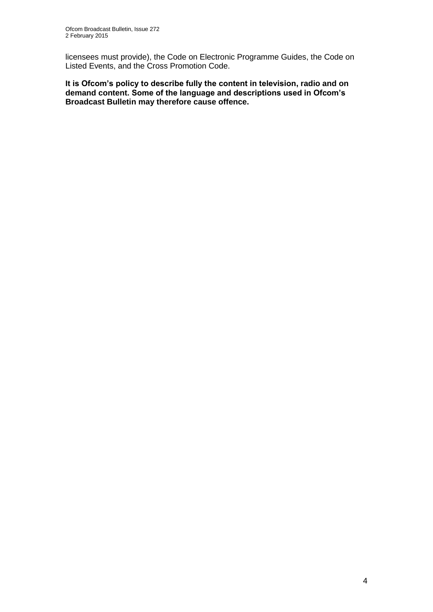licensees must provide), the Code on Electronic Programme Guides, the Code on Listed Events, and the Cross Promotion Code.

**It is Ofcom's policy to describe fully the content in television, radio and on demand content. Some of the language and descriptions used in Ofcom's Broadcast Bulletin may therefore cause offence.**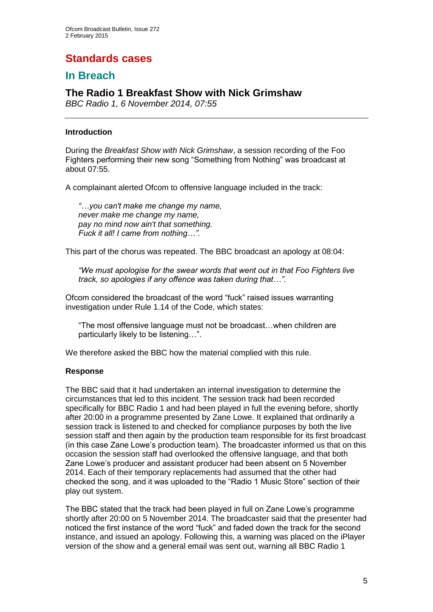# **Standards cases**

## **In Breach**

## **The Radio 1 Breakfast Show with Nick Grimshaw**

*BBC Radio 1, 6 November 2014, 07:55*

#### **Introduction**

During the *Breakfast Show with Nick Grimshaw*, a session recording of the Foo Fighters performing their new song "Something from Nothing" was broadcast at about 07:55.

A complainant alerted Ofcom to offensive language included in the track:

*"…you can't make me change my name, never make me change my name, pay no mind now ain't that something. Fuck it all! I came from nothing…".*

This part of the chorus was repeated. The BBC broadcast an apology at 08:04:

*"We must apologise for the swear words that went out in that Foo Fighters live track, so apologies if any offence was taken during that…".*

Ofcom considered the broadcast of the word "fuck" raised issues warranting investigation under Rule 1.14 of the Code, which states:

"The most offensive language must not be broadcast…when children are particularly likely to be listening…".

We therefore asked the BBC how the material complied with this rule.

#### **Response**

The BBC said that it had undertaken an internal investigation to determine the circumstances that led to this incident. The session track had been recorded specifically for BBC Radio 1 and had been played in full the evening before, shortly after 20:00 in a programme presented by Zane Lowe. It explained that ordinarily a session track is listened to and checked for compliance purposes by both the live session staff and then again by the production team responsible for its first broadcast (in this case Zane Lowe's production team). The broadcaster informed us that on this occasion the session staff had overlooked the offensive language, and that both Zane Lowe's producer and assistant producer had been absent on 5 November 2014. Each of their temporary replacements had assumed that the other had checked the song, and it was uploaded to the "Radio 1 Music Store" section of their play out system.

The BBC stated that the track had been played in full on Zane Lowe's programme shortly after 20:00 on 5 November 2014. The broadcaster said that the presenter had noticed the first instance of the word "fuck" and faded down the track for the second instance, and issued an apology. Following this, a warning was placed on the iPlayer version of the show and a general email was sent out, warning all BBC Radio 1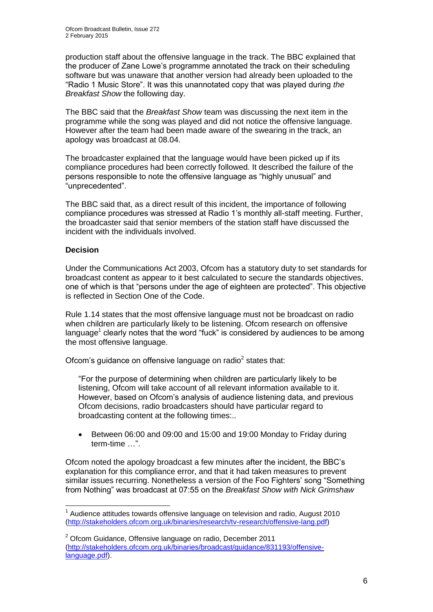production staff about the offensive language in the track. The BBC explained that the producer of Zane Lowe's programme annotated the track on their scheduling software but was unaware that another version had already been uploaded to the "Radio 1 Music Store". It was this unannotated copy that was played during *the Breakfast Show* the following day.

The BBC said that the *Breakfast Show* team was discussing the next item in the programme while the song was played and did not notice the offensive language. However after the team had been made aware of the swearing in the track, an apology was broadcast at 08.04.

The broadcaster explained that the language would have been picked up if its compliance procedures had been correctly followed. It described the failure of the persons responsible to note the offensive language as "highly unusual" and "unprecedented".

The BBC said that, as a direct result of this incident, the importance of following compliance procedures was stressed at Radio 1's monthly all-staff meeting. Further, the broadcaster said that senior members of the station staff have discussed the incident with the individuals involved.

#### **Decision**

1

Under the Communications Act 2003, Ofcom has a statutory duty to set standards for broadcast content as appear to it best calculated to secure the standards objectives, one of which is that "persons under the age of eighteen are protected". This objective is reflected in Section One of the Code.

Rule 1.14 states that the most offensive language must not be broadcast on radio when children are particularly likely to be listening. Ofcom research on offensive language $<sup>1</sup>$  clearly notes that the word "fuck" is considered by audiences to be among</sup> the most offensive language.

Ofcom's guidance on offensive language on radio $2$  states that:

"For the purpose of determining when children are particularly likely to be listening, Ofcom will take account of all relevant information available to it. However, based on Ofcom's analysis of audience listening data, and previous Ofcom decisions, radio broadcasters should have particular regard to broadcasting content at the following times:..

 Between 06:00 and 09:00 and 15:00 and 19:00 Monday to Friday during term-time …".

Ofcom noted the apology broadcast a few minutes after the incident, the BBC's explanation for this compliance error, and that it had taken measures to prevent similar issues recurring. Nonetheless a version of the Foo Fighters' song "Something from Nothing" was broadcast at 07:55 on the *Breakfast Show with Nick Grimshaw*

 $1$  Audience attitudes towards offensive language on television and radio, August 2010 [\(http://stakeholders.ofcom.org.uk/binaries/research/tv-research/offensive-lang.pdf\)](http://stakeholders.ofcom.org.uk/binaries/research/tv-research/offensive-lang.pdf)

 $2$  Ofcom Guidance, Offensive language on radio, December 2011 [\(http://stakeholders.ofcom.org.uk/binaries/broadcast/guidance/831193/offensive](http://stakeholders.ofcom.org.uk/binaries/broadcast/guidance/831193/offensive-language.pdf)[language.pdf\)](http://stakeholders.ofcom.org.uk/binaries/broadcast/guidance/831193/offensive-language.pdf).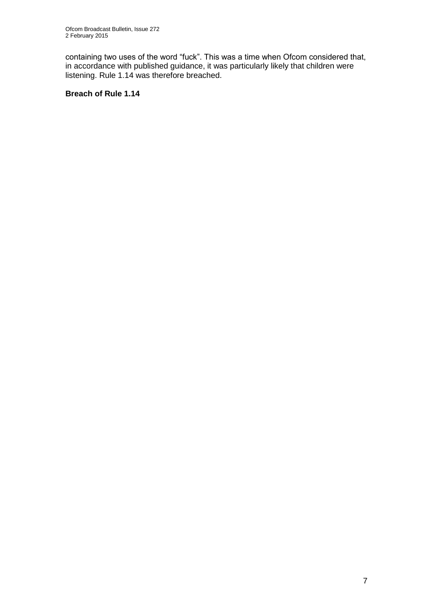containing two uses of the word "fuck". This was a time when Ofcom considered that, in accordance with published guidance, it was particularly likely that children were listening. Rule 1.14 was therefore breached.

#### **Breach of Rule 1.14**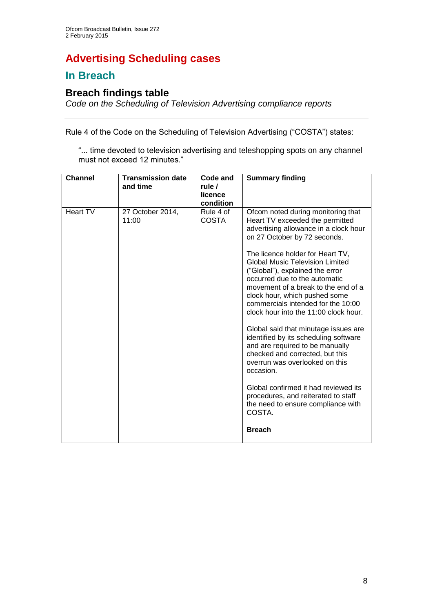# **Advertising Scheduling cases**

## **In Breach**

## **Breach findings table**

*Code on the Scheduling of Television Advertising compliance reports*

Rule 4 of the Code on the Scheduling of Television Advertising ("COSTA") states:

"... time devoted to television advertising and teleshopping spots on any channel must not exceed 12 minutes."

| <b>Channel</b> | <b>Transmission date</b><br>and time | Code and<br>rule /<br>licence<br>condition | <b>Summary finding</b>                                                                                                                                                                                                                                                                                                                                                                                                                                                                                                                                                                                                                                                                                                                                                                                        |
|----------------|--------------------------------------|--------------------------------------------|---------------------------------------------------------------------------------------------------------------------------------------------------------------------------------------------------------------------------------------------------------------------------------------------------------------------------------------------------------------------------------------------------------------------------------------------------------------------------------------------------------------------------------------------------------------------------------------------------------------------------------------------------------------------------------------------------------------------------------------------------------------------------------------------------------------|
| Heart TV       | 27 October 2014,<br>11:00            | Rule 4 of<br><b>COSTA</b>                  | Ofcom noted during monitoring that<br>Heart TV exceeded the permitted<br>advertising allowance in a clock hour<br>on 27 October by 72 seconds.<br>The licence holder for Heart TV,<br><b>Global Music Television Limited</b><br>("Global"), explained the error<br>occurred due to the automatic<br>movement of a break to the end of a<br>clock hour, which pushed some<br>commercials intended for the 10:00<br>clock hour into the 11:00 clock hour.<br>Global said that minutage issues are<br>identified by its scheduling software<br>and are required to be manually<br>checked and corrected, but this<br>overrun was overlooked on this<br>occasion.<br>Global confirmed it had reviewed its<br>procedures, and reiterated to staff<br>the need to ensure compliance with<br>COSTA.<br><b>Breach</b> |
|                |                                      |                                            |                                                                                                                                                                                                                                                                                                                                                                                                                                                                                                                                                                                                                                                                                                                                                                                                               |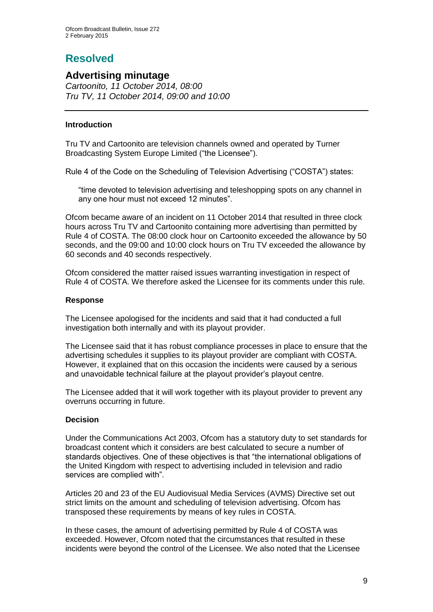# **Resolved**

### **Advertising minutage**

*Cartoonito, 11 October 2014, 08:00 Tru TV, 11 October 2014, 09:00 and 10:00*

#### **Introduction**

Tru TV and Cartoonito are television channels owned and operated by Turner Broadcasting System Europe Limited ("the Licensee").

Rule 4 of the Code on the Scheduling of Television Advertising ("COSTA") states:

"time devoted to television advertising and teleshopping spots on any channel in any one hour must not exceed 12 minutes".

Ofcom became aware of an incident on 11 October 2014 that resulted in three clock hours across Tru TV and Cartoonito containing more advertising than permitted by Rule 4 of COSTA. The 08:00 clock hour on Cartoonito exceeded the allowance by 50 seconds, and the 09:00 and 10:00 clock hours on Tru TV exceeded the allowance by 60 seconds and 40 seconds respectively.

Ofcom considered the matter raised issues warranting investigation in respect of Rule 4 of COSTA. We therefore asked the Licensee for its comments under this rule.

#### **Response**

The Licensee apologised for the incidents and said that it had conducted a full investigation both internally and with its playout provider.

The Licensee said that it has robust compliance processes in place to ensure that the advertising schedules it supplies to its playout provider are compliant with COSTA. However, it explained that on this occasion the incidents were caused by a serious and unavoidable technical failure at the playout provider's playout centre.

The Licensee added that it will work together with its playout provider to prevent any overruns occurring in future.

#### **Decision**

Under the Communications Act 2003, Ofcom has a statutory duty to set standards for broadcast content which it considers are best calculated to secure a number of standards objectives. One of these objectives is that "the international obligations of the United Kingdom with respect to advertising included in television and radio services are complied with".

Articles 20 and 23 of the EU Audiovisual Media Services (AVMS) Directive set out strict limits on the amount and scheduling of television advertising. Ofcom has transposed these requirements by means of key rules in COSTA.

In these cases, the amount of advertising permitted by Rule 4 of COSTA was exceeded. However, Ofcom noted that the circumstances that resulted in these incidents were beyond the control of the Licensee. We also noted that the Licensee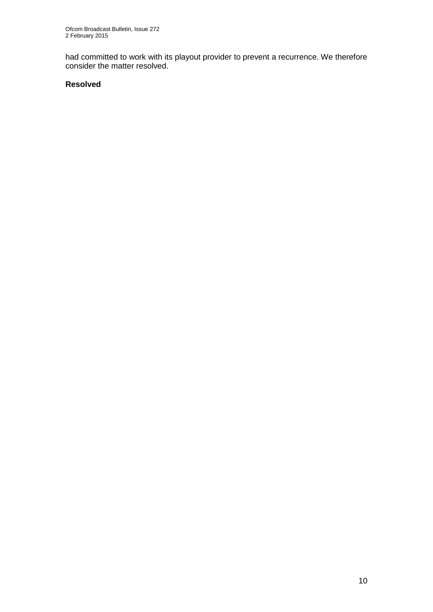had committed to work with its playout provider to prevent a recurrence. We therefore consider the matter resolved.

#### **Resolved**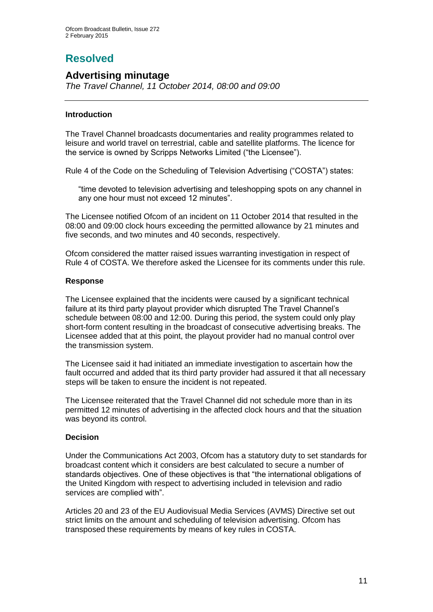# **Resolved**

## **Advertising minutage**

*The Travel Channel, 11 October 2014, 08:00 and 09:00*

#### **Introduction**

The Travel Channel broadcasts documentaries and reality programmes related to leisure and world travel on terrestrial, cable and satellite platforms. The licence for the service is owned by Scripps Networks Limited ("the Licensee").

Rule 4 of the Code on the Scheduling of Television Advertising ("COSTA") states:

"time devoted to television advertising and teleshopping spots on any channel in any one hour must not exceed 12 minutes".

The Licensee notified Ofcom of an incident on 11 October 2014 that resulted in the 08:00 and 09:00 clock hours exceeding the permitted allowance by 21 minutes and five seconds, and two minutes and 40 seconds, respectively.

Ofcom considered the matter raised issues warranting investigation in respect of Rule 4 of COSTA. We therefore asked the Licensee for its comments under this rule.

#### **Response**

The Licensee explained that the incidents were caused by a significant technical failure at its third party playout provider which disrupted The Travel Channel's schedule between 08:00 and 12:00. During this period, the system could only play short-form content resulting in the broadcast of consecutive advertising breaks. The Licensee added that at this point, the playout provider had no manual control over the transmission system.

The Licensee said it had initiated an immediate investigation to ascertain how the fault occurred and added that its third party provider had assured it that all necessary steps will be taken to ensure the incident is not repeated.

The Licensee reiterated that the Travel Channel did not schedule more than in its permitted 12 minutes of advertising in the affected clock hours and that the situation was beyond its control.

#### **Decision**

Under the Communications Act 2003, Ofcom has a statutory duty to set standards for broadcast content which it considers are best calculated to secure a number of standards objectives. One of these objectives is that "the international obligations of the United Kingdom with respect to advertising included in television and radio services are complied with".

Articles 20 and 23 of the EU Audiovisual Media Services (AVMS) Directive set out strict limits on the amount and scheduling of television advertising. Ofcom has transposed these requirements by means of key rules in COSTA.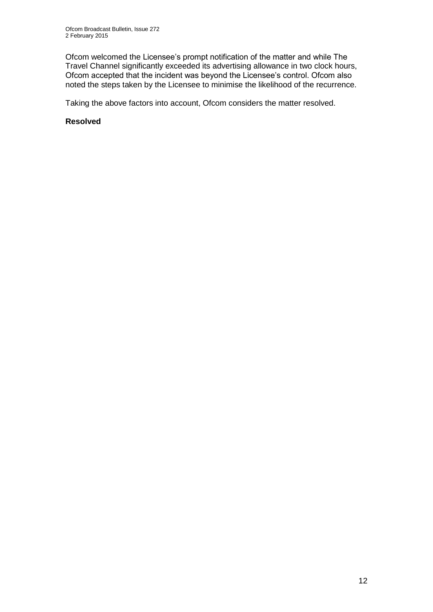Ofcom welcomed the Licensee's prompt notification of the matter and while The Travel Channel significantly exceeded its advertising allowance in two clock hours, Ofcom accepted that the incident was beyond the Licensee's control. Ofcom also noted the steps taken by the Licensee to minimise the likelihood of the recurrence.

Taking the above factors into account, Ofcom considers the matter resolved.

#### **Resolved**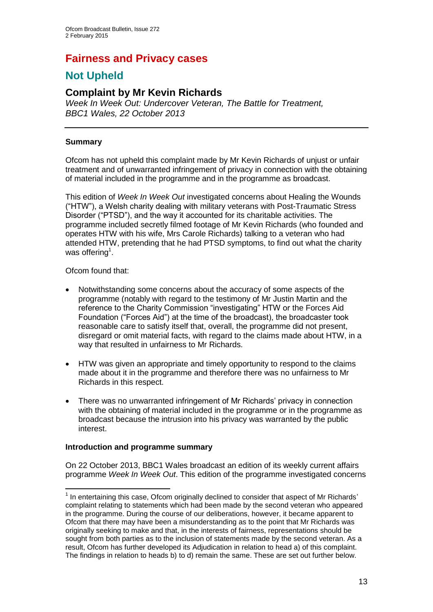## **Fairness and Privacy cases**

## **Not Upheld**

## **Complaint by Mr Kevin Richards**

*Week In Week Out: Undercover Veteran, The Battle for Treatment, BBC1 Wales, 22 October 2013*

#### **Summary**

Ofcom has not upheld this complaint made by Mr Kevin Richards of unjust or unfair treatment and of unwarranted infringement of privacy in connection with the obtaining of material included in the programme and in the programme as broadcast.

This edition of *Week In Week Out* investigated concerns about Healing the Wounds ("HTW"), a Welsh charity dealing with military veterans with Post-Traumatic Stress Disorder ("PTSD"), and the way it accounted for its charitable activities. The programme included secretly filmed footage of Mr Kevin Richards (who founded and operates HTW with his wife, Mrs Carole Richards) talking to a veteran who had attended HTW, pretending that he had PTSD symptoms, to find out what the charity was offering<sup>1</sup>.

Ofcom found that:

1

- Notwithstanding some concerns about the accuracy of some aspects of the programme (notably with regard to the testimony of Mr Justin Martin and the reference to the Charity Commission "investigating" HTW or the Forces Aid Foundation ("Forces Aid") at the time of the broadcast), the broadcaster took reasonable care to satisfy itself that, overall, the programme did not present, disregard or omit material facts, with regard to the claims made about HTW, in a way that resulted in unfairness to Mr Richards.
- HTW was given an appropriate and timely opportunity to respond to the claims made about it in the programme and therefore there was no unfairness to Mr Richards in this respect.
- There was no unwarranted infringement of Mr Richards' privacy in connection with the obtaining of material included in the programme or in the programme as broadcast because the intrusion into his privacy was warranted by the public interest.

#### **Introduction and programme summary**

On 22 October 2013, BBC1 Wales broadcast an edition of its weekly current affairs programme *Week In Week Out*. This edition of the programme investigated concerns

<sup>&</sup>lt;sup>1</sup> In entertaining this case, Ofcom originally declined to consider that aspect of Mr Richards' complaint relating to statements which had been made by the second veteran who appeared in the programme. During the course of our deliberations, however, it became apparent to Ofcom that there may have been a misunderstanding as to the point that Mr Richards was originally seeking to make and that, in the interests of fairness, representations should be sought from both parties as to the inclusion of statements made by the second veteran. As a result, Ofcom has further developed its Adjudication in relation to head a) of this complaint. The findings in relation to heads b) to d) remain the same. These are set out further below.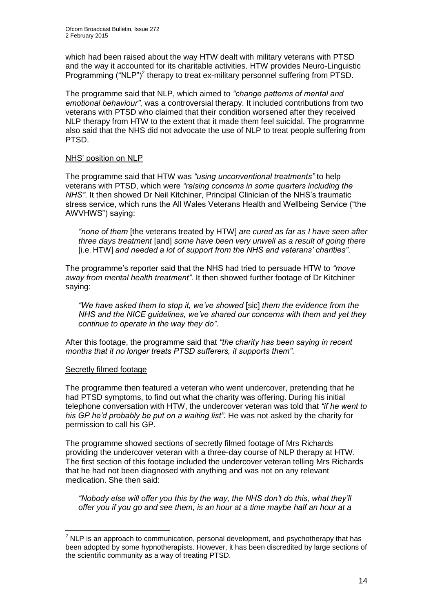which had been raised about the way HTW dealt with military veterans with PTSD and the way it accounted for its charitable activities. HTW provides Neuro-Linguistic Programming ("NLP")<sup>2</sup> therapy to treat ex-military personnel suffering from PTSD.

The programme said that NLP, which aimed to *"change patterns of mental and emotional behaviour"*, was a controversial therapy. It included contributions from two veterans with PTSD who claimed that their condition worsened after they received NLP therapy from HTW to the extent that it made them feel suicidal. The programme also said that the NHS did not advocate the use of NLP to treat people suffering from PTSD.

#### NHS' position on NLP

The programme said that HTW was *"using unconventional treatments"* to help veterans with PTSD, which were *"raising concerns in some quarters including the NHS"*. It then showed Dr Neil Kitchiner, Principal Clinician of the NHS's traumatic stress service, which runs the All Wales Veterans Health and Wellbeing Service ("the AWVHWS") saying:

*"none of them* [the veterans treated by HTW] *are cured as far as I have seen after three days treatment* [and] *some have been very unwell as a result of going there*  [i.e. HTW] *and needed a lot of support from the NHS and veterans' charities"*.

The programme's reporter said that the NHS had tried to persuade HTW to *"move away from mental health treatment"*. It then showed further footage of Dr Kitchiner saying:

*"We have asked them to stop it, we've showed* [sic] *them the evidence from the NHS and the NICE guidelines, we've shared our concerns with them and yet they continue to operate in the way they do"*.

After this footage, the programme said that *"the charity has been saying in recent months that it no longer treats PTSD sufferers, it supports them"*.

#### Secretly filmed footage

1

The programme then featured a veteran who went undercover, pretending that he had PTSD symptoms, to find out what the charity was offering. During his initial telephone conversation with HTW, the undercover veteran was told that *"if he went to his GP he'd probably be put on a waiting list".* He was not asked by the charity for permission to call his GP.

The programme showed sections of secretly filmed footage of Mrs Richards providing the undercover veteran with a three-day course of NLP therapy at HTW. The first section of this footage included the undercover veteran telling Mrs Richards that he had not been diagnosed with anything and was not on any relevant medication. She then said:

*"Nobody else will offer you this by the way, the NHS don't do this, what they'll offer you if you go and see them, is an hour at a time maybe half an hour at a* 

 $<sup>2</sup>$  NLP is an approach to communication, personal development, and psychotherapy that has</sup> been adopted by some hypnotherapists. However, it has been discredited by large sections of the scientific community as a way of treating PTSD.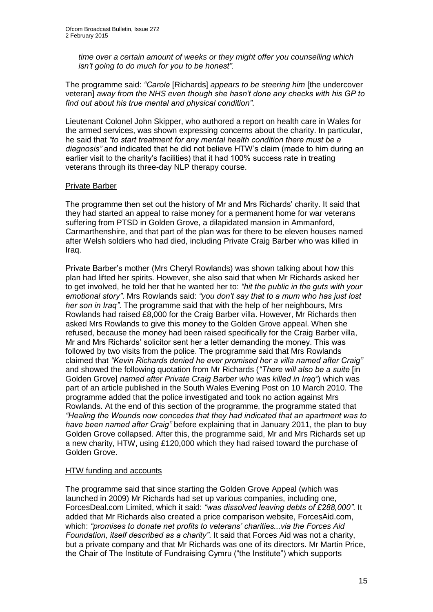*time over a certain amount of weeks or they might offer you counselling which isn't going to do much for you to be honest".* 

The programme said: *"Carole* [Richards] *appears to be steering him* [the undercover veteran] *away from the NHS even though she hasn't done any checks with his GP to find out about his true mental and physical condition"*.

Lieutenant Colonel John Skipper, who authored a report on health care in Wales for the armed services, was shown expressing concerns about the charity. In particular, he said that *"to start treatment for any mental health condition there must be a diagnosis"* and indicated that he did not believe HTW's claim (made to him during an earlier visit to the charity's facilities) that it had 100% success rate in treating veterans through its three-day NLP therapy course.

#### Private Barber

The programme then set out the history of Mr and Mrs Richards' charity. It said that they had started an appeal to raise money for a permanent home for war veterans suffering from PTSD in Golden Grove, a dilapidated mansion in Ammanford, Carmarthenshire, and that part of the plan was for there to be eleven houses named after Welsh soldiers who had died, including Private Craig Barber who was killed in Iraq.

Private Barber's mother (Mrs Cheryl Rowlands) was shown talking about how this plan had lifted her spirits. However, she also said that when Mr Richards asked her to get involved, he told her that he wanted her to: *"hit the public in the guts with your emotional story"*. Mrs Rowlands said: *"you don't say that to a mum who has just lost her son in Iraq"*. The programme said that with the help of her neighbours, Mrs Rowlands had raised £8,000 for the Craig Barber villa. However, Mr Richards then asked Mrs Rowlands to give this money to the Golden Grove appeal. When she refused, because the money had been raised specifically for the Craig Barber villa, Mr and Mrs Richards' solicitor sent her a letter demanding the money. This was followed by two visits from the police. The programme said that Mrs Rowlands claimed that *"Kevin Richards denied he ever promised her a villa named after Craig"*  and showed the following quotation from Mr Richards (*"There will also be a suite* [in Golden Grove] *named after Private Craig Barber who was killed in Iraq"*) which was part of an article published in the South Wales Evening Post on 10 March 2010. The programme added that the police investigated and took no action against Mrs Rowlands. At the end of this section of the programme, the programme stated that *"Healing the Wounds now concedes that they had indicated that an apartment was to have been named after Craig"* before explaining that in January 2011, the plan to buy Golden Grove collapsed. After this, the programme said, Mr and Mrs Richards set up a new charity, HTW, using £120,000 which they had raised toward the purchase of Golden Grove.

#### HTW funding and accounts

The programme said that since starting the Golden Grove Appeal (which was launched in 2009) Mr Richards had set up various companies, including one, ForcesDeal.com Limited, which it said: *"was dissolved leaving debts of £288,000"*. It added that Mr Richards also created a price comparison website, ForcesAid.com, which: *"promises to donate net profits to veterans' charities...via the Forces Aid Foundation, itself described as a charity"*. It said that Forces Aid was not a charity, but a private company and that Mr Richards was one of its directors. Mr Martin Price, the Chair of The Institute of Fundraising Cymru ("the Institute") which supports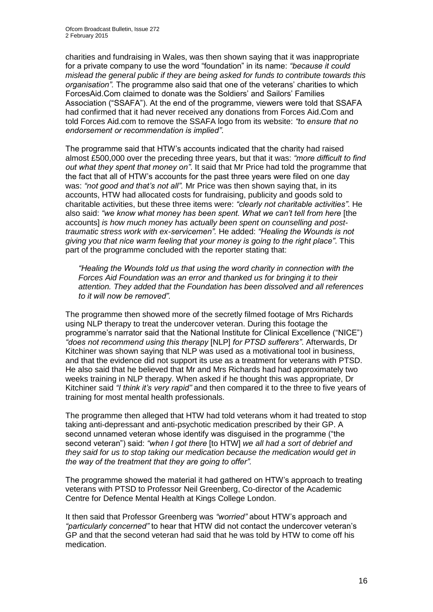charities and fundraising in Wales, was then shown saying that it was inappropriate for a private company to use the word "foundation" in its name: *"because it could mislead the general public if they are being asked for funds to contribute towards this organisation".* The programme also said that one of the veterans' charities to which ForcesAid.Com claimed to donate was the Soldiers' and Sailors' Families Association ("SSAFA"). At the end of the programme, viewers were told that SSAFA had confirmed that it had never received any donations from Forces Aid.Com and told Forces Aid.com to remove the SSAFA logo from its website: *"to ensure that no endorsement or recommendation is implied"*.

The programme said that HTW's accounts indicated that the charity had raised almost £500,000 over the preceding three years, but that it was: *"more difficult to find out what they spent that money on"*. It said that Mr Price had told the programme that the fact that all of HTW's accounts for the past three years were filed on one day was: *"not good and that's not all".* Mr Price was then shown saying that, in its accounts, HTW had allocated costs for fundraising, publicity and goods sold to charitable activities, but these three items were: *"clearly not charitable activities"*. He also said: "we know what money has been spent. What we can't tell from here [the accounts] *is how much money has actually been spent on counselling and posttraumatic stress work with ex-servicemen".* He added: *"Healing the Wounds is not giving you that nice warm feeling that your money is going to the right place"*. This part of the programme concluded with the reporter stating that:

*"Healing the Wounds told us that using the word charity in connection with the Forces Aid Foundation was an error and thanked us for bringing it to their attention. They added that the Foundation has been dissolved and all references to it will now be removed".* 

The programme then showed more of the secretly filmed footage of Mrs Richards using NLP therapy to treat the undercover veteran. During this footage the programme's narrator said that the National Institute for Clinical Excellence ("NICE") *"does not recommend using this therapy* [NLP] *for PTSD sufferers"*. Afterwards, Dr Kitchiner was shown saying that NLP was used as a motivational tool in business, and that the evidence did not support its use as a treatment for veterans with PTSD. He also said that he believed that Mr and Mrs Richards had had approximately two weeks training in NLP therapy. When asked if he thought this was appropriate, Dr Kitchiner said *"I think it's very rapid"* and then compared it to the three to five years of training for most mental health professionals.

The programme then alleged that HTW had told veterans whom it had treated to stop taking anti-depressant and anti-psychotic medication prescribed by their GP. A second unnamed veteran whose identify was disguised in the programme ("the second veteran") said: *"when I got there* [to HTW] *we all had a sort of debrief and they said for us to stop taking our medication because the medication would get in the way of the treatment that they are going to offer".* 

The programme showed the material it had gathered on HTW's approach to treating veterans with PTSD to Professor Neil Greenberg, Co-director of the Academic Centre for Defence Mental Health at Kings College London.

It then said that Professor Greenberg was *"worried"* about HTW's approach and *"particularly concerned"* to hear that HTW did not contact the undercover veteran's GP and that the second veteran had said that he was told by HTW to come off his medication.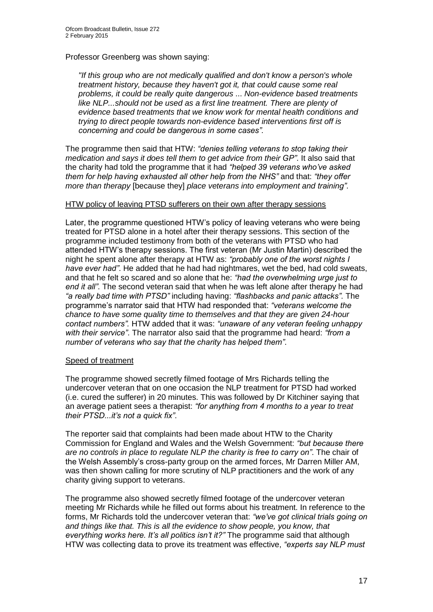#### Professor Greenberg was shown saying:

*"If this group who are not medically qualified and don't know a person's whole treatment history, because they haven't got it, that could cause some real problems, it could be really quite dangerous* ... *Non-evidence based treatments like NLP...should not be used as a first line treatment. There are plenty of evidence based treatments that we know work for mental health conditions and trying to direct people towards non-evidence based interventions first off is concerning and could be dangerous in some cases".* 

The programme then said that HTW: *"denies telling veterans to stop taking their medication and says it does tell them to get advice from their GP"*. It also said that the charity had told the programme that it had *"helped 39 veterans who've asked them for help having exhausted all other help from the NHS"* and that: *"they offer more than therapy* [because they] *place veterans into employment and training"*.

#### HTW policy of leaving PTSD sufferers on their own after therapy sessions

Later, the programme questioned HTW's policy of leaving veterans who were being treated for PTSD alone in a hotel after their therapy sessions. This section of the programme included testimony from both of the veterans with PTSD who had attended HTW's therapy sessions. The first veteran (Mr Justin Martin) described the night he spent alone after therapy at HTW as: *"probably one of the worst nights I have ever had"*. He added that he had had nightmares, wet the bed, had cold sweats, and that he felt so scared and so alone that he: *"had the overwhelming urge just to end it all"*. The second veteran said that when he was left alone after therapy he had *"a really bad time with PTSD"* including having: *"flashbacks and panic attacks"*. The programme's narrator said that HTW had responded that: *"veterans welcome the chance to have some quality time to themselves and that they are given 24-hour contact numbers".* HTW added that it was: *"unaware of any veteran feeling unhappy with their service"*. The narrator also said that the programme had heard: *"from a number of veterans who say that the charity has helped them"*.

#### Speed of treatment

The programme showed secretly filmed footage of Mrs Richards telling the undercover veteran that on one occasion the NLP treatment for PTSD had worked (i.e. cured the sufferer) in 20 minutes. This was followed by Dr Kitchiner saying that an average patient sees a therapist: *"for anything from 4 months to a year to treat their PTSD...it's not a quick fix"*.

The reporter said that complaints had been made about HTW to the Charity Commission for England and Wales and the Welsh Government: *"but because there are no controls in place to regulate NLP the charity is free to carry on"*. The chair of the Welsh Assembly's cross-party group on the armed forces, Mr Darren Miller AM, was then shown calling for more scrutiny of NLP practitioners and the work of any charity giving support to veterans.

The programme also showed secretly filmed footage of the undercover veteran meeting Mr Richards while he filled out forms about his treatment. In reference to the forms, Mr Richards told the undercover veteran that: *"we've got clinical trials going on and things like that. This is all the evidence to show people, you know, that everything works here. It's all politics isn't it?"* The programme said that although HTW was collecting data to prove its treatment was effective, *"experts say NLP must*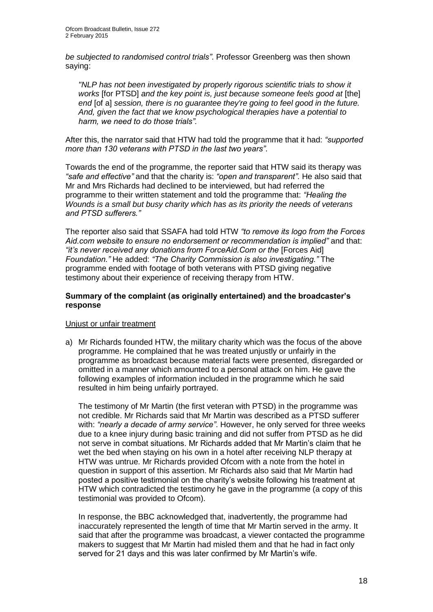*be subjected to randomised control trials"*. Professor Greenberg was then shown saying:

*"NLP has not been investigated by properly rigorous scientific trials to show it works* [for PTSD] *and the key point is, just because someone feels good at* [the] *end* [of a] *session, there is no guarantee they're going to feel good in the future. And, given the fact that we know psychological therapies have a potential to harm, we need to do those trials".* 

After this, the narrator said that HTW had told the programme that it had: *"supported more than 130 veterans with PTSD in the last two years"*.

Towards the end of the programme, the reporter said that HTW said its therapy was *"safe and effective"* and that the charity is: *"open and transparent"*. He also said that Mr and Mrs Richards had declined to be interviewed, but had referred the programme to their written statement and told the programme that: *"Healing the Wounds is a small but busy charity which has as its priority the needs of veterans and PTSD sufferers."*

The reporter also said that SSAFA had told HTW *"to remove its logo from the Forces Aid.com website to ensure no endorsement or recommendation is implied"* and that: *"it's never received any donations from ForceAid.Com or the* [Forces Aid] *Foundation."* He added: *"The Charity Commission is also investigating."* The programme ended with footage of both veterans with PTSD giving negative testimony about their experience of receiving therapy from HTW.

#### **Summary of the complaint (as originally entertained) and the broadcaster's response**

#### Unjust or unfair treatment

a) Mr Richards founded HTW, the military charity which was the focus of the above programme. He complained that he was treated unjustly or unfairly in the programme as broadcast because material facts were presented, disregarded or omitted in a manner which amounted to a personal attack on him. He gave the following examples of information included in the programme which he said resulted in him being unfairly portrayed.

The testimony of Mr Martin (the first veteran with PTSD) in the programme was not credible. Mr Richards said that Mr Martin was described as a PTSD sufferer with: *"nearly a decade of army service"*. However, he only served for three weeks due to a knee injury during basic training and did not suffer from PTSD as he did not serve in combat situations. Mr Richards added that Mr Martin's claim that he wet the bed when staying on his own in a hotel after receiving NLP therapy at HTW was untrue. Mr Richards provided Ofcom with a note from the hotel in question in support of this assertion. Mr Richards also said that Mr Martin had posted a positive testimonial on the charity's website following his treatment at HTW which contradicted the testimony he gave in the programme (a copy of this testimonial was provided to Ofcom).

In response, the BBC acknowledged that, inadvertently, the programme had inaccurately represented the length of time that Mr Martin served in the army. It said that after the programme was broadcast, a viewer contacted the programme makers to suggest that Mr Martin had misled them and that he had in fact only served for 21 days and this was later confirmed by Mr Martin's wife.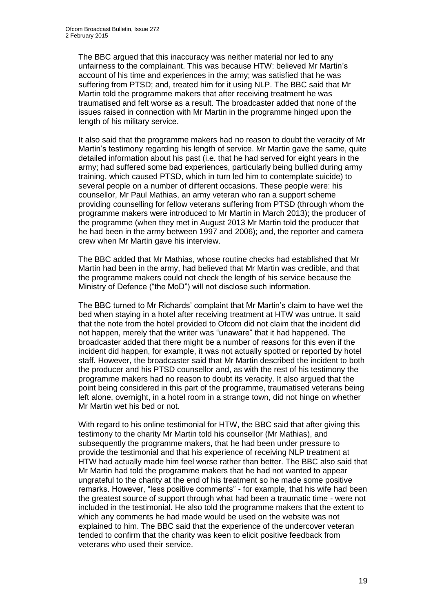The BBC argued that this inaccuracy was neither material nor led to any unfairness to the complainant. This was because HTW: believed Mr Martin's account of his time and experiences in the army; was satisfied that he was suffering from PTSD; and, treated him for it using NLP. The BBC said that Mr Martin told the programme makers that after receiving treatment he was traumatised and felt worse as a result. The broadcaster added that none of the issues raised in connection with Mr Martin in the programme hinged upon the length of his military service.

It also said that the programme makers had no reason to doubt the veracity of Mr Martin's testimony regarding his length of service. Mr Martin gave the same, quite detailed information about his past (i.e. that he had served for eight years in the army; had suffered some bad experiences, particularly being bullied during army training, which caused PTSD, which in turn led him to contemplate suicide) to several people on a number of different occasions. These people were: his counsellor, Mr Paul Mathias, an army veteran who ran a support scheme providing counselling for fellow veterans suffering from PTSD (through whom the programme makers were introduced to Mr Martin in March 2013); the producer of the programme (when they met in August 2013 Mr Martin told the producer that he had been in the army between 1997 and 2006); and, the reporter and camera crew when Mr Martin gave his interview.

The BBC added that Mr Mathias, whose routine checks had established that Mr Martin had been in the army, had believed that Mr Martin was credible, and that the programme makers could not check the length of his service because the Ministry of Defence ("the MoD") will not disclose such information.

The BBC turned to Mr Richards' complaint that Mr Martin's claim to have wet the bed when staying in a hotel after receiving treatment at HTW was untrue. It said that the note from the hotel provided to Ofcom did not claim that the incident did not happen, merely that the writer was "unaware" that it had happened. The broadcaster added that there might be a number of reasons for this even if the incident did happen, for example, it was not actually spotted or reported by hotel staff. However, the broadcaster said that Mr Martin described the incident to both the producer and his PTSD counsellor and, as with the rest of his testimony the programme makers had no reason to doubt its veracity. It also argued that the point being considered in this part of the programme, traumatised veterans being left alone, overnight, in a hotel room in a strange town, did not hinge on whether Mr Martin wet his bed or not.

With regard to his online testimonial for HTW, the BBC said that after giving this testimony to the charity Mr Martin told his counsellor (Mr Mathias), and subsequently the programme makers, that he had been under pressure to provide the testimonial and that his experience of receiving NLP treatment at HTW had actually made him feel worse rather than better. The BBC also said that Mr Martin had told the programme makers that he had not wanted to appear ungrateful to the charity at the end of his treatment so he made some positive remarks. However, "less positive comments" - for example, that his wife had been the greatest source of support through what had been a traumatic time - were not included in the testimonial. He also told the programme makers that the extent to which any comments he had made would be used on the website was not explained to him. The BBC said that the experience of the undercover veteran tended to confirm that the charity was keen to elicit positive feedback from veterans who used their service.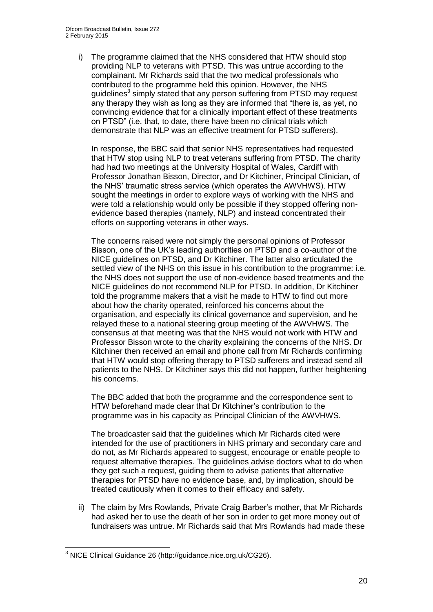i) The programme claimed that the NHS considered that HTW should stop providing NLP to veterans with PTSD. This was untrue according to the complainant. Mr Richards said that the two medical professionals who contributed to the programme held this opinion. However, the NHS guidelines<sup>3</sup> simply stated that any person suffering from PTSD may request any therapy they wish as long as they are informed that "there is, as yet, no convincing evidence that for a clinically important effect of these treatments on PTSD" (i.e. that, to date, there have been no clinical trials which demonstrate that NLP was an effective treatment for PTSD sufferers).

In response, the BBC said that senior NHS representatives had requested that HTW stop using NLP to treat veterans suffering from PTSD. The charity had had two meetings at the University Hospital of Wales, Cardiff with Professor Jonathan Bisson, Director, and Dr Kitchiner, Principal Clinician, of the NHS' traumatic stress service (which operates the AWVHWS). HTW sought the meetings in order to explore ways of working with the NHS and were told a relationship would only be possible if they stopped offering nonevidence based therapies (namely, NLP) and instead concentrated their efforts on supporting veterans in other ways.

The concerns raised were not simply the personal opinions of Professor Bisson, one of the UK's leading authorities on PTSD and a co-author of the NICE guidelines on PTSD, and Dr Kitchiner. The latter also articulated the settled view of the NHS on this issue in his contribution to the programme: i.e. the NHS does not support the use of non-evidence based treatments and the NICE guidelines do not recommend NLP for PTSD. In addition, Dr Kitchiner told the programme makers that a visit he made to HTW to find out more about how the charity operated, reinforced his concerns about the organisation, and especially its clinical governance and supervision, and he relayed these to a national steering group meeting of the AWVHWS. The consensus at that meeting was that the NHS would not work with HTW and Professor Bisson wrote to the charity explaining the concerns of the NHS. Dr Kitchiner then received an email and phone call from Mr Richards confirming that HTW would stop offering therapy to PTSD sufferers and instead send all patients to the NHS. Dr Kitchiner says this did not happen, further heightening his concerns.

The BBC added that both the programme and the correspondence sent to HTW beforehand made clear that Dr Kitchiner's contribution to the programme was in his capacity as Principal Clinician of the AWVHWS.

The broadcaster said that the guidelines which Mr Richards cited were intended for the use of practitioners in NHS primary and secondary care and do not, as Mr Richards appeared to suggest, encourage or enable people to request alternative therapies. The guidelines advise doctors what to do when they get such a request, guiding them to advise patients that alternative therapies for PTSD have no evidence base, and, by implication, should be treated cautiously when it comes to their efficacy and safety.

ii) The claim by Mrs Rowlands, Private Craig Barber's mother, that Mr Richards had asked her to use the death of her son in order to get more money out of fundraisers was untrue. Mr Richards said that Mrs Rowlands had made these

1

 $3$  NICE Clinical Guidance 26 (http://guidance.nice.org.uk/CG26).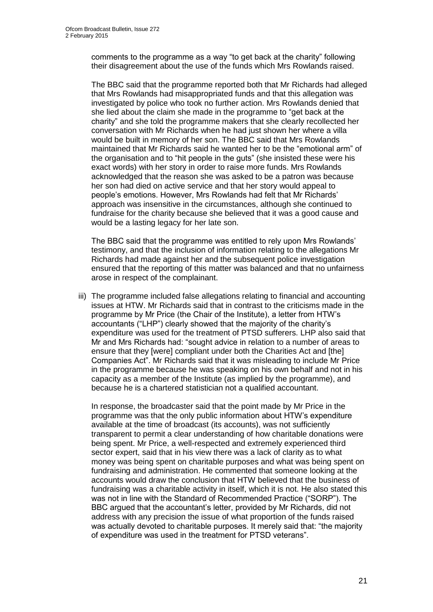comments to the programme as a way "to get back at the charity" following their disagreement about the use of the funds which Mrs Rowlands raised.

The BBC said that the programme reported both that Mr Richards had alleged that Mrs Rowlands had misappropriated funds and that this allegation was investigated by police who took no further action. Mrs Rowlands denied that she lied about the claim she made in the programme to "get back at the charity" and she told the programme makers that she clearly recollected her conversation with Mr Richards when he had just shown her where a villa would be built in memory of her son. The BBC said that Mrs Rowlands maintained that Mr Richards said he wanted her to be the "emotional arm" of the organisation and to "hit people in the guts" (she insisted these were his exact words) with her story in order to raise more funds. Mrs Rowlands acknowledged that the reason she was asked to be a patron was because her son had died on active service and that her story would appeal to people's emotions. However, Mrs Rowlands had felt that Mr Richards' approach was insensitive in the circumstances, although she continued to fundraise for the charity because she believed that it was a good cause and would be a lasting legacy for her late son.

The BBC said that the programme was entitled to rely upon Mrs Rowlands' testimony, and that the inclusion of information relating to the allegations Mr Richards had made against her and the subsequent police investigation ensured that the reporting of this matter was balanced and that no unfairness arose in respect of the complainant.

iii) The programme included false allegations relating to financial and accounting issues at HTW. Mr Richards said that in contrast to the criticisms made in the programme by Mr Price (the Chair of the Institute), a letter from HTW's accountants ("LHP") clearly showed that the majority of the charity's expenditure was used for the treatment of PTSD sufferers. LHP also said that Mr and Mrs Richards had: "sought advice in relation to a number of areas to ensure that they [were] compliant under both the Charities Act and [the] Companies Act". Mr Richards said that it was misleading to include Mr Price in the programme because he was speaking on his own behalf and not in his capacity as a member of the Institute (as implied by the programme), and because he is a chartered statistician not a qualified accountant.

In response, the broadcaster said that the point made by Mr Price in the programme was that the only public information about HTW's expenditure available at the time of broadcast (its accounts), was not sufficiently transparent to permit a clear understanding of how charitable donations were being spent. Mr Price, a well-respected and extremely experienced third sector expert, said that in his view there was a lack of clarity as to what money was being spent on charitable purposes and what was being spent on fundraising and administration. He commented that someone looking at the accounts would draw the conclusion that HTW believed that the business of fundraising was a charitable activity in itself, which it is not. He also stated this was not in line with the Standard of Recommended Practice ("SORP"). The BBC argued that the accountant's letter, provided by Mr Richards, did not address with any precision the issue of what proportion of the funds raised was actually devoted to charitable purposes. It merely said that: "the majority of expenditure was used in the treatment for PTSD veterans".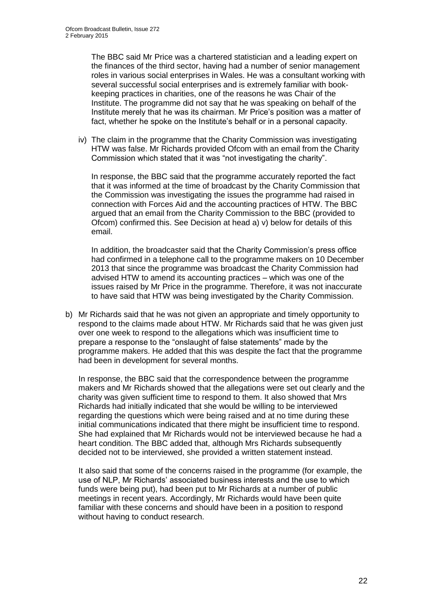The BBC said Mr Price was a chartered statistician and a leading expert on the finances of the third sector, having had a number of senior management roles in various social enterprises in Wales. He was a consultant working with several successful social enterprises and is extremely familiar with bookkeeping practices in charities, one of the reasons he was Chair of the Institute. The programme did not say that he was speaking on behalf of the Institute merely that he was its chairman. Mr Price's position was a matter of fact, whether he spoke on the Institute's behalf or in a personal capacity.

iv) The claim in the programme that the Charity Commission was investigating HTW was false. Mr Richards provided Ofcom with an email from the Charity Commission which stated that it was "not investigating the charity".

In response, the BBC said that the programme accurately reported the fact that it was informed at the time of broadcast by the Charity Commission that the Commission was investigating the issues the programme had raised in connection with Forces Aid and the accounting practices of HTW. The BBC argued that an email from the Charity Commission to the BBC (provided to Ofcom) confirmed this. See Decision at head a) v) below for details of this email.

In addition, the broadcaster said that the Charity Commission's press office had confirmed in a telephone call to the programme makers on 10 December 2013 that since the programme was broadcast the Charity Commission had advised HTW to amend its accounting practices – which was one of the issues raised by Mr Price in the programme. Therefore, it was not inaccurate to have said that HTW was being investigated by the Charity Commission.

b) Mr Richards said that he was not given an appropriate and timely opportunity to respond to the claims made about HTW. Mr Richards said that he was given just over one week to respond to the allegations which was insufficient time to prepare a response to the "onslaught of false statements" made by the programme makers. He added that this was despite the fact that the programme had been in development for several months.

In response, the BBC said that the correspondence between the programme makers and Mr Richards showed that the allegations were set out clearly and the charity was given sufficient time to respond to them. It also showed that Mrs Richards had initially indicated that she would be willing to be interviewed regarding the questions which were being raised and at no time during these initial communications indicated that there might be insufficient time to respond. She had explained that Mr Richards would not be interviewed because he had a heart condition. The BBC added that, although Mrs Richards subsequently decided not to be interviewed, she provided a written statement instead.

It also said that some of the concerns raised in the programme (for example, the use of NLP, Mr Richards' associated business interests and the use to which funds were being put), had been put to Mr Richards at a number of public meetings in recent years. Accordingly, Mr Richards would have been quite familiar with these concerns and should have been in a position to respond without having to conduct research.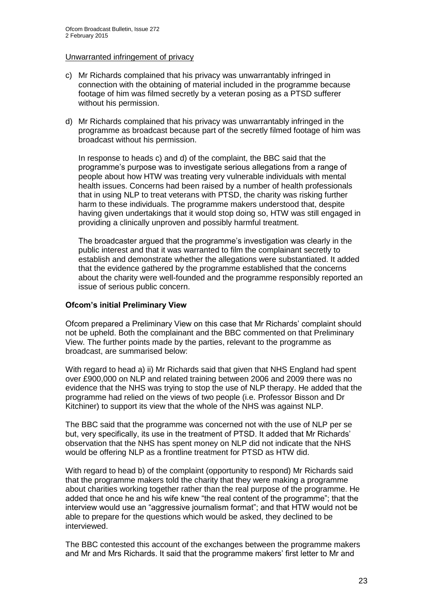#### Unwarranted infringement of privacy

- c) Mr Richards complained that his privacy was unwarrantably infringed in connection with the obtaining of material included in the programme because footage of him was filmed secretly by a veteran posing as a PTSD sufferer without his permission.
- d) Mr Richards complained that his privacy was unwarrantably infringed in the programme as broadcast because part of the secretly filmed footage of him was broadcast without his permission.

In response to heads c) and d) of the complaint, the BBC said that the programme's purpose was to investigate serious allegations from a range of people about how HTW was treating very vulnerable individuals with mental health issues. Concerns had been raised by a number of health professionals that in using NLP to treat veterans with PTSD, the charity was risking further harm to these individuals. The programme makers understood that, despite having given undertakings that it would stop doing so, HTW was still engaged in providing a clinically unproven and possibly harmful treatment.

The broadcaster argued that the programme's investigation was clearly in the public interest and that it was warranted to film the complainant secretly to establish and demonstrate whether the allegations were substantiated. It added that the evidence gathered by the programme established that the concerns about the charity were well-founded and the programme responsibly reported an issue of serious public concern.

#### **Ofcom's initial Preliminary View**

Ofcom prepared a Preliminary View on this case that Mr Richards' complaint should not be upheld. Both the complainant and the BBC commented on that Preliminary View. The further points made by the parties, relevant to the programme as broadcast, are summarised below:

With regard to head a) ii) Mr Richards said that given that NHS England had spent over £900,000 on NLP and related training between 2006 and 2009 there was no evidence that the NHS was trying to stop the use of NLP therapy. He added that the programme had relied on the views of two people (i.e. Professor Bisson and Dr Kitchiner) to support its view that the whole of the NHS was against NLP.

The BBC said that the programme was concerned not with the use of NLP per se but, very specifically, its use in the treatment of PTSD. It added that Mr Richards' observation that the NHS has spent money on NLP did not indicate that the NHS would be offering NLP as a frontline treatment for PTSD as HTW did.

With regard to head b) of the complaint (opportunity to respond) Mr Richards said that the programme makers told the charity that they were making a programme about charities working together rather than the real purpose of the programme. He added that once he and his wife knew "the real content of the programme"; that the interview would use an "aggressive journalism format"; and that HTW would not be able to prepare for the questions which would be asked, they declined to be interviewed.

The BBC contested this account of the exchanges between the programme makers and Mr and Mrs Richards. It said that the programme makers' first letter to Mr and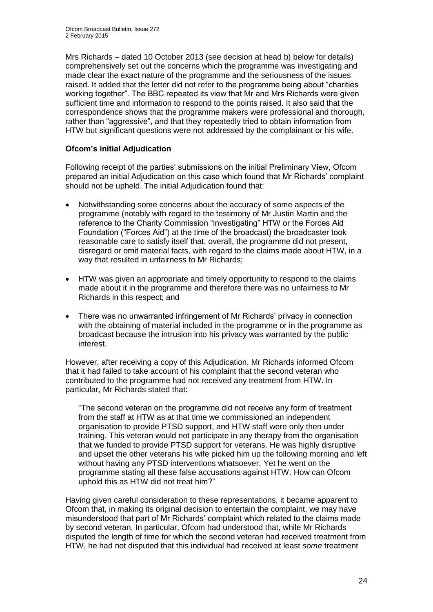Mrs Richards – dated 10 October 2013 (see decision at head b) below for details) comprehensively set out the concerns which the programme was investigating and made clear the exact nature of the programme and the seriousness of the issues raised. It added that the letter did not refer to the programme being about "charities working together". The BBC repeated its view that Mr and Mrs Richards were given sufficient time and information to respond to the points raised. It also said that the correspondence shows that the programme makers were professional and thorough, rather than "aggressive", and that they repeatedly tried to obtain information from HTW but significant questions were not addressed by the complainant or his wife.

#### **Ofcom's initial Adjudication**

Following receipt of the parties' submissions on the initial Preliminary View, Ofcom prepared an initial Adjudication on this case which found that Mr Richards' complaint should not be upheld. The initial Adjudication found that:

- Notwithstanding some concerns about the accuracy of some aspects of the programme (notably with regard to the testimony of Mr Justin Martin and the reference to the Charity Commission "investigating" HTW or the Forces Aid Foundation ("Forces Aid") at the time of the broadcast) the broadcaster took reasonable care to satisfy itself that, overall, the programme did not present, disregard or omit material facts, with regard to the claims made about HTW, in a way that resulted in unfairness to Mr Richards;
- HTW was given an appropriate and timely opportunity to respond to the claims made about it in the programme and therefore there was no unfairness to Mr Richards in this respect; and
- There was no unwarranted infringement of Mr Richards' privacy in connection with the obtaining of material included in the programme or in the programme as broadcast because the intrusion into his privacy was warranted by the public interest.

However, after receiving a copy of this Adjudication, Mr Richards informed Ofcom that it had failed to take account of his complaint that the second veteran who contributed to the programme had not received any treatment from HTW. In particular, Mr Richards stated that:

"The second veteran on the programme did not receive any form of treatment from the staff at HTW as at that time we commissioned an independent organisation to provide PTSD support, and HTW staff were only then under training. This veteran would not participate in any therapy from the organisation that we funded to provide PTSD support for veterans. He was highly disruptive and upset the other veterans his wife picked him up the following morning and left without having any PTSD interventions whatsoever. Yet he went on the programme stating all these false accusations against HTW. How can Ofcom uphold this as HTW did not treat him?"

Having given careful consideration to these representations, it became apparent to Ofcom that, in making its original decision to entertain the complaint, we may have misunderstood that part of Mr Richards' complaint which related to the claims made by second veteran. In particular, Ofcom had understood that, while Mr Richards disputed the length of time for which the second veteran had received treatment from HTW, he had not disputed that this individual had received at least *some* treatment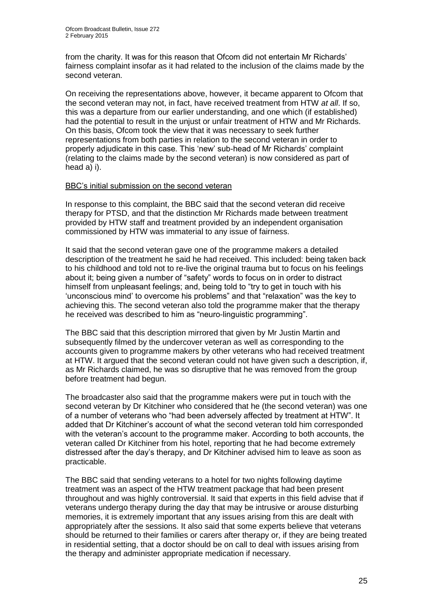from the charity. It was for this reason that Ofcom did not entertain Mr Richards' fairness complaint insofar as it had related to the inclusion of the claims made by the second veteran.

On receiving the representations above, however, it became apparent to Ofcom that the second veteran may not, in fact, have received treatment from HTW *at all*. If so, this was a departure from our earlier understanding, and one which (if established) had the potential to result in the unjust or unfair treatment of HTW and Mr Richards. On this basis, Ofcom took the view that it was necessary to seek further representations from both parties in relation to the second veteran in order to properly adjudicate in this case. This 'new' sub-head of Mr Richards' complaint (relating to the claims made by the second veteran) is now considered as part of head a) i).

#### BBC's initial submission on the second veteran

In response to this complaint, the BBC said that the second veteran did receive therapy for PTSD, and that the distinction Mr Richards made between treatment provided by HTW staff and treatment provided by an independent organisation commissioned by HTW was immaterial to any issue of fairness.

It said that the second veteran gave one of the programme makers a detailed description of the treatment he said he had received. This included: being taken back to his childhood and told not to re-live the original trauma but to focus on his feelings about it; being given a number of "safety" words to focus on in order to distract himself from unpleasant feelings; and, being told to "try to get in touch with his 'unconscious mind' to overcome his problems" and that "relaxation" was the key to achieving this. The second veteran also told the programme maker that the therapy he received was described to him as "neuro-linguistic programming".

The BBC said that this description mirrored that given by Mr Justin Martin and subsequently filmed by the undercover veteran as well as corresponding to the accounts given to programme makers by other veterans who had received treatment at HTW. It argued that the second veteran could not have given such a description, if, as Mr Richards claimed, he was so disruptive that he was removed from the group before treatment had begun.

The broadcaster also said that the programme makers were put in touch with the second veteran by Dr Kitchiner who considered that he (the second veteran) was one of a number of veterans who "had been adversely affected by treatment at HTW". It added that Dr Kitchiner's account of what the second veteran told him corresponded with the veteran's account to the programme maker. According to both accounts, the veteran called Dr Kitchiner from his hotel, reporting that he had become extremely distressed after the day's therapy, and Dr Kitchiner advised him to leave as soon as practicable.

The BBC said that sending veterans to a hotel for two nights following daytime treatment was an aspect of the HTW treatment package that had been present throughout and was highly controversial. It said that experts in this field advise that if veterans undergo therapy during the day that may be intrusive or arouse disturbing memories, it is extremely important that any issues arising from this are dealt with appropriately after the sessions. It also said that some experts believe that veterans should be returned to their families or carers after therapy or, if they are being treated in residential setting, that a doctor should be on call to deal with issues arising from the therapy and administer appropriate medication if necessary.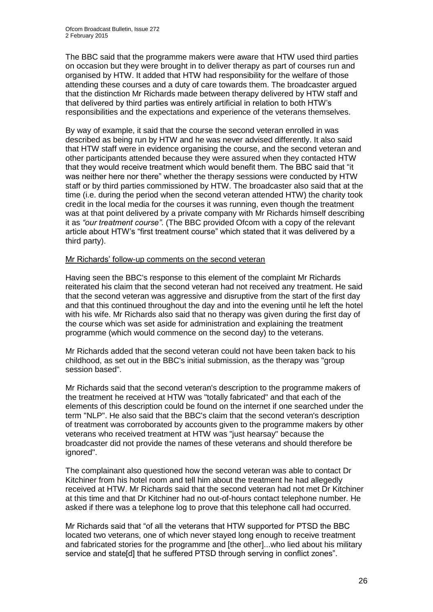The BBC said that the programme makers were aware that HTW used third parties on occasion but they were brought in to deliver therapy as part of courses run and organised by HTW. It added that HTW had responsibility for the welfare of those attending these courses and a duty of care towards them. The broadcaster argued that the distinction Mr Richards made between therapy delivered by HTW staff and that delivered by third parties was entirely artificial in relation to both HTW's responsibilities and the expectations and experience of the veterans themselves.

By way of example, it said that the course the second veteran enrolled in was described as being run by HTW and he was never advised differently. It also said that HTW staff were in evidence organising the course, and the second veteran and other participants attended because they were assured when they contacted HTW that they would receive treatment which would benefit them. The BBC said that "it was neither here nor there" whether the therapy sessions were conducted by HTW staff or by third parties commissioned by HTW. The broadcaster also said that at the time (i.e. during the period when the second veteran attended HTW) the charity took credit in the local media for the courses it was running, even though the treatment was at that point delivered by a private company with Mr Richards himself describing it as *"our treatment course"*. (The BBC provided Ofcom with a copy of the relevant article about HTW's "first treatment course" which stated that it was delivered by a third party).

#### Mr Richards' follow-up comments on the second veteran

Having seen the BBC's response to this element of the complaint Mr Richards reiterated his claim that the second veteran had not received any treatment. He said that the second veteran was aggressive and disruptive from the start of the first day and that this continued throughout the day and into the evening until he left the hotel with his wife. Mr Richards also said that no therapy was given during the first day of the course which was set aside for administration and explaining the treatment programme (which would commence on the second day) to the veterans.

Mr Richards added that the second veteran could not have been taken back to his childhood, as set out in the BBC's initial submission, as the therapy was "group session based".

Mr Richards said that the second veteran's description to the programme makers of the treatment he received at HTW was "totally fabricated" and that each of the elements of this description could be found on the internet if one searched under the term "NLP". He also said that the BBC's claim that the second veteran's description of treatment was corroborated by accounts given to the programme makers by other veterans who received treatment at HTW was "just hearsay" because the broadcaster did not provide the names of these veterans and should therefore be ignored".

The complainant also questioned how the second veteran was able to contact Dr Kitchiner from his hotel room and tell him about the treatment he had allegedly received at HTW. Mr Richards said that the second veteran had not met Dr Kitchiner at this time and that Dr Kitchiner had no out-of-hours contact telephone number. He asked if there was a telephone log to prove that this telephone call had occurred.

Mr Richards said that "of all the veterans that HTW supported for PTSD the BBC located two veterans, one of which never stayed long enough to receive treatment and fabricated stories for the programme and [the other]...who lied about his military service and state[d] that he suffered PTSD through serving in conflict zones".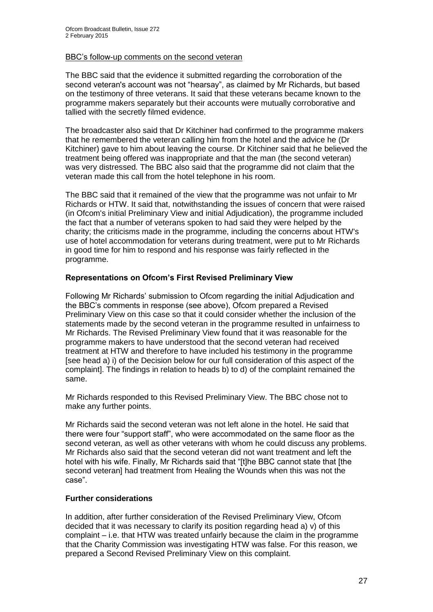#### BBC's follow-up comments on the second veteran

The BBC said that the evidence it submitted regarding the corroboration of the second veteran's account was not "hearsay", as claimed by Mr Richards, but based on the testimony of three veterans. It said that these veterans became known to the programme makers separately but their accounts were mutually corroborative and tallied with the secretly filmed evidence.

The broadcaster also said that Dr Kitchiner had confirmed to the programme makers that he remembered the veteran calling him from the hotel and the advice he (Dr Kitchiner) gave to him about leaving the course. Dr Kitchiner said that he believed the treatment being offered was inappropriate and that the man (the second veteran) was very distressed. The BBC also said that the programme did not claim that the veteran made this call from the hotel telephone in his room.

The BBC said that it remained of the view that the programme was not unfair to Mr Richards or HTW. It said that, notwithstanding the issues of concern that were raised (in Ofcom's initial Preliminary View and initial Adjudication), the programme included the fact that a number of veterans spoken to had said they were helped by the charity; the criticisms made in the programme, including the concerns about HTW's use of hotel accommodation for veterans during treatment, were put to Mr Richards in good time for him to respond and his response was fairly reflected in the programme.

#### **Representations on Ofcom's First Revised Preliminary View**

Following Mr Richards' submission to Ofcom regarding the initial Adjudication and the BBC's comments in response (see above), Ofcom prepared a Revised Preliminary View on this case so that it could consider whether the inclusion of the statements made by the second veteran in the programme resulted in unfairness to Mr Richards. The Revised Preliminary View found that it was reasonable for the programme makers to have understood that the second veteran had received treatment at HTW and therefore to have included his testimony in the programme [see head a) i) of the Decision below for our full consideration of this aspect of the complaint]. The findings in relation to heads b) to d) of the complaint remained the same.

Mr Richards responded to this Revised Preliminary View. The BBC chose not to make any further points.

Mr Richards said the second veteran was not left alone in the hotel. He said that there were four "support staff", who were accommodated on the same floor as the second veteran, as well as other veterans with whom he could discuss any problems. Mr Richards also said that the second veteran did not want treatment and left the hotel with his wife. Finally, Mr Richards said that "[t]he BBC cannot state that [the second veteran] had treatment from Healing the Wounds when this was not the case".

#### **Further considerations**

In addition, after further consideration of the Revised Preliminary View, Ofcom decided that it was necessary to clarify its position regarding head a) v) of this complaint – i.e. that HTW was treated unfairly because the claim in the programme that the Charity Commission was investigating HTW was false. For this reason, we prepared a Second Revised Preliminary View on this complaint.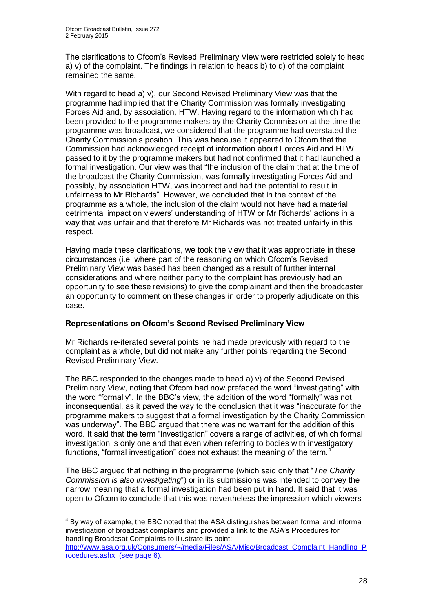1

The clarifications to Ofcom's Revised Preliminary View were restricted solely to head a) v) of the complaint. The findings in relation to heads b) to d) of the complaint remained the same.

With regard to head a) v), our Second Revised Preliminary View was that the programme had implied that the Charity Commission was formally investigating Forces Aid and, by association, HTW. Having regard to the information which had been provided to the programme makers by the Charity Commission at the time the programme was broadcast, we considered that the programme had overstated the Charity Commission's position. This was because it appeared to Ofcom that the Commission had acknowledged receipt of information about Forces Aid and HTW passed to it by the programme makers but had not confirmed that it had launched a formal investigation. Our view was that "the inclusion of the claim that at the time of the broadcast the Charity Commission, was formally investigating Forces Aid and possibly, by association HTW, was incorrect and had the potential to result in unfairness to Mr Richards". However, we concluded that in the context of the programme as a whole, the inclusion of the claim would not have had a material detrimental impact on viewers' understanding of HTW or Mr Richards' actions in a way that was unfair and that therefore Mr Richards was not treated unfairly in this respect.

Having made these clarifications, we took the view that it was appropriate in these circumstances (i.e. where part of the reasoning on which Ofcom's Revised Preliminary View was based has been changed as a result of further internal considerations and where neither party to the complaint has previously had an opportunity to see these revisions) to give the complainant and then the broadcaster an opportunity to comment on these changes in order to properly adjudicate on this case.

#### **Representations on Ofcom's Second Revised Preliminary View**

Mr Richards re-iterated several points he had made previously with regard to the complaint as a whole, but did not make any further points regarding the Second Revised Preliminary View.

The BBC responded to the changes made to head a) v) of the Second Revised Preliminary View, noting that Ofcom had now prefaced the word "investigating" with the word "formally". In the BBC's view, the addition of the word "formally" was not inconsequential, as it paved the way to the conclusion that it was "inaccurate for the programme makers to suggest that a formal investigation by the Charity Commission was underway". The BBC argued that there was no warrant for the addition of this word. It said that the term "investigation" covers a range of activities, of which formal investigation is only one and that even when referring to bodies with investigatory functions, "formal investigation" does not exhaust the meaning of the term.<sup>4</sup>

The BBC argued that nothing in the programme (which said only that "*The Charity Commission is also investigating*") or in its submissions was intended to convey the narrow meaning that a formal investigation had been put in hand. It said that it was open to Ofcom to conclude that this was nevertheless the impression which viewers

 $4$  By way of example, the BBC noted that the ASA distinguishes between formal and informal investigation of broadcast complaints and provided a link to the ASA's Procedures for handling Broadcsat Complaints to illustrate its point:

[http://www.asa.org.uk/Consumers/~/media/Files/ASA/Misc/Broadcast\\_Complaint\\_Handling\\_P](http://www.asa.org.uk/Consumers/~/media/Files/ASA/Misc/Broadcast_Complaint_Handling_Procedures.ashx) [rocedures.ashx](http://www.asa.org.uk/Consumers/~/media/Files/ASA/Misc/Broadcast_Complaint_Handling_Procedures.ashx) (see page 6).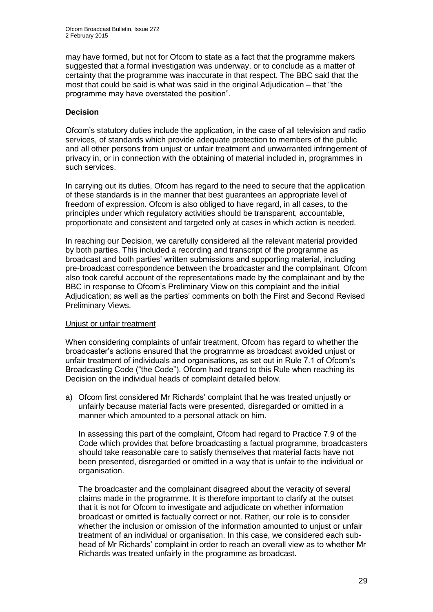may have formed, but not for Ofcom to state as a fact that the programme makers suggested that a formal investigation was underway, or to conclude as a matter of certainty that the programme was inaccurate in that respect. The BBC said that the most that could be said is what was said in the original Adjudication – that "the programme may have overstated the position".

#### **Decision**

Ofcom's statutory duties include the application, in the case of all television and radio services, of standards which provide adequate protection to members of the public and all other persons from unjust or unfair treatment and unwarranted infringement of privacy in, or in connection with the obtaining of material included in, programmes in such services.

In carrying out its duties, Ofcom has regard to the need to secure that the application of these standards is in the manner that best guarantees an appropriate level of freedom of expression. Ofcom is also obliged to have regard, in all cases, to the principles under which regulatory activities should be transparent, accountable, proportionate and consistent and targeted only at cases in which action is needed.

In reaching our Decision, we carefully considered all the relevant material provided by both parties. This included a recording and transcript of the programme as broadcast and both parties' written submissions and supporting material, including pre-broadcast correspondence between the broadcaster and the complainant. Ofcom also took careful account of the representations made by the complainant and by the BBC in response to Ofcom's Preliminary View on this complaint and the initial Adjudication; as well as the parties' comments on both the First and Second Revised Preliminary Views.

#### Unjust or unfair treatment

When considering complaints of unfair treatment, Ofcom has regard to whether the broadcaster's actions ensured that the programme as broadcast avoided unjust or unfair treatment of individuals and organisations, as set out in Rule 7.1 of Ofcom's Broadcasting Code ("the Code"). Ofcom had regard to this Rule when reaching its Decision on the individual heads of complaint detailed below.

a) Ofcom first considered Mr Richards' complaint that he was treated unjustly or unfairly because material facts were presented, disregarded or omitted in a manner which amounted to a personal attack on him.

In assessing this part of the complaint, Ofcom had regard to Practice 7.9 of the Code which provides that before broadcasting a factual programme, broadcasters should take reasonable care to satisfy themselves that material facts have not been presented, disregarded or omitted in a way that is unfair to the individual or organisation.

The broadcaster and the complainant disagreed about the veracity of several claims made in the programme. It is therefore important to clarify at the outset that it is not for Ofcom to investigate and adjudicate on whether information broadcast or omitted is factually correct or not. Rather, our role is to consider whether the inclusion or omission of the information amounted to unjust or unfair treatment of an individual or organisation. In this case, we considered each subhead of Mr Richards' complaint in order to reach an overall view as to whether Mr Richards was treated unfairly in the programme as broadcast.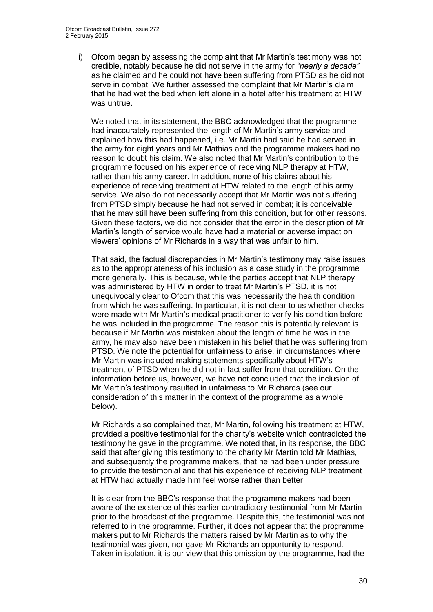i) Ofcom began by assessing the complaint that Mr Martin's testimony was not credible, notably because he did not serve in the army for *"nearly a decade"* as he claimed and he could not have been suffering from PTSD as he did not serve in combat. We further assessed the complaint that Mr Martin's claim that he had wet the bed when left alone in a hotel after his treatment at HTW was untrue.

We noted that in its statement, the BBC acknowledged that the programme had inaccurately represented the length of Mr Martin's army service and explained how this had happened, i.e. Mr Martin had said he had served in the army for eight years and Mr Mathias and the programme makers had no reason to doubt his claim. We also noted that Mr Martin's contribution to the programme focused on his experience of receiving NLP therapy at HTW, rather than his army career. In addition, none of his claims about his experience of receiving treatment at HTW related to the length of his army service. We also do not necessarily accept that Mr Martin was not suffering from PTSD simply because he had not served in combat; it is conceivable that he may still have been suffering from this condition, but for other reasons. Given these factors, we did not consider that the error in the description of Mr Martin's length of service would have had a material or adverse impact on viewers' opinions of Mr Richards in a way that was unfair to him.

That said, the factual discrepancies in Mr Martin's testimony may raise issues as to the appropriateness of his inclusion as a case study in the programme more generally. This is because, while the parties accept that NLP therapy was administered by HTW in order to treat Mr Martin's PTSD, it is not unequivocally clear to Ofcom that this was necessarily the health condition from which he was suffering. In particular, it is not clear to us whether checks were made with Mr Martin's medical practitioner to verify his condition before he was included in the programme. The reason this is potentially relevant is because if Mr Martin was mistaken about the length of time he was in the army, he may also have been mistaken in his belief that he was suffering from PTSD. We note the potential for unfairness to arise, in circumstances where Mr Martin was included making statements specifically about HTW's treatment of PTSD when he did not in fact suffer from that condition. On the information before us, however, we have not concluded that the inclusion of Mr Martin's testimony resulted in unfairness to Mr Richards (see our consideration of this matter in the context of the programme as a whole below).

Mr Richards also complained that, Mr Martin, following his treatment at HTW, provided a positive testimonial for the charity's website which contradicted the testimony he gave in the programme. We noted that, in its response, the BBC said that after giving this testimony to the charity Mr Martin told Mr Mathias, and subsequently the programme makers, that he had been under pressure to provide the testimonial and that his experience of receiving NLP treatment at HTW had actually made him feel worse rather than better.

It is clear from the BBC's response that the programme makers had been aware of the existence of this earlier contradictory testimonial from Mr Martin prior to the broadcast of the programme. Despite this, the testimonial was not referred to in the programme. Further, it does not appear that the programme makers put to Mr Richards the matters raised by Mr Martin as to why the testimonial was given, nor gave Mr Richards an opportunity to respond. Taken in isolation, it is our view that this omission by the programme, had the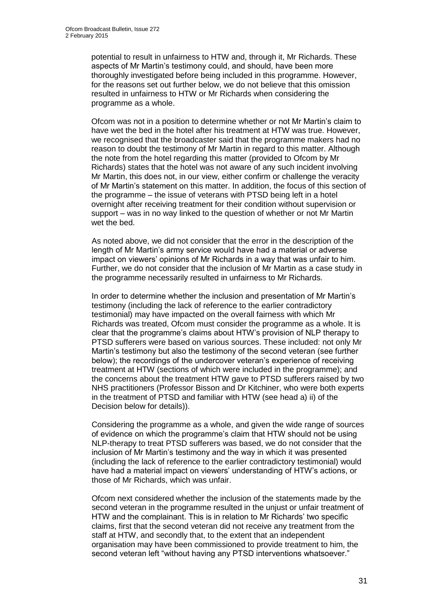potential to result in unfairness to HTW and, through it, Mr Richards. These aspects of Mr Martin's testimony could, and should, have been more thoroughly investigated before being included in this programme. However, for the reasons set out further below, we do not believe that this omission resulted in unfairness to HTW or Mr Richards when considering the programme as a whole.

Ofcom was not in a position to determine whether or not Mr Martin's claim to have wet the bed in the hotel after his treatment at HTW was true. However, we recognised that the broadcaster said that the programme makers had no reason to doubt the testimony of Mr Martin in regard to this matter. Although the note from the hotel regarding this matter (provided to Ofcom by Mr Richards) states that the hotel was not aware of any such incident involving Mr Martin, this does not, in our view, either confirm or challenge the veracity of Mr Martin's statement on this matter. In addition, the focus of this section of the programme – the issue of veterans with PTSD being left in a hotel overnight after receiving treatment for their condition without supervision or support – was in no way linked to the question of whether or not Mr Martin wet the bed.

As noted above, we did not consider that the error in the description of the length of Mr Martin's army service would have had a material or adverse impact on viewers' opinions of Mr Richards in a way that was unfair to him. Further, we do not consider that the inclusion of Mr Martin as a case study in the programme necessarily resulted in unfairness to Mr Richards.

In order to determine whether the inclusion and presentation of Mr Martin's testimony (including the lack of reference to the earlier contradictory testimonial) may have impacted on the overall fairness with which Mr Richards was treated, Ofcom must consider the programme as a whole. It is clear that the programme's claims about HTW's provision of NLP therapy to PTSD sufferers were based on various sources. These included: not only Mr Martin's testimony but also the testimony of the second veteran (see further below); the recordings of the undercover veteran's experience of receiving treatment at HTW (sections of which were included in the programme); and the concerns about the treatment HTW gave to PTSD sufferers raised by two NHS practitioners (Professor Bisson and Dr Kitchiner, who were both experts in the treatment of PTSD and familiar with HTW (see head a) ii) of the Decision below for details)).

Considering the programme as a whole, and given the wide range of sources of evidence on which the programme's claim that HTW should not be using NLP-therapy to treat PTSD sufferers was based, we do not consider that the inclusion of Mr Martin's testimony and the way in which it was presented (including the lack of reference to the earlier contradictory testimonial) would have had a material impact on viewers' understanding of HTW's actions, or those of Mr Richards, which was unfair.

Ofcom next considered whether the inclusion of the statements made by the second veteran in the programme resulted in the unjust or unfair treatment of HTW and the complainant. This is in relation to Mr Richards' two specific claims, first that the second veteran did not receive any treatment from the staff at HTW, and secondly that, to the extent that an independent organisation may have been commissioned to provide treatment to him, the second veteran left "without having any PTSD interventions whatsoever."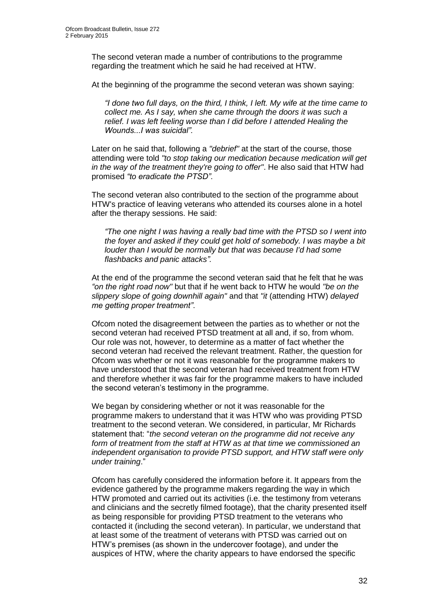The second veteran made a number of contributions to the programme regarding the treatment which he said he had received at HTW.

At the beginning of the programme the second veteran was shown saying:

*"I done two full days, on the third, I think, I left. My wife at the time came to collect me. As I say, when she came through the doors it was such a relief. I was left feeling worse than I did before I attended Healing the Wounds...I was suicidal".*

Later on he said that, following a *"debrief"* at the start of the course, those attending were told *"to stop taking our medication because medication will get in the way of the treatment they're going to offer"*. He also said that HTW had promised *"to eradicate the PTSD"*.

The second veteran also contributed to the section of the programme about HTW's practice of leaving veterans who attended its courses alone in a hotel after the therapy sessions. He said:

*"The one night I was having a really bad time with the PTSD so I went into the foyer and asked if they could get hold of somebody. I was maybe a bit louder than I would be normally but that was because I'd had some flashbacks and panic attacks".*

At the end of the programme the second veteran said that he felt that he was *"on the right road now"* but that if he went back to HTW he would *"be on the slippery slope of going downhill again"* and that *"it* (attending HTW) *delayed me getting proper treatment"*.

Ofcom noted the disagreement between the parties as to whether or not the second veteran had received PTSD treatment at all and, if so, from whom. Our role was not, however, to determine as a matter of fact whether the second veteran had received the relevant treatment. Rather, the question for Ofcom was whether or not it was reasonable for the programme makers to have understood that the second veteran had received treatment from HTW and therefore whether it was fair for the programme makers to have included the second veteran's testimony in the programme.

We began by considering whether or not it was reasonable for the programme makers to understand that it was HTW who was providing PTSD treatment to the second veteran. We considered, in particular, Mr Richards statement that: "*the second veteran on the programme did not receive any form of treatment from the staff at HTW as at that time we commissioned an independent organisation to provide PTSD support, and HTW staff were only under training*."

Ofcom has carefully considered the information before it. It appears from the evidence gathered by the programme makers regarding the way in which HTW promoted and carried out its activities (i.e. the testimony from veterans and clinicians and the secretly filmed footage), that the charity presented itself as being responsible for providing PTSD treatment to the veterans who contacted it (including the second veteran). In particular, we understand that at least some of the treatment of veterans with PTSD was carried out on HTW's premises (as shown in the undercover footage), and under the auspices of HTW, where the charity appears to have endorsed the specific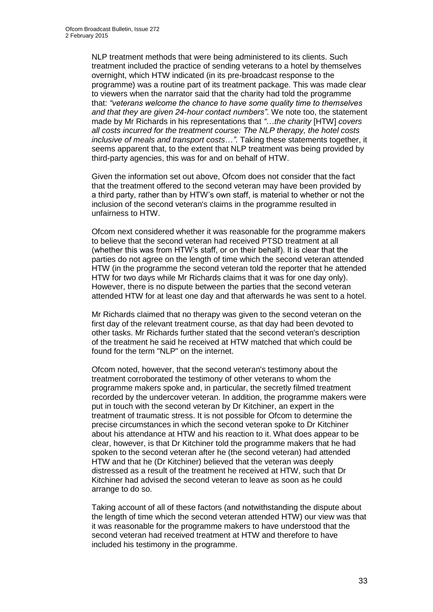NLP treatment methods that were being administered to its clients. Such treatment included the practice of sending veterans to a hotel by themselves overnight, which HTW indicated (in its pre-broadcast response to the programme) was a routine part of its treatment package. This was made clear to viewers when the narrator said that the charity had told the programme that: *"veterans welcome the chance to have some quality time to themselves and that they are given 24-hour contact numbers".* We note too, the statement made by Mr Richards in his representations that *"*…*the charity* [HTW] *covers all costs incurred for the treatment course: The NLP therapy, the hotel costs inclusive of meals and transport costs*…*"*. Taking these statements together, it seems apparent that, to the extent that NLP treatment was being provided by third-party agencies, this was for and on behalf of HTW.

Given the information set out above, Ofcom does not consider that the fact that the treatment offered to the second veteran may have been provided by a third party, rather than by HTW's own staff, is material to whether or not the inclusion of the second veteran's claims in the programme resulted in unfairness to HTW.

Ofcom next considered whether it was reasonable for the programme makers to believe that the second veteran had received PTSD treatment at all (whether this was from HTW's staff, or on their behalf). It is clear that the parties do not agree on the length of time which the second veteran attended HTW (in the programme the second veteran told the reporter that he attended HTW for two days while Mr Richards claims that it was for one day only). However, there is no dispute between the parties that the second veteran attended HTW for at least one day and that afterwards he was sent to a hotel.

Mr Richards claimed that no therapy was given to the second veteran on the first day of the relevant treatment course, as that day had been devoted to other tasks. Mr Richards further stated that the second veteran's description of the treatment he said he received at HTW matched that which could be found for the term "NLP" on the internet.

Ofcom noted, however, that the second veteran's testimony about the treatment corroborated the testimony of other veterans to whom the programme makers spoke and, in particular, the secretly filmed treatment recorded by the undercover veteran. In addition, the programme makers were put in touch with the second veteran by Dr Kitchiner, an expert in the treatment of traumatic stress. It is not possible for Ofcom to determine the precise circumstances in which the second veteran spoke to Dr Kitchiner about his attendance at HTW and his reaction to it. What does appear to be clear, however, is that Dr Kitchiner told the programme makers that he had spoken to the second veteran after he (the second veteran) had attended HTW and that he (Dr Kitchiner) believed that the veteran was deeply distressed as a result of the treatment he received at HTW, such that Dr Kitchiner had advised the second veteran to leave as soon as he could arrange to do so.

Taking account of all of these factors (and notwithstanding the dispute about the length of time which the second veteran attended HTW) our view was that it was reasonable for the programme makers to have understood that the second veteran had received treatment at HTW and therefore to have included his testimony in the programme.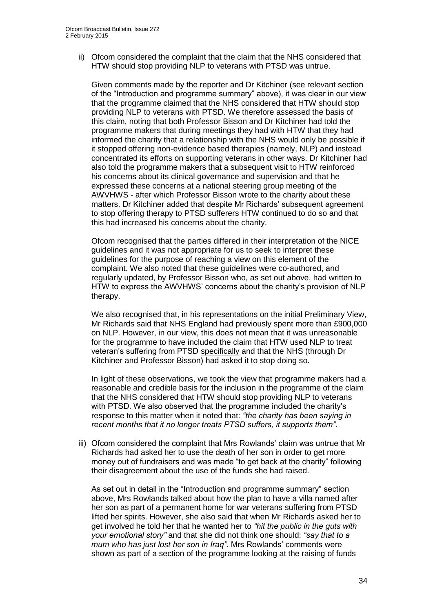ii) Ofcom considered the complaint that the claim that the NHS considered that HTW should stop providing NLP to veterans with PTSD was untrue.

Given comments made by the reporter and Dr Kitchiner (see relevant section of the "Introduction and programme summary" above), it was clear in our view that the programme claimed that the NHS considered that HTW should stop providing NLP to veterans with PTSD. We therefore assessed the basis of this claim, noting that both Professor Bisson and Dr Kitchiner had told the programme makers that during meetings they had with HTW that they had informed the charity that a relationship with the NHS would only be possible if it stopped offering non-evidence based therapies (namely, NLP) and instead concentrated its efforts on supporting veterans in other ways. Dr Kitchiner had also told the programme makers that a subsequent visit to HTW reinforced his concerns about its clinical governance and supervision and that he expressed these concerns at a national steering group meeting of the AWVHWS - after which Professor Bisson wrote to the charity about these matters. Dr Kitchiner added that despite Mr Richards' subsequent agreement to stop offering therapy to PTSD sufferers HTW continued to do so and that this had increased his concerns about the charity.

Ofcom recognised that the parties differed in their interpretation of the NICE guidelines and it was not appropriate for us to seek to interpret these guidelines for the purpose of reaching a view on this element of the complaint. We also noted that these guidelines were co-authored, and regularly updated, by Professor Bisson who, as set out above, had written to HTW to express the AWVHWS' concerns about the charity's provision of NLP therapy.

We also recognised that, in his representations on the initial Preliminary View, Mr Richards said that NHS England had previously spent more than £900,000 on NLP. However, in our view, this does not mean that it was unreasonable for the programme to have included the claim that HTW used NLP to treat veteran's suffering from PTSD specifically and that the NHS (through Dr Kitchiner and Professor Bisson) had asked it to stop doing so.

In light of these observations, we took the view that programme makers had a reasonable and credible basis for the inclusion in the programme of the claim that the NHS considered that HTW should stop providing NLP to veterans with PTSD. We also observed that the programme included the charity's response to this matter when it noted that: *"the charity has been saying in recent months that it no longer treats PTSD suffers, it supports them"*.

iii) Ofcom considered the complaint that Mrs Rowlands' claim was untrue that Mr Richards had asked her to use the death of her son in order to get more money out of fundraisers and was made "to get back at the charity" following their disagreement about the use of the funds she had raised.

As set out in detail in the "Introduction and programme summary" section above, Mrs Rowlands talked about how the plan to have a villa named after her son as part of a permanent home for war veterans suffering from PTSD lifted her spirits. However, she also said that when Mr Richards asked her to get involved he told her that he wanted her to *"hit the public in the guts with your emotional story"* and that she did not think one should: *"say that to a mum who has just lost her son in Iraq"*. Mrs Rowlands' comments were shown as part of a section of the programme looking at the raising of funds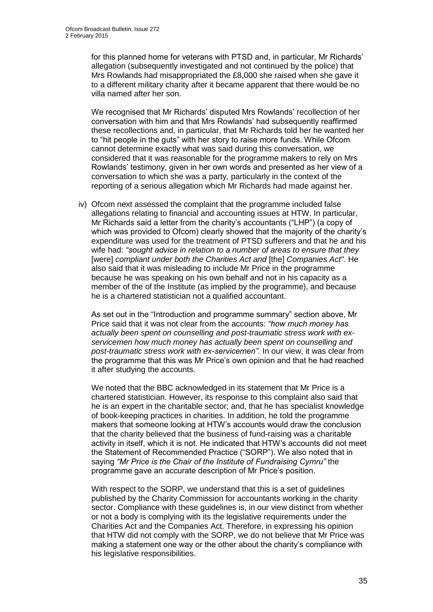for this planned home for veterans with PTSD and, in particular, Mr Richards' allegation (subsequently investigated and not continued by the police) that Mrs Rowlands had misappropriated the £8,000 she raised when she gave it to a different military charity after it became apparent that there would be no villa named after her son.

We recognised that Mr Richards' disputed Mrs Rowlands' recollection of her conversation with him and that Mrs Rowlands' had subsequently reaffirmed these recollections and, in particular, that Mr Richards told her he wanted her to "hit people in the guts" with her story to raise more funds. While Ofcom cannot determine exactly what was said during this conversation, we considered that it was reasonable for the programme makers to rely on Mrs Rowlands' testimony, given in her own words and presented as her view of a conversation to which she was a party, particularly in the context of the reporting of a serious allegation which Mr Richards had made against her.

iv) Ofcom next assessed the complaint that the programme included false allegations relating to financial and accounting issues at HTW. In particular, Mr Richards said a letter from the charity's accountants ("LHP") (a copy of which was provided to Ofcom) clearly showed that the majority of the charity's expenditure was used for the treatment of PTSD sufferers and that he and his wife had: *"sought advice in relation to a number of areas to ensure that they* [were] *compliant under both the Charities Act and* [the] *Companies Act"*. He also said that it was misleading to include Mr Price in the programme because he was speaking on his own behalf and not in his capacity as a member of the of the Institute (as implied by the programme), and because he is a chartered statistician not a qualified accountant.

As set out in the "Introduction and programme summary" section above, Mr Price said that it was not clear from the accounts: *"how much money has actually been spent on counselling and post-traumatic stress work with exservicemen how much money has actually been spent on counselling and post-traumatic stress work with ex-servicemen"*. In our view, it was clear from the programme that this was Mr Price's own opinion and that he had reached it after studying the accounts.

We noted that the BBC acknowledged in its statement that Mr Price is a chartered statistician. However, its response to this complaint also said that he is an expert in the charitable sector; and, that he has specialist knowledge of book-keeping practices in charities. In addition, he told the programme makers that someone looking at HTW's accounts would draw the conclusion that the charity believed that the business of fund-raising was a charitable activity in itself, which it is not. He indicated that HTW's accounts did not meet the Statement of Recommended Practice ("SORP"). We also noted that in saying *"Mr Price is the Chair of the Institute of Fundraising Cymru"* the programme gave an accurate description of Mr Price's position.

With respect to the SORP, we understand that this is a set of guidelines published by the Charity Commission for accountants working in the charity sector. Compliance with these guidelines is, in our view distinct from whether or not a body is complying with its the legislative requirements under the Charities Act and the Companies Act. Therefore, in expressing his opinion that HTW did not comply with the SORP, we do not believe that Mr Price was making a statement one way or the other about the charity's compliance with his legislative responsibilities.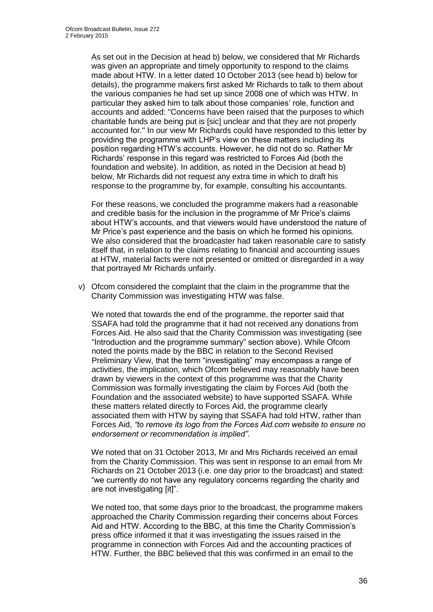As set out in the Decision at head b) below, we considered that Mr Richards was given an appropriate and timely opportunity to respond to the claims made about HTW. In a letter dated 10 October 2013 (see head b) below for details), the programme makers first asked Mr Richards to talk to them about the various companies he had set up since 2008 one of which was HTW. In particular they asked him to talk about those companies' role, function and accounts and added: "Concerns have been raised that the purposes to which charitable funds are being put is [sic] unclear and that they are not properly accounted for." In our view Mr Richards could have responded to this letter by providing the programme with LHP's view on these matters including its position regarding HTW's accounts. However, he did not do so. Rather Mr Richards' response in this regard was restricted to Forces Aid (both the foundation and website). In addition, as noted in the Decision at head b) below, Mr Richards did not request any extra time in which to draft his response to the programme by, for example, consulting his accountants.

For these reasons, we concluded the programme makers had a reasonable and credible basis for the inclusion in the programme of Mr Price's claims about HTW's accounts, and that viewers would have understood the nature of Mr Price's past experience and the basis on which he formed his opinions. We also considered that the broadcaster had taken reasonable care to satisfy itself that, in relation to the claims relating to financial and accounting issues at HTW, material facts were not presented or omitted or disregarded in a way that portrayed Mr Richards unfairly.

v) Ofcom considered the complaint that the claim in the programme that the Charity Commission was investigating HTW was false.

We noted that towards the end of the programme, the reporter said that SSAFA had told the programme that it had not received any donations from Forces Aid. He also said that the Charity Commission was investigating (see "Introduction and the programme summary" section above). While Ofcom noted the points made by the BBC in relation to the Second Revised Preliminary View, that the term "investigating" may encompass a range of activities, the implication, which Ofcom believed may reasonably have been drawn by viewers in the context of this programme was that the Charity Commission was formally investigating the claim by Forces Aid (both the Foundation and the associated website) to have supported SSAFA. While these matters related directly to Forces Aid, the programme clearly associated them with HTW by saying that SSAFA had told HTW, rather than Forces Aid, *"to remove its logo from the Forces Aid.com website to ensure no endorsement or recommendation is implied"*.

We noted that on 31 October 2013, Mr and Mrs Richards received an email from the Charity Commission. This was sent in response to an email from Mr Richards on 21 October 2013 (i.e. one day prior to the broadcast) and stated: "we currently do not have any regulatory concerns regarding the charity and are not investigating [it]".

We noted too, that some days prior to the broadcast, the programme makers approached the Charity Commission regarding their concerns about Forces Aid and HTW. According to the BBC, at this time the Charity Commission's press office informed it that it was investigating the issues raised in the programme in connection with Forces Aid and the accounting practices of HTW. Further, the BBC believed that this was confirmed in an email to the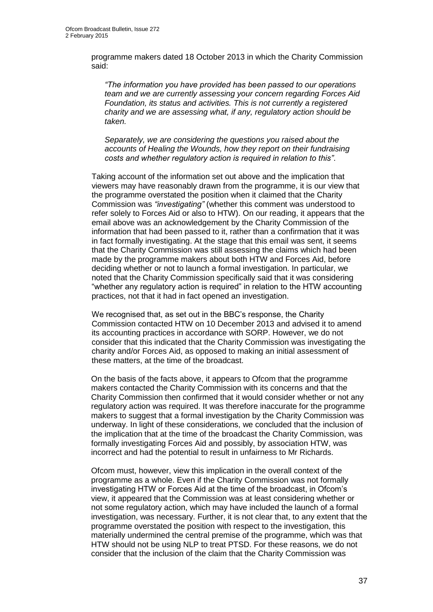programme makers dated 18 October 2013 in which the Charity Commission said:

*"The information you have provided has been passed to our operations team and we are currently assessing your concern regarding Forces Aid Foundation, its status and activities. This is not currently a registered charity and we are assessing what, if any, regulatory action should be taken.*

*Separately, we are considering the questions you raised about the accounts of Healing the Wounds, how they report on their fundraising costs and whether regulatory action is required in relation to this"*.

Taking account of the information set out above and the implication that viewers may have reasonably drawn from the programme, it is our view that the programme overstated the position when it claimed that the Charity Commission was *"investigating"* (whether this comment was understood to refer solely to Forces Aid or also to HTW). On our reading, it appears that the email above was an acknowledgement by the Charity Commission of the information that had been passed to it, rather than a confirmation that it was in fact formally investigating. At the stage that this email was sent, it seems that the Charity Commission was still assessing the claims which had been made by the programme makers about both HTW and Forces Aid, before deciding whether or not to launch a formal investigation. In particular, we noted that the Charity Commission specifically said that it was considering "whether any regulatory action is required" in relation to the HTW accounting practices, not that it had in fact opened an investigation.

We recognised that, as set out in the BBC's response, the Charity Commission contacted HTW on 10 December 2013 and advised it to amend its accounting practices in accordance with SORP. However, we do not consider that this indicated that the Charity Commission was investigating the charity and/or Forces Aid, as opposed to making an initial assessment of these matters, at the time of the broadcast.

On the basis of the facts above, it appears to Ofcom that the programme makers contacted the Charity Commission with its concerns and that the Charity Commission then confirmed that it would consider whether or not any regulatory action was required. It was therefore inaccurate for the programme makers to suggest that a formal investigation by the Charity Commission was underway. In light of these considerations, we concluded that the inclusion of the implication that at the time of the broadcast the Charity Commission, was formally investigating Forces Aid and possibly, by association HTW, was incorrect and had the potential to result in unfairness to Mr Richards.

Ofcom must, however, view this implication in the overall context of the programme as a whole. Even if the Charity Commission was not formally investigating HTW or Forces Aid at the time of the broadcast, in Ofcom's view, it appeared that the Commission was at least considering whether or not some regulatory action, which may have included the launch of a formal investigation, was necessary. Further, it is not clear that, to any extent that the programme overstated the position with respect to the investigation, this materially undermined the central premise of the programme, which was that HTW should not be using NLP to treat PTSD. For these reasons, we do not consider that the inclusion of the claim that the Charity Commission was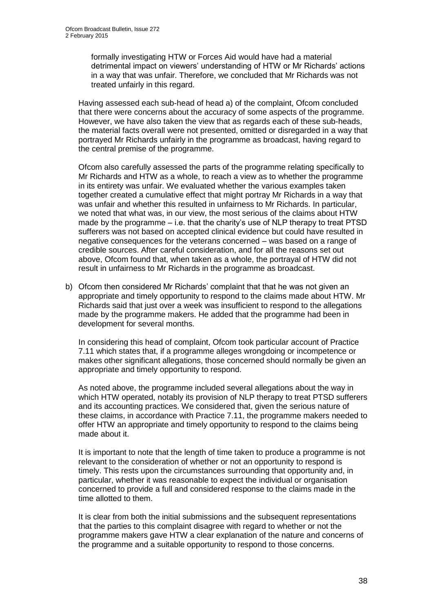formally investigating HTW or Forces Aid would have had a material detrimental impact on viewers' understanding of HTW or Mr Richards' actions in a way that was unfair. Therefore, we concluded that Mr Richards was not treated unfairly in this regard.

Having assessed each sub-head of head a) of the complaint, Ofcom concluded that there were concerns about the accuracy of some aspects of the programme. However, we have also taken the view that as regards each of these sub-heads, the material facts overall were not presented, omitted or disregarded in a way that portrayed Mr Richards unfairly in the programme as broadcast, having regard to the central premise of the programme.

Ofcom also carefully assessed the parts of the programme relating specifically to Mr Richards and HTW as a whole, to reach a view as to whether the programme in its entirety was unfair. We evaluated whether the various examples taken together created a cumulative effect that might portray Mr Richards in a way that was unfair and whether this resulted in unfairness to Mr Richards. In particular, we noted that what was, in our view, the most serious of the claims about HTW made by the programme – i.e. that the charity's use of NLP therapy to treat PTSD sufferers was not based on accepted clinical evidence but could have resulted in negative consequences for the veterans concerned – was based on a range of credible sources. After careful consideration, and for all the reasons set out above, Ofcom found that, when taken as a whole, the portrayal of HTW did not result in unfairness to Mr Richards in the programme as broadcast.

b) Ofcom then considered Mr Richards' complaint that that he was not given an appropriate and timely opportunity to respond to the claims made about HTW. Mr Richards said that just over a week was insufficient to respond to the allegations made by the programme makers. He added that the programme had been in development for several months.

In considering this head of complaint, Ofcom took particular account of Practice 7.11 which states that, if a programme alleges wrongdoing or incompetence or makes other significant allegations, those concerned should normally be given an appropriate and timely opportunity to respond.

As noted above, the programme included several allegations about the way in which HTW operated, notably its provision of NLP therapy to treat PTSD sufferers and its accounting practices. We considered that, given the serious nature of these claims, in accordance with Practice 7.11, the programme makers needed to offer HTW an appropriate and timely opportunity to respond to the claims being made about it.

It is important to note that the length of time taken to produce a programme is not relevant to the consideration of whether or not an opportunity to respond is timely. This rests upon the circumstances surrounding that opportunity and, in particular, whether it was reasonable to expect the individual or organisation concerned to provide a full and considered response to the claims made in the time allotted to them.

It is clear from both the initial submissions and the subsequent representations that the parties to this complaint disagree with regard to whether or not the programme makers gave HTW a clear explanation of the nature and concerns of the programme and a suitable opportunity to respond to those concerns.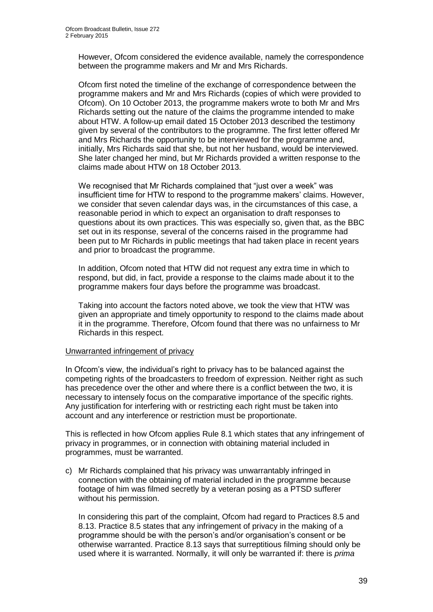However, Ofcom considered the evidence available, namely the correspondence between the programme makers and Mr and Mrs Richards.

Ofcom first noted the timeline of the exchange of correspondence between the programme makers and Mr and Mrs Richards (copies of which were provided to Ofcom). On 10 October 2013, the programme makers wrote to both Mr and Mrs Richards setting out the nature of the claims the programme intended to make about HTW. A follow-up email dated 15 October 2013 described the testimony given by several of the contributors to the programme. The first letter offered Mr and Mrs Richards the opportunity to be interviewed for the programme and, initially, Mrs Richards said that she, but not her husband, would be interviewed. She later changed her mind, but Mr Richards provided a written response to the claims made about HTW on 18 October 2013.

We recognised that Mr Richards complained that "just over a week" was insufficient time for HTW to respond to the programme makers' claims. However, we consider that seven calendar days was, in the circumstances of this case, a reasonable period in which to expect an organisation to draft responses to questions about its own practices. This was especially so, given that, as the BBC set out in its response, several of the concerns raised in the programme had been put to Mr Richards in public meetings that had taken place in recent years and prior to broadcast the programme.

In addition, Ofcom noted that HTW did not request any extra time in which to respond, but did, in fact, provide a response to the claims made about it to the programme makers four days before the programme was broadcast.

Taking into account the factors noted above, we took the view that HTW was given an appropriate and timely opportunity to respond to the claims made about it in the programme. Therefore, Ofcom found that there was no unfairness to Mr Richards in this respect.

#### Unwarranted infringement of privacy

In Ofcom's view, the individual's right to privacy has to be balanced against the competing rights of the broadcasters to freedom of expression. Neither right as such has precedence over the other and where there is a conflict between the two, it is necessary to intensely focus on the comparative importance of the specific rights. Any justification for interfering with or restricting each right must be taken into account and any interference or restriction must be proportionate.

This is reflected in how Ofcom applies Rule 8.1 which states that any infringement of privacy in programmes, or in connection with obtaining material included in programmes, must be warranted.

c) Mr Richards complained that his privacy was unwarrantably infringed in connection with the obtaining of material included in the programme because footage of him was filmed secretly by a veteran posing as a PTSD sufferer without his permission.

In considering this part of the complaint, Ofcom had regard to Practices 8.5 and 8.13. Practice 8.5 states that any infringement of privacy in the making of a programme should be with the person's and/or organisation's consent or be otherwise warranted. Practice 8.13 says that surreptitious filming should only be used where it is warranted. Normally, it will only be warranted if: there is *prima*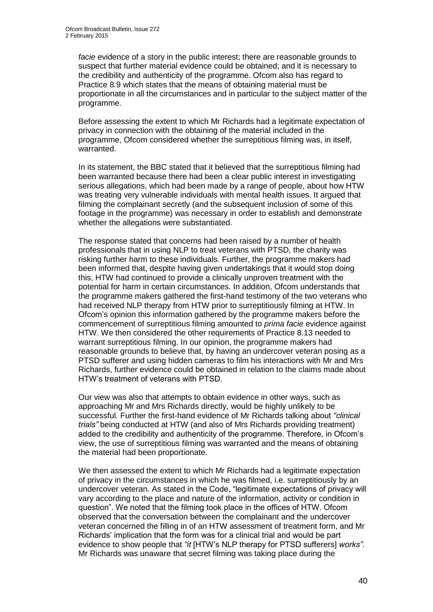*facie* evidence of a story in the public interest; there are reasonable grounds to suspect that further material evidence could be obtained; and it is necessary to the credibility and authenticity of the programme. Ofcom also has regard to Practice 8.9 which states that the means of obtaining material must be proportionate in all the circumstances and in particular to the subject matter of the programme.

Before assessing the extent to which Mr Richards had a legitimate expectation of privacy in connection with the obtaining of the material included in the programme, Ofcom considered whether the surreptitious filming was, in itself, warranted.

In its statement, the BBC stated that it believed that the surreptitious filming had been warranted because there had been a clear public interest in investigating serious allegations, which had been made by a range of people, about how HTW was treating very vulnerable individuals with mental health issues. It argued that filming the complainant secretly (and the subsequent inclusion of some of this footage in the programme) was necessary in order to establish and demonstrate whether the allegations were substantiated.

The response stated that concerns had been raised by a number of health professionals that in using NLP to treat veterans with PTSD, the charity was risking further harm to these individuals. Further, the programme makers had been informed that, despite having given undertakings that it would stop doing this, HTW had continued to provide a clinically unproven treatment with the potential for harm in certain circumstances. In addition, Ofcom understands that the programme makers gathered the first-hand testimony of the two veterans who had received NLP therapy from HTW prior to surreptitiously filming at HTW. In Ofcom's opinion this information gathered by the programme makers before the commencement of surreptitious filming amounted to *prima facie* evidence against HTW. We then considered the other requirements of Practice 8.13 needed to warrant surreptitious filming. In our opinion, the programme makers had reasonable grounds to believe that, by having an undercover veteran posing as a PTSD sufferer and using hidden cameras to film his interactions with Mr and Mrs Richards, further evidence could be obtained in relation to the claims made about HTW's treatment of veterans with PTSD.

Our view was also that attempts to obtain evidence in other ways, such as approaching Mr and Mrs Richards directly, would be highly unlikely to be successful. Further the first-hand evidence of Mr Richards talking about *"clinical trials"* being conducted at HTW (and also of Mrs Richards providing treatment) added to the credibility and authenticity of the programme. Therefore, in Ofcom's view, the use of surreptitious filming was warranted and the means of obtaining the material had been proportionate.

We then assessed the extent to which Mr Richards had a legitimate expectation of privacy in the circumstances in which he was filmed, i.e. surreptitiously by an undercover veteran. As stated in the Code, "legitimate expectations of privacy will vary according to the place and nature of the information, activity or condition in question". We noted that the filming took place in the offices of HTW. Ofcom observed that the conversation between the complainant and the undercover veteran concerned the filling in of an HTW assessment of treatment form, and Mr Richards' implication that the form was for a clinical trial and would be part evidence to show people that *"it* [HTW's NLP therapy for PTSD sufferers] *works"*. Mr Richards was unaware that secret filming was taking place during the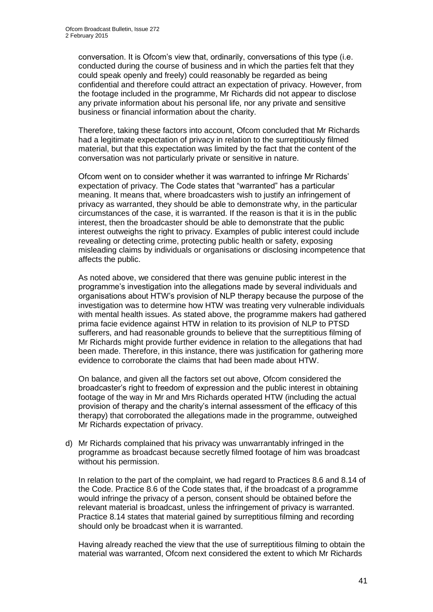conversation. It is Ofcom's view that, ordinarily, conversations of this type (i.e. conducted during the course of business and in which the parties felt that they could speak openly and freely) could reasonably be regarded as being confidential and therefore could attract an expectation of privacy. However, from the footage included in the programme, Mr Richards did not appear to disclose any private information about his personal life, nor any private and sensitive business or financial information about the charity.

Therefore, taking these factors into account, Ofcom concluded that Mr Richards had a legitimate expectation of privacy in relation to the surreptitiously filmed material, but that this expectation was limited by the fact that the content of the conversation was not particularly private or sensitive in nature.

Ofcom went on to consider whether it was warranted to infringe Mr Richards' expectation of privacy. The Code states that "warranted" has a particular meaning. It means that, where broadcasters wish to justify an infringement of privacy as warranted, they should be able to demonstrate why, in the particular circumstances of the case, it is warranted. If the reason is that it is in the public interest, then the broadcaster should be able to demonstrate that the public interest outweighs the right to privacy. Examples of public interest could include revealing or detecting crime, protecting public health or safety, exposing misleading claims by individuals or organisations or disclosing incompetence that affects the public.

As noted above, we considered that there was genuine public interest in the programme's investigation into the allegations made by several individuals and organisations about HTW's provision of NLP therapy because the purpose of the investigation was to determine how HTW was treating very vulnerable individuals with mental health issues. As stated above, the programme makers had gathered prima facie evidence against HTW in relation to its provision of NLP to PTSD sufferers, and had reasonable grounds to believe that the surreptitious filming of Mr Richards might provide further evidence in relation to the allegations that had been made. Therefore, in this instance, there was justification for gathering more evidence to corroborate the claims that had been made about HTW.

On balance, and given all the factors set out above, Ofcom considered the broadcaster's right to freedom of expression and the public interest in obtaining footage of the way in Mr and Mrs Richards operated HTW (including the actual provision of therapy and the charity's internal assessment of the efficacy of this therapy) that corroborated the allegations made in the programme, outweighed Mr Richards expectation of privacy.

d) Mr Richards complained that his privacy was unwarrantably infringed in the programme as broadcast because secretly filmed footage of him was broadcast without his permission.

In relation to the part of the complaint, we had regard to Practices 8.6 and 8.14 of the Code. Practice 8.6 of the Code states that, if the broadcast of a programme would infringe the privacy of a person, consent should be obtained before the relevant material is broadcast, unless the infringement of privacy is warranted. Practice 8.14 states that material gained by surreptitious filming and recording should only be broadcast when it is warranted.

Having already reached the view that the use of surreptitious filming to obtain the material was warranted, Ofcom next considered the extent to which Mr Richards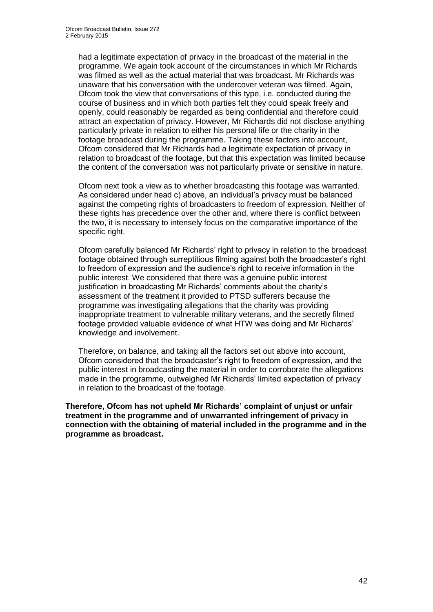had a legitimate expectation of privacy in the broadcast of the material in the programme. We again took account of the circumstances in which Mr Richards was filmed as well as the actual material that was broadcast. Mr Richards was unaware that his conversation with the undercover veteran was filmed. Again, Ofcom took the view that conversations of this type, i.e. conducted during the course of business and in which both parties felt they could speak freely and openly, could reasonably be regarded as being confidential and therefore could attract an expectation of privacy. However, Mr Richards did not disclose anything particularly private in relation to either his personal life or the charity in the footage broadcast during the programme. Taking these factors into account, Ofcom considered that Mr Richards had a legitimate expectation of privacy in relation to broadcast of the footage, but that this expectation was limited because the content of the conversation was not particularly private or sensitive in nature.

Ofcom next took a view as to whether broadcasting this footage was warranted. As considered under head c) above, an individual's privacy must be balanced against the competing rights of broadcasters to freedom of expression. Neither of these rights has precedence over the other and, where there is conflict between the two, it is necessary to intensely focus on the comparative importance of the specific right.

Ofcom carefully balanced Mr Richards' right to privacy in relation to the broadcast footage obtained through surreptitious filming against both the broadcaster's right to freedom of expression and the audience's right to receive information in the public interest. We considered that there was a genuine public interest justification in broadcasting Mr Richards' comments about the charity's assessment of the treatment it provided to PTSD sufferers because the programme was investigating allegations that the charity was providing inappropriate treatment to vulnerable military veterans, and the secretly filmed footage provided valuable evidence of what HTW was doing and Mr Richards' knowledge and involvement.

Therefore, on balance, and taking all the factors set out above into account, Ofcom considered that the broadcaster's right to freedom of expression, and the public interest in broadcasting the material in order to corroborate the allegations made in the programme, outweighed Mr Richards' limited expectation of privacy in relation to the broadcast of the footage.

**Therefore, Ofcom has not upheld Mr Richards' complaint of unjust or unfair treatment in the programme and of unwarranted infringement of privacy in connection with the obtaining of material included in the programme and in the programme as broadcast.**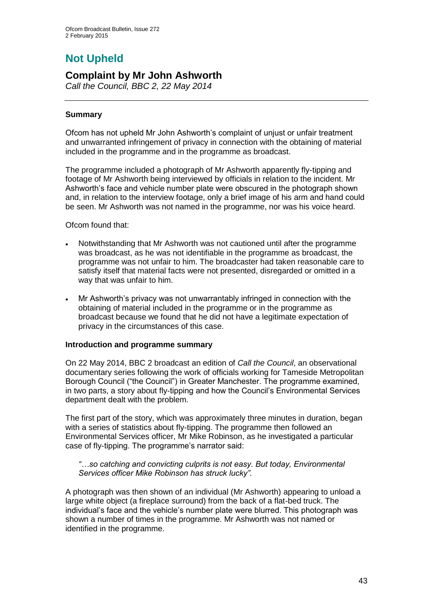# **Not Upheld**

## **Complaint by Mr John Ashworth**

*Call the Council, BBC 2, 22 May 2014*

#### **Summary**

Ofcom has not upheld Mr John Ashworth's complaint of unjust or unfair treatment and unwarranted infringement of privacy in connection with the obtaining of material included in the programme and in the programme as broadcast.

The programme included a photograph of Mr Ashworth apparently fly-tipping and footage of Mr Ashworth being interviewed by officials in relation to the incident. Mr Ashworth's face and vehicle number plate were obscured in the photograph shown and, in relation to the interview footage, only a brief image of his arm and hand could be seen. Mr Ashworth was not named in the programme, nor was his voice heard.

Ofcom found that:

- Notwithstanding that Mr Ashworth was not cautioned until after the programme was broadcast, as he was not identifiable in the programme as broadcast, the programme was not unfair to him. The broadcaster had taken reasonable care to satisfy itself that material facts were not presented, disregarded or omitted in a way that was unfair to him.
- Mr Ashworth's privacy was not unwarrantably infringed in connection with the obtaining of material included in the programme or in the programme as broadcast because we found that he did not have a legitimate expectation of privacy in the circumstances of this case.

#### **Introduction and programme summary**

On 22 May 2014, BBC 2 broadcast an edition of *Call the Council*, an observational documentary series following the work of officials working for Tameside Metropolitan Borough Council ("the Council") in Greater Manchester. The programme examined, in two parts, a story about fly-tipping and how the Council's Environmental Services department dealt with the problem.

The first part of the story, which was approximately three minutes in duration, began with a series of statistics about fly-tipping. The programme then followed an Environmental Services officer, Mr Mike Robinson, as he investigated a particular case of fly-tipping. The programme's narrator said:

*"…so catching and convicting culprits is not easy. But today, Environmental Services officer Mike Robinson has struck lucky".*

A photograph was then shown of an individual (Mr Ashworth) appearing to unload a large white object (a fireplace surround) from the back of a flat-bed truck. The individual's face and the vehicle's number plate were blurred. This photograph was shown a number of times in the programme. Mr Ashworth was not named or identified in the programme.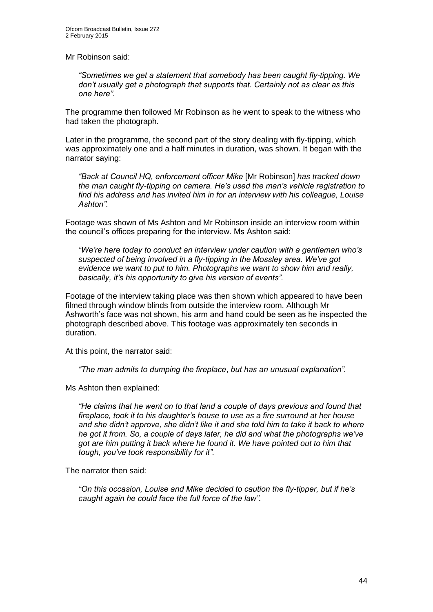Mr Robinson said:

*"Sometimes we get a statement that somebody has been caught fly-tipping. We don't usually get a photograph that supports that. Certainly not as clear as this one here".* 

The programme then followed Mr Robinson as he went to speak to the witness who had taken the photograph.

Later in the programme, the second part of the story dealing with fly-tipping, which was approximately one and a half minutes in duration, was shown. It began with the narrator saying:

*"Back at Council HQ, enforcement officer Mike* [Mr Robinson] *has tracked down the man caught fly-tipping on camera. He's used the man's vehicle registration to find his address and has invited him in for an interview with his colleague, Louise Ashton".*

Footage was shown of Ms Ashton and Mr Robinson inside an interview room within the council's offices preparing for the interview. Ms Ashton said:

*"We're here today to conduct an interview under caution with a gentleman who's suspected of being involved in a fly-tipping in the Mossley area. We've got evidence we want to put to him. Photographs we want to show him and really, basically, it's his opportunity to give his version of events".*

Footage of the interview taking place was then shown which appeared to have been filmed through window blinds from outside the interview room. Although Mr Ashworth's face was not shown, his arm and hand could be seen as he inspected the photograph described above. This footage was approximately ten seconds in duration.

At this point, the narrator said:

*"The man admits to dumping the fireplace*, *but has an unusual explanation".* 

Ms Ashton then explained:

*"He claims that he went on to that land a couple of days previous and found that fireplace, took it to his daughter's house to use as a fire surround at her house and she didn't approve, she didn't like it and she told him to take it back to where he got it from. So, a couple of days later, he did and what the photographs we've got are him putting it back where he found it. We have pointed out to him that tough, you've took responsibility for it".*

The narrator then said:

*"On this occasion, Louise and Mike decided to caution the fly-tipper, but if he's caught again he could face the full force of the law".*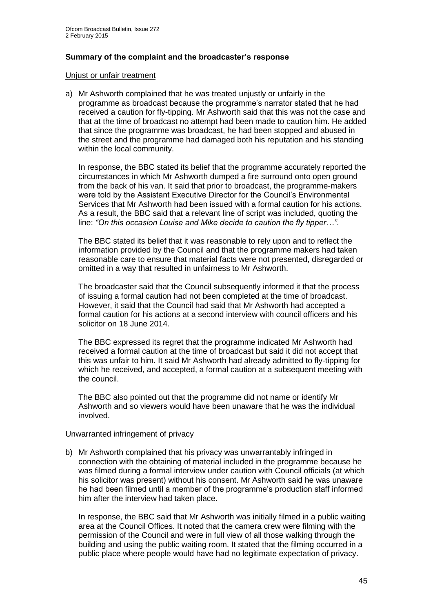#### **Summary of the complaint and the broadcaster's response**

#### Unjust or unfair treatment

a) Mr Ashworth complained that he was treated unjustly or unfairly in the programme as broadcast because the programme's narrator stated that he had received a caution for fly-tipping. Mr Ashworth said that this was not the case and that at the time of broadcast no attempt had been made to caution him. He added that since the programme was broadcast, he had been stopped and abused in the street and the programme had damaged both his reputation and his standing within the local community.

In response, the BBC stated its belief that the programme accurately reported the circumstances in which Mr Ashworth dumped a fire surround onto open ground from the back of his van. It said that prior to broadcast, the programme-makers were told by the Assistant Executive Director for the Council's Environmental Services that Mr Ashworth had been issued with a formal caution for his actions. As a result, the BBC said that a relevant line of script was included, quoting the line: *"On this occasion Louise and Mike decide to caution the fly tipper…"*.

The BBC stated its belief that it was reasonable to rely upon and to reflect the information provided by the Council and that the programme makers had taken reasonable care to ensure that material facts were not presented, disregarded or omitted in a way that resulted in unfairness to Mr Ashworth.

The broadcaster said that the Council subsequently informed it that the process of issuing a formal caution had not been completed at the time of broadcast. However, it said that the Council had said that Mr Ashworth had accepted a formal caution for his actions at a second interview with council officers and his solicitor on 18 June 2014.

The BBC expressed its regret that the programme indicated Mr Ashworth had received a formal caution at the time of broadcast but said it did not accept that this was unfair to him. It said Mr Ashworth had already admitted to fly-tipping for which he received, and accepted, a formal caution at a subsequent meeting with the council.

The BBC also pointed out that the programme did not name or identify Mr Ashworth and so viewers would have been unaware that he was the individual involved.

#### Unwarranted infringement of privacy

b) Mr Ashworth complained that his privacy was unwarrantably infringed in connection with the obtaining of material included in the programme because he was filmed during a formal interview under caution with Council officials (at which his solicitor was present) without his consent. Mr Ashworth said he was unaware he had been filmed until a member of the programme's production staff informed him after the interview had taken place.

In response, the BBC said that Mr Ashworth was initially filmed in a public waiting area at the Council Offices. It noted that the camera crew were filming with the permission of the Council and were in full view of all those walking through the building and using the public waiting room. It stated that the filming occurred in a public place where people would have had no legitimate expectation of privacy.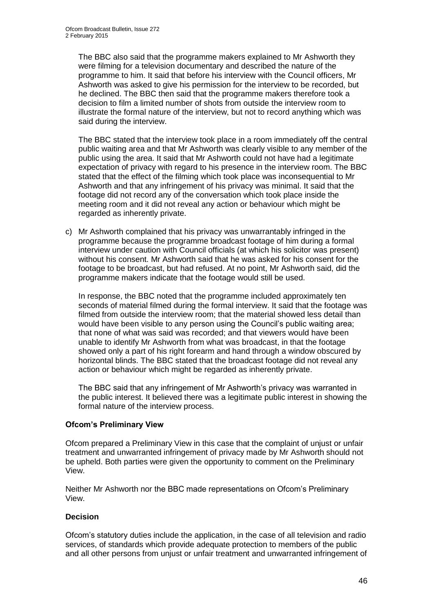The BBC also said that the programme makers explained to Mr Ashworth they were filming for a television documentary and described the nature of the programme to him. It said that before his interview with the Council officers, Mr Ashworth was asked to give his permission for the interview to be recorded, but he declined. The BBC then said that the programme makers therefore took a decision to film a limited number of shots from outside the interview room to illustrate the formal nature of the interview, but not to record anything which was said during the interview.

The BBC stated that the interview took place in a room immediately off the central public waiting area and that Mr Ashworth was clearly visible to any member of the public using the area. It said that Mr Ashworth could not have had a legitimate expectation of privacy with regard to his presence in the interview room. The BBC stated that the effect of the filming which took place was inconsequential to Mr Ashworth and that any infringement of his privacy was minimal. It said that the footage did not record any of the conversation which took place inside the meeting room and it did not reveal any action or behaviour which might be regarded as inherently private.

c) Mr Ashworth complained that his privacy was unwarrantably infringed in the programme because the programme broadcast footage of him during a formal interview under caution with Council officials (at which his solicitor was present) without his consent. Mr Ashworth said that he was asked for his consent for the footage to be broadcast, but had refused. At no point, Mr Ashworth said, did the programme makers indicate that the footage would still be used.

In response, the BBC noted that the programme included approximately ten seconds of material filmed during the formal interview. It said that the footage was filmed from outside the interview room; that the material showed less detail than would have been visible to any person using the Council's public waiting area; that none of what was said was recorded; and that viewers would have been unable to identify Mr Ashworth from what was broadcast, in that the footage showed only a part of his right forearm and hand through a window obscured by horizontal blinds. The BBC stated that the broadcast footage did not reveal any action or behaviour which might be regarded as inherently private.

The BBC said that any infringement of Mr Ashworth's privacy was warranted in the public interest. It believed there was a legitimate public interest in showing the formal nature of the interview process.

#### **Ofcom's Preliminary View**

Ofcom prepared a Preliminary View in this case that the complaint of unjust or unfair treatment and unwarranted infringement of privacy made by Mr Ashworth should not be upheld. Both parties were given the opportunity to comment on the Preliminary View.

Neither Mr Ashworth nor the BBC made representations on Ofcom's Preliminary View.

#### **Decision**

Ofcom's statutory duties include the application, in the case of all television and radio services, of standards which provide adequate protection to members of the public and all other persons from unjust or unfair treatment and unwarranted infringement of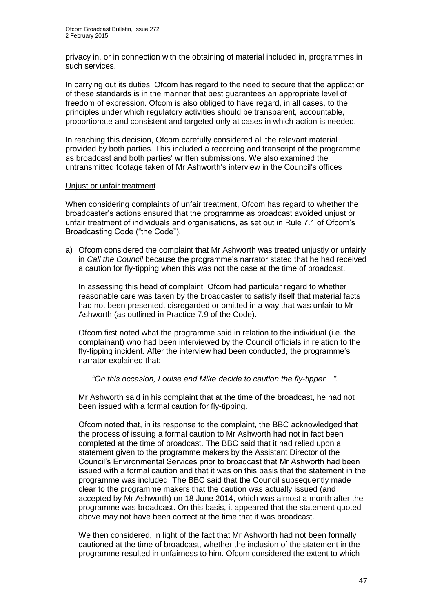privacy in, or in connection with the obtaining of material included in, programmes in such services.

In carrying out its duties, Ofcom has regard to the need to secure that the application of these standards is in the manner that best guarantees an appropriate level of freedom of expression. Ofcom is also obliged to have regard, in all cases, to the principles under which regulatory activities should be transparent, accountable, proportionate and consistent and targeted only at cases in which action is needed.

In reaching this decision, Ofcom carefully considered all the relevant material provided by both parties. This included a recording and transcript of the programme as broadcast and both parties' written submissions. We also examined the untransmitted footage taken of Mr Ashworth's interview in the Council's offices

#### Unjust or unfair treatment

When considering complaints of unfair treatment, Ofcom has regard to whether the broadcaster's actions ensured that the programme as broadcast avoided unjust or unfair treatment of individuals and organisations, as set out in Rule 7.1 of Ofcom's Broadcasting Code ("the Code").

a) Ofcom considered the complaint that Mr Ashworth was treated unjustly or unfairly in *Call the Council* because the programme's narrator stated that he had received a caution for fly-tipping when this was not the case at the time of broadcast.

In assessing this head of complaint, Ofcom had particular regard to whether reasonable care was taken by the broadcaster to satisfy itself that material facts had not been presented, disregarded or omitted in a way that was unfair to Mr Ashworth (as outlined in Practice 7.9 of the Code).

Ofcom first noted what the programme said in relation to the individual (i.e. the complainant) who had been interviewed by the Council officials in relation to the fly-tipping incident. After the interview had been conducted, the programme's narrator explained that:

*"On this occasion, Louise and Mike decide to caution the fly-tipper…"*.

Mr Ashworth said in his complaint that at the time of the broadcast, he had not been issued with a formal caution for fly-tipping.

Ofcom noted that, in its response to the complaint, the BBC acknowledged that the process of issuing a formal caution to Mr Ashworth had not in fact been completed at the time of broadcast. The BBC said that it had relied upon a statement given to the programme makers by the Assistant Director of the Council's Environmental Services prior to broadcast that Mr Ashworth had been issued with a formal caution and that it was on this basis that the statement in the programme was included. The BBC said that the Council subsequently made clear to the programme makers that the caution was actually issued (and accepted by Mr Ashworth) on 18 June 2014, which was almost a month after the programme was broadcast. On this basis, it appeared that the statement quoted above may not have been correct at the time that it was broadcast.

We then considered, in light of the fact that Mr Ashworth had not been formally cautioned at the time of broadcast, whether the inclusion of the statement in the programme resulted in unfairness to him. Ofcom considered the extent to which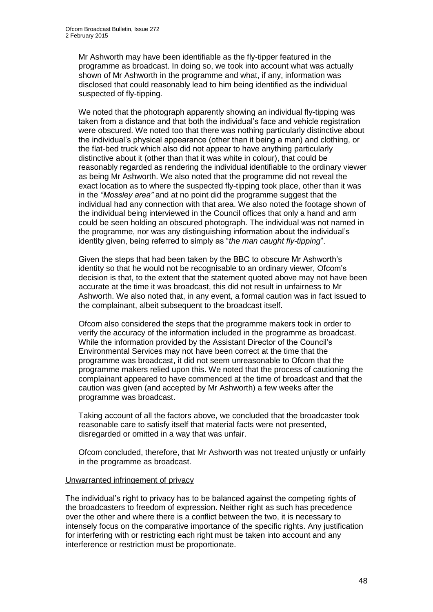Mr Ashworth may have been identifiable as the fly-tipper featured in the programme as broadcast. In doing so, we took into account what was actually shown of Mr Ashworth in the programme and what, if any, information was disclosed that could reasonably lead to him being identified as the individual suspected of fly-tipping.

We noted that the photograph apparently showing an individual fly-tipping was taken from a distance and that both the individual's face and vehicle registration were obscured. We noted too that there was nothing particularly distinctive about the individual's physical appearance (other than it being a man) and clothing, or the flat-bed truck which also did not appear to have anything particularly distinctive about it (other than that it was white in colour), that could be reasonably regarded as rendering the individual identifiable to the ordinary viewer as being Mr Ashworth. We also noted that the programme did not reveal the exact location as to where the suspected fly-tipping took place, other than it was in the *"Mossley area"* and at no point did the programme suggest that the individual had any connection with that area. We also noted the footage shown of the individual being interviewed in the Council offices that only a hand and arm could be seen holding an obscured photograph. The individual was not named in the programme, nor was any distinguishing information about the individual's identity given, being referred to simply as "*the man caught fly-tipping*".

Given the steps that had been taken by the BBC to obscure Mr Ashworth's identity so that he would not be recognisable to an ordinary viewer, Ofcom's decision is that, to the extent that the statement quoted above may not have been accurate at the time it was broadcast, this did not result in unfairness to Mr Ashworth. We also noted that, in any event, a formal caution was in fact issued to the complainant, albeit subsequent to the broadcast itself.

Ofcom also considered the steps that the programme makers took in order to verify the accuracy of the information included in the programme as broadcast. While the information provided by the Assistant Director of the Council's Environmental Services may not have been correct at the time that the programme was broadcast, it did not seem unreasonable to Ofcom that the programme makers relied upon this. We noted that the process of cautioning the complainant appeared to have commenced at the time of broadcast and that the caution was given (and accepted by Mr Ashworth) a few weeks after the programme was broadcast.

Taking account of all the factors above, we concluded that the broadcaster took reasonable care to satisfy itself that material facts were not presented, disregarded or omitted in a way that was unfair.

Ofcom concluded, therefore, that Mr Ashworth was not treated unjustly or unfairly in the programme as broadcast.

#### Unwarranted infringement of privacy

The individual's right to privacy has to be balanced against the competing rights of the broadcasters to freedom of expression. Neither right as such has precedence over the other and where there is a conflict between the two, it is necessary to intensely focus on the comparative importance of the specific rights. Any justification for interfering with or restricting each right must be taken into account and any interference or restriction must be proportionate.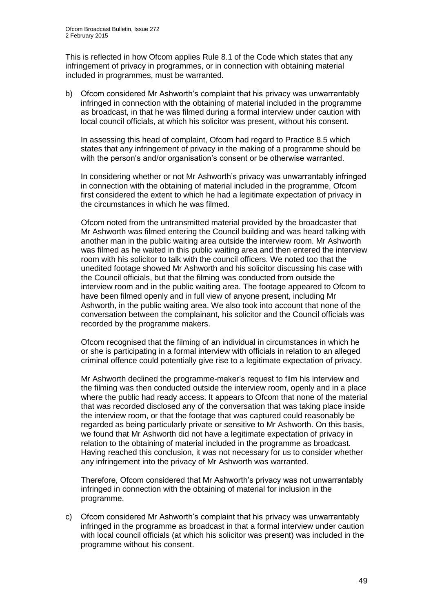This is reflected in how Ofcom applies Rule 8.1 of the Code which states that any infringement of privacy in programmes, or in connection with obtaining material included in programmes, must be warranted.

b) Ofcom considered Mr Ashworth's complaint that his privacy was unwarrantably infringed in connection with the obtaining of material included in the programme as broadcast, in that he was filmed during a formal interview under caution with local council officials, at which his solicitor was present, without his consent.

In assessing this head of complaint, Ofcom had regard to Practice 8.5 which states that any infringement of privacy in the making of a programme should be with the person's and/or organisation's consent or be otherwise warranted.

In considering whether or not Mr Ashworth's privacy was unwarrantably infringed in connection with the obtaining of material included in the programme, Ofcom first considered the extent to which he had a legitimate expectation of privacy in the circumstances in which he was filmed.

Ofcom noted from the untransmitted material provided by the broadcaster that Mr Ashworth was filmed entering the Council building and was heard talking with another man in the public waiting area outside the interview room. Mr Ashworth was filmed as he waited in this public waiting area and then entered the interview room with his solicitor to talk with the council officers. We noted too that the unedited footage showed Mr Ashworth and his solicitor discussing his case with the Council officials, but that the filming was conducted from outside the interview room and in the public waiting area. The footage appeared to Ofcom to have been filmed openly and in full view of anyone present, including Mr Ashworth, in the public waiting area. We also took into account that none of the conversation between the complainant, his solicitor and the Council officials was recorded by the programme makers.

Ofcom recognised that the filming of an individual in circumstances in which he or she is participating in a formal interview with officials in relation to an alleged criminal offence could potentially give rise to a legitimate expectation of privacy.

Mr Ashworth declined the programme-maker's request to film his interview and the filming was then conducted outside the interview room, openly and in a place where the public had ready access. It appears to Ofcom that none of the material that was recorded disclosed any of the conversation that was taking place inside the interview room, or that the footage that was captured could reasonably be regarded as being particularly private or sensitive to Mr Ashworth. On this basis, we found that Mr Ashworth did not have a legitimate expectation of privacy in relation to the obtaining of material included in the programme as broadcast. Having reached this conclusion, it was not necessary for us to consider whether any infringement into the privacy of Mr Ashworth was warranted.

Therefore, Ofcom considered that Mr Ashworth's privacy was not unwarrantably infringed in connection with the obtaining of material for inclusion in the programme.

c) Ofcom considered Mr Ashworth's complaint that his privacy was unwarrantably infringed in the programme as broadcast in that a formal interview under caution with local council officials (at which his solicitor was present) was included in the programme without his consent.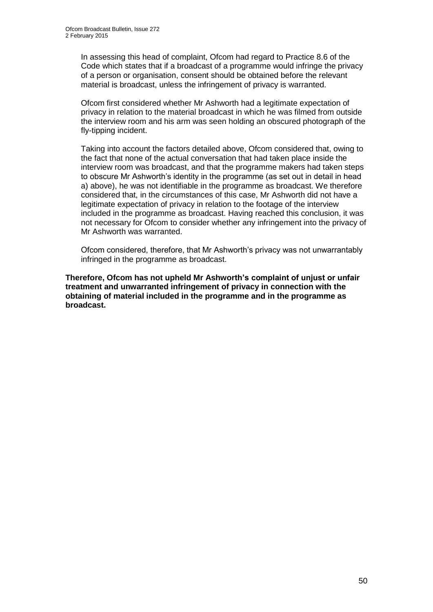In assessing this head of complaint, Ofcom had regard to Practice 8.6 of the Code which states that if a broadcast of a programme would infringe the privacy of a person or organisation, consent should be obtained before the relevant material is broadcast, unless the infringement of privacy is warranted.

Ofcom first considered whether Mr Ashworth had a legitimate expectation of privacy in relation to the material broadcast in which he was filmed from outside the interview room and his arm was seen holding an obscured photograph of the fly-tipping incident.

Taking into account the factors detailed above, Ofcom considered that, owing to the fact that none of the actual conversation that had taken place inside the interview room was broadcast, and that the programme makers had taken steps to obscure Mr Ashworth's identity in the programme (as set out in detail in head a) above), he was not identifiable in the programme as broadcast. We therefore considered that, in the circumstances of this case, Mr Ashworth did not have a legitimate expectation of privacy in relation to the footage of the interview included in the programme as broadcast. Having reached this conclusion, it was not necessary for Ofcom to consider whether any infringement into the privacy of Mr Ashworth was warranted.

Ofcom considered, therefore, that Mr Ashworth's privacy was not unwarrantably infringed in the programme as broadcast.

**Therefore, Ofcom has not upheld Mr Ashworth's complaint of unjust or unfair treatment and unwarranted infringement of privacy in connection with the obtaining of material included in the programme and in the programme as broadcast.**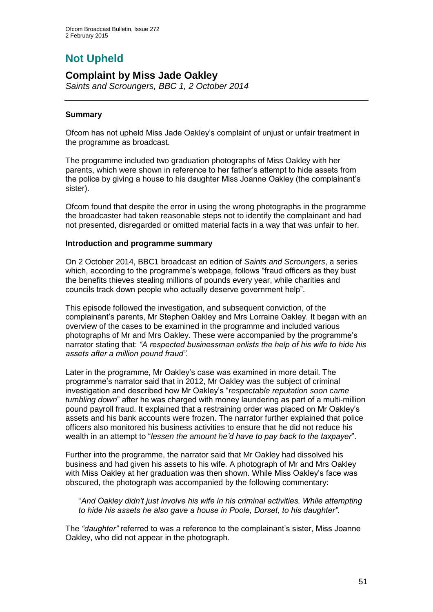# **Not Upheld**

## **Complaint by Miss Jade Oakley**

*Saints and Scroungers, BBC 1, 2 October 2014*

#### **Summary**

Ofcom has not upheld Miss Jade Oakley's complaint of unjust or unfair treatment in the programme as broadcast.

The programme included two graduation photographs of Miss Oakley with her parents, which were shown in reference to her father's attempt to hide assets from the police by giving a house to his daughter Miss Joanne Oakley (the complainant's sister).

Ofcom found that despite the error in using the wrong photographs in the programme the broadcaster had taken reasonable steps not to identify the complainant and had not presented, disregarded or omitted material facts in a way that was unfair to her.

#### **Introduction and programme summary**

On 2 October 2014, BBC1 broadcast an edition of *Saints and Scroungers*, a series which, according to the programme's webpage, follows "fraud officers as they bust the benefits thieves stealing millions of pounds every year, while charities and councils track down people who actually deserve government help".

This episode followed the investigation, and subsequent conviction, of the complainant's parents, Mr Stephen Oakley and Mrs Lorraine Oakley. It began with an overview of the cases to be examined in the programme and included various photographs of Mr and Mrs Oakley. These were accompanied by the programme's narrator stating that: *"A respected businessman enlists the help of his wife to hide his assets after a million pound fraud".*

Later in the programme, Mr Oakley's case was examined in more detail. The programme's narrator said that in 2012, Mr Oakley was the subject of criminal investigation and described how Mr Oakley's "*respectable reputation soon came tumbling down*" after he was charged with money laundering as part of a multi-million pound payroll fraud. It explained that a restraining order was placed on Mr Oakley's assets and his bank accounts were frozen. The narrator further explained that police officers also monitored his business activities to ensure that he did not reduce his wealth in an attempt to "*lessen the amount he'd have to pay back to the taxpayer*".

Further into the programme, the narrator said that Mr Oakley had dissolved his business and had given his assets to his wife. A photograph of Mr and Mrs Oakley with Miss Oakley at her graduation was then shown. While Miss Oakley's face was obscured, the photograph was accompanied by the following commentary:

"*And Oakley didn't just involve his wife in his criminal activities. While attempting to hide his assets he also gave a house in Poole, Dorset, to his daughter".*

The *"daughter"* referred to was a reference to the complainant's sister, Miss Joanne Oakley, who did not appear in the photograph.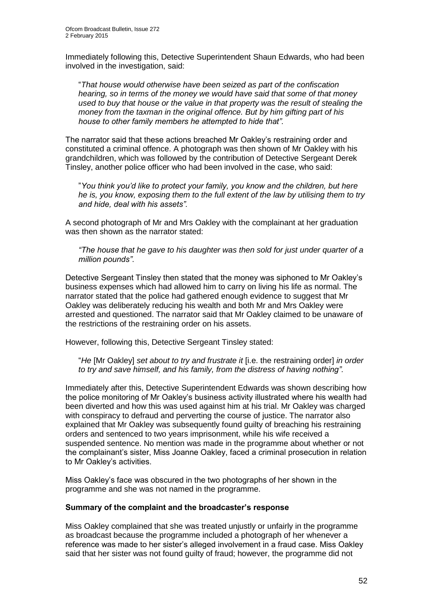Immediately following this, Detective Superintendent Shaun Edwards, who had been involved in the investigation, said:

"*That house would otherwise have been seized as part of the confiscation hearing, so in terms of the money we would have said that some of that money used to buy that house or the value in that property was the result of stealing the money from the taxman in the original offence. But by him gifting part of his house to other family members he attempted to hide that".*

The narrator said that these actions breached Mr Oakley's restraining order and constituted a criminal offence. A photograph was then shown of Mr Oakley with his grandchildren, which was followed by the contribution of Detective Sergeant Derek Tinsley, another police officer who had been involved in the case, who said:

"*You think you'd like to protect your family, you know and the children, but here he is, you know, exposing them to the full extent of the law by utilising them to try and hide, deal with his assets".*

A second photograph of Mr and Mrs Oakley with the complainant at her graduation was then shown as the narrator stated:

*"The house that he gave to his daughter was then sold for just under quarter of a million pounds"*.

Detective Sergeant Tinsley then stated that the money was siphoned to Mr Oakley's business expenses which had allowed him to carry on living his life as normal. The narrator stated that the police had gathered enough evidence to suggest that Mr Oakley was deliberately reducing his wealth and both Mr and Mrs Oakley were arrested and questioned. The narrator said that Mr Oakley claimed to be unaware of the restrictions of the restraining order on his assets.

However, following this, Detective Sergeant Tinsley stated:

"*He* [Mr Oakley] *set about to try and frustrate it* [i.e. the restraining order] *in order to try and save himself, and his family, from the distress of having nothing".*

Immediately after this, Detective Superintendent Edwards was shown describing how the police monitoring of Mr Oakley's business activity illustrated where his wealth had been diverted and how this was used against him at his trial. Mr Oakley was charged with conspiracy to defraud and perverting the course of justice. The narrator also explained that Mr Oakley was subsequently found guilty of breaching his restraining orders and sentenced to two years imprisonment, while his wife received a suspended sentence. No mention was made in the programme about whether or not the complainant's sister, Miss Joanne Oakley, faced a criminal prosecution in relation to Mr Oakley's activities.

Miss Oakley's face was obscured in the two photographs of her shown in the programme and she was not named in the programme.

#### **Summary of the complaint and the broadcaster's response**

Miss Oakley complained that she was treated unjustly or unfairly in the programme as broadcast because the programme included a photograph of her whenever a reference was made to her sister's alleged involvement in a fraud case. Miss Oakley said that her sister was not found guilty of fraud; however, the programme did not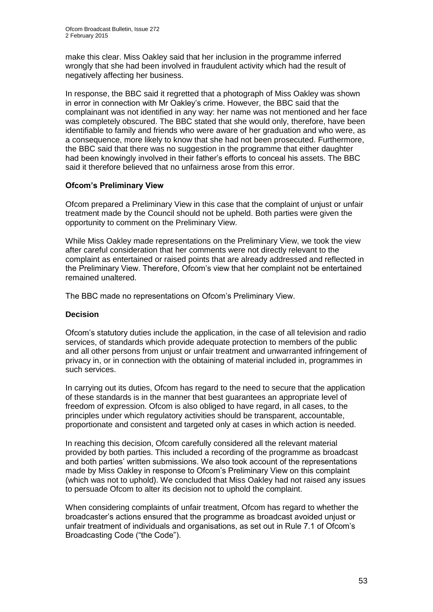make this clear. Miss Oakley said that her inclusion in the programme inferred wrongly that she had been involved in fraudulent activity which had the result of negatively affecting her business.

In response, the BBC said it regretted that a photograph of Miss Oakley was shown in error in connection with Mr Oakley's crime. However, the BBC said that the complainant was not identified in any way: her name was not mentioned and her face was completely obscured. The BBC stated that she would only, therefore, have been identifiable to family and friends who were aware of her graduation and who were, as a consequence, more likely to know that she had not been prosecuted. Furthermore, the BBC said that there was no suggestion in the programme that either daughter had been knowingly involved in their father's efforts to conceal his assets. The BBC said it therefore believed that no unfairness arose from this error.

#### **Ofcom's Preliminary View**

Ofcom prepared a Preliminary View in this case that the complaint of unjust or unfair treatment made by the Council should not be upheld. Both parties were given the opportunity to comment on the Preliminary View.

While Miss Oakley made representations on the Preliminary View, we took the view after careful consideration that her comments were not directly relevant to the complaint as entertained or raised points that are already addressed and reflected in the Preliminary View. Therefore, Ofcom's view that her complaint not be entertained remained unaltered.

The BBC made no representations on Ofcom's Preliminary View.

#### **Decision**

Ofcom's statutory duties include the application, in the case of all television and radio services, of standards which provide adequate protection to members of the public and all other persons from unjust or unfair treatment and unwarranted infringement of privacy in, or in connection with the obtaining of material included in, programmes in such services.

In carrying out its duties, Ofcom has regard to the need to secure that the application of these standards is in the manner that best guarantees an appropriate level of freedom of expression. Ofcom is also obliged to have regard, in all cases, to the principles under which regulatory activities should be transparent, accountable, proportionate and consistent and targeted only at cases in which action is needed.

In reaching this decision, Ofcom carefully considered all the relevant material provided by both parties. This included a recording of the programme as broadcast and both parties' written submissions. We also took account of the representations made by Miss Oakley in response to Ofcom's Preliminary View on this complaint (which was not to uphold). We concluded that Miss Oakley had not raised any issues to persuade Ofcom to alter its decision not to uphold the complaint.

When considering complaints of unfair treatment, Ofcom has regard to whether the broadcaster's actions ensured that the programme as broadcast avoided unjust or unfair treatment of individuals and organisations, as set out in Rule 7.1 of Ofcom's Broadcasting Code ("the Code").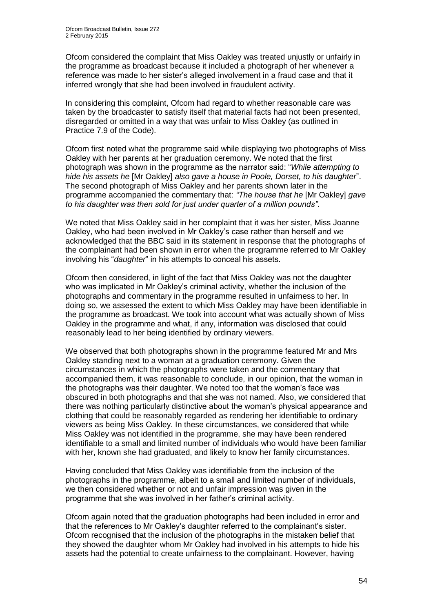Ofcom considered the complaint that Miss Oakley was treated unjustly or unfairly in the programme as broadcast because it included a photograph of her whenever a reference was made to her sister's alleged involvement in a fraud case and that it inferred wrongly that she had been involved in fraudulent activity.

In considering this complaint, Ofcom had regard to whether reasonable care was taken by the broadcaster to satisfy itself that material facts had not been presented, disregarded or omitted in a way that was unfair to Miss Oakley (as outlined in Practice 7.9 of the Code).

Ofcom first noted what the programme said while displaying two photographs of Miss Oakley with her parents at her graduation ceremony. We noted that the first photograph was shown in the programme as the narrator said: "*While attempting to hide his assets he* [Mr Oakley] *also gave a house in Poole, Dorset, to his daughter*". The second photograph of Miss Oakley and her parents shown later in the programme accompanied the commentary that: *"The house that he* [Mr Oakley] *gave to his daughter was then sold for just under quarter of a million pounds"*.

We noted that Miss Oakley said in her complaint that it was her sister, Miss Joanne Oakley, who had been involved in Mr Oakley's case rather than herself and we acknowledged that the BBC said in its statement in response that the photographs of the complainant had been shown in error when the programme referred to Mr Oakley involving his "*daughter*" in his attempts to conceal his assets.

Ofcom then considered, in light of the fact that Miss Oakley was not the daughter who was implicated in Mr Oakley's criminal activity, whether the inclusion of the photographs and commentary in the programme resulted in unfairness to her. In doing so, we assessed the extent to which Miss Oakley may have been identifiable in the programme as broadcast. We took into account what was actually shown of Miss Oakley in the programme and what, if any, information was disclosed that could reasonably lead to her being identified by ordinary viewers.

We observed that both photographs shown in the programme featured Mr and Mrs Oakley standing next to a woman at a graduation ceremony. Given the circumstances in which the photographs were taken and the commentary that accompanied them, it was reasonable to conclude, in our opinion, that the woman in the photographs was their daughter. We noted too that the woman's face was obscured in both photographs and that she was not named. Also, we considered that there was nothing particularly distinctive about the woman's physical appearance and clothing that could be reasonably regarded as rendering her identifiable to ordinary viewers as being Miss Oakley. In these circumstances, we considered that while Miss Oakley was not identified in the programme, she may have been rendered identifiable to a small and limited number of individuals who would have been familiar with her, known she had graduated, and likely to know her family circumstances.

Having concluded that Miss Oakley was identifiable from the inclusion of the photographs in the programme, albeit to a small and limited number of individuals, we then considered whether or not and unfair impression was given in the programme that she was involved in her father's criminal activity.

Ofcom again noted that the graduation photographs had been included in error and that the references to Mr Oakley's daughter referred to the complainant's sister. Ofcom recognised that the inclusion of the photographs in the mistaken belief that they showed the daughter whom Mr Oakley had involved in his attempts to hide his assets had the potential to create unfairness to the complainant. However, having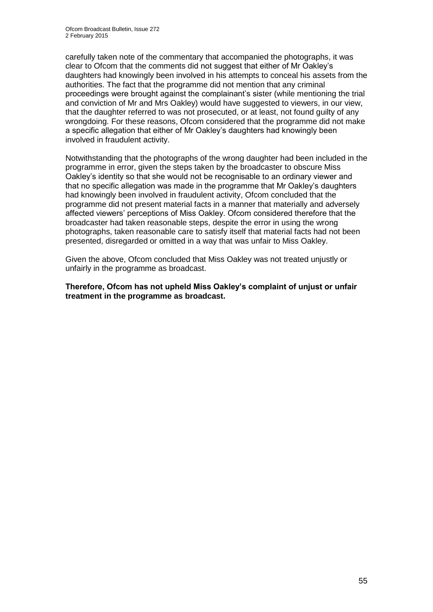carefully taken note of the commentary that accompanied the photographs, it was clear to Ofcom that the comments did not suggest that either of Mr Oakley's daughters had knowingly been involved in his attempts to conceal his assets from the authorities. The fact that the programme did not mention that any criminal proceedings were brought against the complainant's sister (while mentioning the trial and conviction of Mr and Mrs Oakley) would have suggested to viewers, in our view, that the daughter referred to was not prosecuted, or at least, not found guilty of any wrongdoing. For these reasons, Ofcom considered that the programme did not make a specific allegation that either of Mr Oakley's daughters had knowingly been involved in fraudulent activity.

Notwithstanding that the photographs of the wrong daughter had been included in the programme in error, given the steps taken by the broadcaster to obscure Miss Oakley's identity so that she would not be recognisable to an ordinary viewer and that no specific allegation was made in the programme that Mr Oakley's daughters had knowingly been involved in fraudulent activity, Ofcom concluded that the programme did not present material facts in a manner that materially and adversely affected viewers' perceptions of Miss Oakley. Ofcom considered therefore that the broadcaster had taken reasonable steps, despite the error in using the wrong photographs, taken reasonable care to satisfy itself that material facts had not been presented, disregarded or omitted in a way that was unfair to Miss Oakley.

Given the above, Ofcom concluded that Miss Oakley was not treated unjustly or unfairly in the programme as broadcast.

**Therefore, Ofcom has not upheld Miss Oakley's complaint of unjust or unfair treatment in the programme as broadcast.**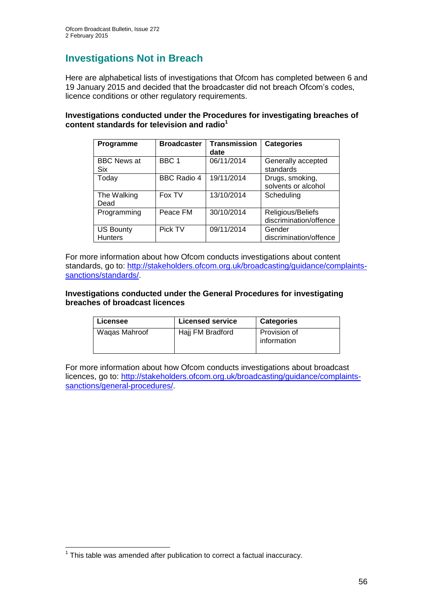## **Investigations Not in Breach**

Here are alphabetical lists of investigations that Ofcom has completed between 6 and 19 January 2015 and decided that the broadcaster did not breach Ofcom's codes, licence conditions or other regulatory requirements.

#### **Investigations conducted under the Procedures for investigating breaches of content standards for television and radio<sup>1</sup>**

| Programme                          | <b>Broadcaster</b> | <b>Transmission</b><br>date | <b>Categories</b>                           |
|------------------------------------|--------------------|-----------------------------|---------------------------------------------|
| <b>BBC News at</b><br>Six          | BBC <sub>1</sub>   | 06/11/2014                  | Generally accepted<br>standards             |
| Today                              | <b>BBC Radio 4</b> | 19/11/2014                  | Drugs, smoking,<br>solvents or alcohol      |
| The Walking<br>Dead                | Fox TV             | 13/10/2014                  | Scheduling                                  |
| Programming                        | Peace FM           | 30/10/2014                  | Religious/Beliefs<br>discrimination/offence |
| <b>US Bounty</b><br><b>Hunters</b> | Pick TV            | 09/11/2014                  | Gender<br>discrimination/offence            |

For more information about how Ofcom conducts investigations about content standards, go to: [http://stakeholders.ofcom.org.uk/broadcasting/guidance/complaints](http://stakeholders.ofcom.org.uk/broadcasting/guidance/complaints-sanctions/standards/)[sanctions/standards/.](http://stakeholders.ofcom.org.uk/broadcasting/guidance/complaints-sanctions/standards/)

#### **Investigations conducted under the General Procedures for investigating breaches of broadcast licences**

| Licensee      | <b>Licensed service</b> | <b>Categories</b>           |
|---------------|-------------------------|-----------------------------|
| Wagas Mahroof | Hajj FM Bradford        | Provision of<br>information |

For more information about how Ofcom conducts investigations about broadcast licences, go to: [http://stakeholders.ofcom.org.uk/broadcasting/guidance/complaints](http://stakeholders.ofcom.org.uk/broadcasting/guidance/complaints-sanctions/general-procedures/)[sanctions/general-procedures/.](http://stakeholders.ofcom.org.uk/broadcasting/guidance/complaints-sanctions/general-procedures/)

<sup>1</sup>  $1$  This table was amended after publication to correct a factual inaccuracy.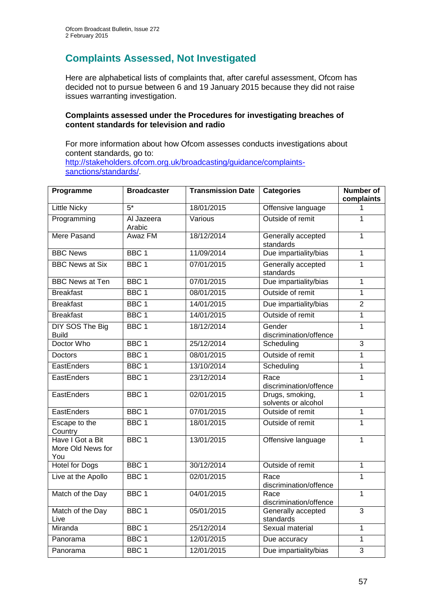## **Complaints Assessed, Not Investigated**

Here are alphabetical lists of complaints that, after careful assessment, Ofcom has decided not to pursue between 6 and 19 January 2015 because they did not raise issues warranting investigation.

#### **Complaints assessed under the Procedures for investigating breaches of content standards for television and radio**

For more information about how Ofcom assesses conducts investigations about content standards, go to: [http://stakeholders.ofcom.org.uk/broadcasting/guidance/complaints](http://stakeholders.ofcom.org.uk/broadcasting/guidance/complaints-sanctions/standards/)[sanctions/standards/.](http://stakeholders.ofcom.org.uk/broadcasting/guidance/complaints-sanctions/standards/)

| Programme                                    | <b>Broadcaster</b>   | <b>Transmission Date</b> | <b>Categories</b>                      | <b>Number of</b><br>complaints |
|----------------------------------------------|----------------------|--------------------------|----------------------------------------|--------------------------------|
| <b>Little Nicky</b>                          | $5*$                 | 18/01/2015               | Offensive language                     | 1                              |
| Programming                                  | Al Jazeera<br>Arabic | Various                  | Outside of remit                       | 1                              |
| Mere Pasand                                  | Awaz FM              | 18/12/2014               | Generally accepted<br>standards        | $\mathbf{1}$                   |
| <b>BBC News</b>                              | BBC <sub>1</sub>     | 11/09/2014               | Due impartiality/bias                  | $\overline{1}$                 |
| <b>BBC News at Six</b>                       | BBC <sub>1</sub>     | 07/01/2015               | Generally accepted<br>standards        | $\overline{1}$                 |
| <b>BBC News at Ten</b>                       | BBC <sub>1</sub>     | 07/01/2015               | Due impartiality/bias                  | $\mathbf{1}$                   |
| <b>Breakfast</b>                             | BBC <sub>1</sub>     | 08/01/2015               | Outside of remit                       | $\mathbf{1}$                   |
| <b>Breakfast</b>                             | BBC <sub>1</sub>     | 14/01/2015               | Due impartiality/bias                  | $\overline{2}$                 |
| <b>Breakfast</b>                             | BBC <sub>1</sub>     | 14/01/2015               | Outside of remit                       | $\overline{1}$                 |
| DIY SOS The Big<br><b>Build</b>              | BBC <sub>1</sub>     | 18/12/2014               | Gender<br>discrimination/offence       | $\overline{1}$                 |
| Doctor Who                                   | BBC <sub>1</sub>     | 25/12/2014               | Scheduling                             | $\overline{3}$                 |
| <b>Doctors</b>                               | BBC <sub>1</sub>     | 08/01/2015               | Outside of remit                       | $\overline{1}$                 |
| EastEnders                                   | BBC <sub>1</sub>     | 13/10/2014               | Scheduling                             | $\overline{1}$                 |
| EastEnders                                   | BBC <sub>1</sub>     | 23/12/2014               | Race<br>discrimination/offence         | $\mathbf{1}$                   |
| EastEnders                                   | BBC <sub>1</sub>     | 02/01/2015               | Drugs, smoking,<br>solvents or alcohol | $\overline{1}$                 |
| EastEnders                                   | BBC <sub>1</sub>     | 07/01/2015               | Outside of remit                       | $\overline{1}$                 |
| Escape to the<br>Country                     | BBC <sub>1</sub>     | 18/01/2015               | Outside of remit                       | $\mathbf{1}$                   |
| Have I Got a Bit<br>More Old News for<br>You | BBC <sub>1</sub>     | 13/01/2015               | Offensive language                     | $\overline{1}$                 |
| <b>Hotel for Dogs</b>                        | BBC <sub>1</sub>     | 30/12/2014               | Outside of remit                       | $\overline{1}$                 |
| Live at the Apollo                           | BBC <sub>1</sub>     | 02/01/2015               | Race<br>discrimination/offence         | $\mathbf{1}$                   |
| Match of the Day                             | BBC <sub>1</sub>     | 04/01/2015               | Race<br>discrimination/offence         | $\mathbf{1}$                   |
| Match of the Day<br>Live                     | BBC <sub>1</sub>     | 05/01/2015               | Generally accepted<br>standards        | $\overline{3}$                 |
| Miranda                                      | BBC <sub>1</sub>     | 25/12/2014               | Sexual material                        | $\mathbf{1}$                   |
| Panorama                                     | BBC <sub>1</sub>     | 12/01/2015               | Due accuracy                           | $\overline{1}$                 |
| Panorama                                     | BBC <sub>1</sub>     | 12/01/2015               | Due impartiality/bias                  | $\overline{3}$                 |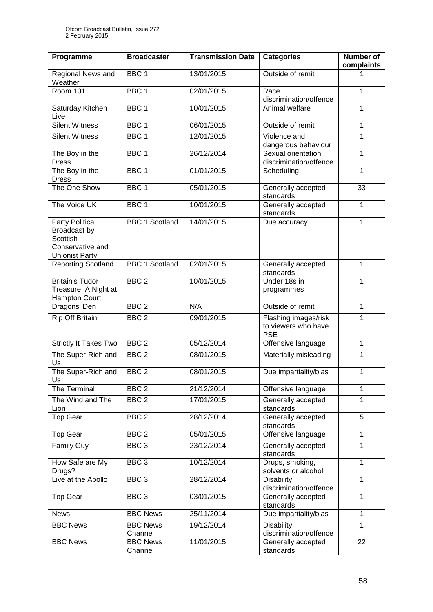| Programme                                                                                | <b>Broadcaster</b>         | <b>Transmission Date</b> | <b>Categories</b>                                         | Number of<br>complaints |
|------------------------------------------------------------------------------------------|----------------------------|--------------------------|-----------------------------------------------------------|-------------------------|
| Regional News and<br>Weather                                                             | BBC <sub>1</sub>           | 13/01/2015               | Outside of remit                                          | 1                       |
| <b>Room 101</b>                                                                          | BBC <sub>1</sub>           | 02/01/2015               | Race<br>discrimination/offence                            | 1                       |
| Saturday Kitchen<br>Live                                                                 | BBC <sub>1</sub>           | 10/01/2015               | Animal welfare                                            | 1                       |
| <b>Silent Witness</b>                                                                    | BBC <sub>1</sub>           | 06/01/2015               | Outside of remit                                          | $\mathbf{1}$            |
| <b>Silent Witness</b>                                                                    | BBC <sub>1</sub>           | 12/01/2015               | Violence and<br>dangerous behaviour                       | 1                       |
| The Boy in the<br><b>Dress</b>                                                           | BBC <sub>1</sub>           | 26/12/2014               | Sexual orientation<br>discrimination/offence              | $\mathbf{1}$            |
| The Boy in the<br><b>Dress</b>                                                           | BBC <sub>1</sub>           | 01/01/2015               | Scheduling                                                | 1                       |
| The One Show                                                                             | BBC <sub>1</sub>           | 05/01/2015               | Generally accepted<br>standards                           | 33                      |
| The Voice UK                                                                             | BBC <sub>1</sub>           | 10/01/2015               | Generally accepted<br>standards                           | $\mathbf{1}$            |
| Party Political<br>Broadcast by<br>Scottish<br>Conservative and<br><b>Unionist Party</b> | <b>BBC 1 Scotland</b>      | 14/01/2015               | Due accuracy                                              | 1                       |
| <b>Reporting Scotland</b>                                                                | <b>BBC 1 Scotland</b>      | 02/01/2015               | Generally accepted<br>standards                           | 1                       |
| <b>Britain's Tudor</b><br>Treasure: A Night at<br>Hampton Court                          | BBC <sub>2</sub>           | 10/01/2015               | Under 18s in<br>programmes                                | 1                       |
| Dragons' Den                                                                             | BBC <sub>2</sub>           | N/A                      | Outside of remit                                          | 1                       |
| Rip Off Britain                                                                          | BBC <sub>2</sub>           | 09/01/2015               | Flashing images/risk<br>to viewers who have<br><b>PSE</b> | 1                       |
| <b>Strictly It Takes Two</b>                                                             | BBC <sub>2</sub>           | 05/12/2014               | Offensive language                                        | $\mathbf{1}$            |
| The Super-Rich and<br>Us                                                                 | BBC <sub>2</sub>           | 08/01/2015               | Materially misleading                                     | 1                       |
| The Super-Rich and<br>Us                                                                 | BBC <sub>2</sub>           | 08/01/2015               | Due impartiality/bias                                     | $\mathbf{1}$            |
| The Terminal                                                                             | BBC <sub>2</sub>           | 21/12/2014               | Offensive language                                        | 1                       |
| The Wind and The<br>Lion                                                                 | BBC <sub>2</sub>           | 17/01/2015               | Generally accepted<br>standards                           | 1                       |
| <b>Top Gear</b>                                                                          | BBC <sub>2</sub>           | 28/12/2014               | Generally accepted<br>standards                           | $\overline{5}$          |
| <b>Top Gear</b>                                                                          | BBC <sub>2</sub>           | 05/01/2015               | Offensive language                                        | 1                       |
| <b>Family Guy</b>                                                                        | BBC <sub>3</sub>           | 23/12/2014               | Generally accepted<br>standards                           | 1                       |
| How Safe are My<br>Drugs?                                                                | BBC <sub>3</sub>           | 10/12/2014               | Drugs, smoking,<br>solvents or alcohol                    | $\mathbf{1}$            |
| Live at the Apollo                                                                       | BBC <sub>3</sub>           | 28/12/2014               | <b>Disability</b><br>discrimination/offence               | $\mathbf{1}$            |
| <b>Top Gear</b>                                                                          | BBC <sub>3</sub>           | 03/01/2015               | Generally accepted<br>standards                           | 1                       |
| <b>News</b>                                                                              | <b>BBC News</b>            | 25/11/2014               | Due impartiality/bias                                     | $\mathbf{1}$            |
| <b>BBC News</b>                                                                          | <b>BBC News</b><br>Channel | 19/12/2014               | <b>Disability</b><br>discrimination/offence               | 1                       |
| <b>BBC News</b>                                                                          | <b>BBC News</b><br>Channel | 11/01/2015               | Generally accepted<br>standards                           | 22                      |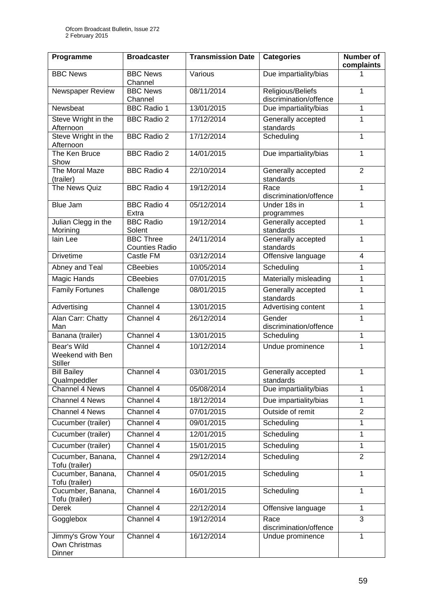| Programme                                         | <b>Broadcaster</b>                        | <b>Transmission Date</b> | <b>Categories</b>                           | Number of<br>complaints |
|---------------------------------------------------|-------------------------------------------|--------------------------|---------------------------------------------|-------------------------|
| <b>BBC News</b>                                   | <b>BBC News</b><br>Channel                | Various                  | Due impartiality/bias                       | 1                       |
| Newspaper Review                                  | <b>BBC News</b><br>Channel                | 08/11/2014               | Religious/Beliefs<br>discrimination/offence | 1                       |
| Newsbeat                                          | <b>BBC Radio 1</b>                        | 13/01/2015               | Due impartiality/bias                       | 1                       |
| Steve Wright in the<br>Afternoon                  | <b>BBC Radio 2</b>                        | 17/12/2014               | Generally accepted<br>standards             | 1                       |
| Steve Wright in the<br>Afternoon                  | <b>BBC Radio 2</b>                        | 17/12/2014               | Scheduling                                  | 1                       |
| The Ken Bruce<br>Show                             | <b>BBC Radio 2</b>                        | 14/01/2015               | Due impartiality/bias                       | $\mathbf{1}$            |
| The Moral Maze<br>(trailer)                       | <b>BBC Radio 4</b>                        | 22/10/2014               | Generally accepted<br>standards             | $\overline{2}$          |
| The News Quiz                                     | <b>BBC Radio 4</b>                        | 19/12/2014               | Race<br>discrimination/offence              | 1                       |
| <b>Blue Jam</b>                                   | <b>BBC Radio 4</b><br>Extra               | 05/12/2014               | Under 18s in<br>programmes                  | $\mathbf{1}$            |
| Julian Clegg in the<br>Morining                   | <b>BBC Radio</b><br>Solent                | 19/12/2014               | Generally accepted<br>standards             | 1                       |
| lain Lee                                          | <b>BBC Three</b><br><b>Counties Radio</b> | 24/11/2014               | Generally accepted<br>standards             | 1                       |
| <b>Drivetime</b>                                  | Castle FM                                 | 03/12/2014               | Offensive language                          | $\overline{4}$          |
| Abney and Teal                                    | <b>CBeebies</b>                           | 10/05/2014               | Scheduling                                  | 1                       |
| Magic Hands                                       | <b>CBeebies</b>                           | 07/01/2015               | Materially misleading                       | 1                       |
| <b>Family Fortunes</b>                            | Challenge                                 | 08/01/2015               | Generally accepted<br>standards             | 1                       |
| Advertising                                       | Channel 4                                 | 13/01/2015               | Advertising content                         | 1                       |
| Alan Carr: Chatty<br>Man                          | Channel 4                                 | 26/12/2014               | Gender<br>discrimination/offence            | 1                       |
| Banana (trailer)                                  | Channel 4                                 | 13/01/2015               | Scheduling                                  | $\mathbf{1}$            |
| Bear's Wild<br>Weekend with Ben<br><b>Stiller</b> | Channel 4                                 | 10/12/2014               | Undue prominence                            | 1                       |
| <b>Bill Bailey</b><br>Qualmpeddler                | Channel 4                                 | 03/01/2015               | Generally accepted<br>standards             | 1                       |
| Channel 4 News                                    | Channel 4                                 | 05/08/2014               | Due impartiality/bias                       | 1                       |
| Channel 4 News                                    | Channel 4                                 | 18/12/2014               | Due impartiality/bias                       | 1                       |
| Channel 4 News                                    | Channel 4                                 | 07/01/2015               | Outside of remit                            | $\overline{2}$          |
| Cucumber (trailer)                                | Channel 4                                 | 09/01/2015               | Scheduling                                  | 1                       |
| Cucumber (trailer)                                | Channel 4                                 | 12/01/2015               | Scheduling                                  | 1                       |
| Cucumber (trailer)                                | Channel 4                                 | 15/01/2015               | Scheduling                                  | $\mathbf{1}$            |
| Cucumber, Banana,<br>Tofu (trailer)               | Channel 4                                 | 29/12/2014               | Scheduling                                  | $\overline{2}$          |
| Cucumber, Banana,<br>Tofu (trailer)               | Channel 4                                 | 05/01/2015               | Scheduling                                  | 1                       |
| Cucumber, Banana,<br>Tofu (trailer)               | Channel 4                                 | 16/01/2015               | Scheduling                                  | 1                       |
| Derek                                             | Channel 4                                 | 22/12/2014               | Offensive language                          | $\mathbf{1}$            |
| Gogglebox                                         | Channel 4                                 | 19/12/2014               | Race<br>discrimination/offence              | 3                       |
| Jimmy's Grow Your<br>Own Christmas<br>Dinner      | Channel 4                                 | 16/12/2014               | Undue prominence                            | $\mathbf{1}$            |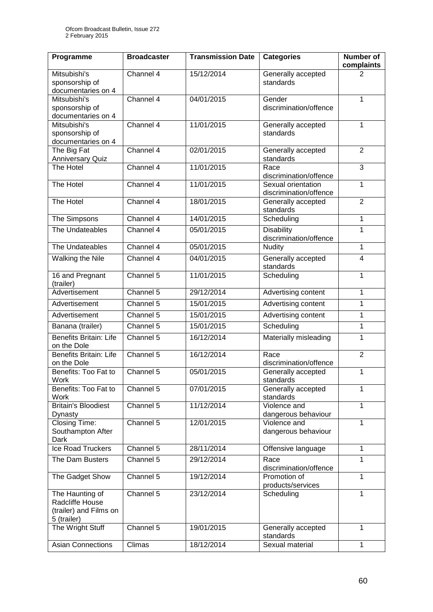| Programme                                                                   | <b>Broadcaster</b> | <b>Transmission Date</b> | <b>Categories</b>                            | <b>Number of</b><br>complaints |
|-----------------------------------------------------------------------------|--------------------|--------------------------|----------------------------------------------|--------------------------------|
| Mitsubishi's<br>sponsorship of<br>documentaries on 4                        | Channel 4          | 15/12/2014               | Generally accepted<br>standards              | 2                              |
| Mitsubishi's<br>sponsorship of<br>documentaries on 4                        | Channel 4          | 04/01/2015               | Gender<br>discrimination/offence             | 1                              |
| Mitsubishi's<br>sponsorship of<br>documentaries on 4                        | Channel 4          | 11/01/2015               | Generally accepted<br>standards              | 1                              |
| The Big Fat<br><b>Anniversary Quiz</b>                                      | Channel 4          | 02/01/2015               | Generally accepted<br>standards              | $\overline{2}$                 |
| The Hotel                                                                   | Channel 4          | 11/01/2015               | Race<br>discrimination/offence               | 3                              |
| The Hotel                                                                   | Channel 4          | 11/01/2015               | Sexual orientation<br>discrimination/offence | $\mathbf{1}$                   |
| The Hotel                                                                   | Channel 4          | 18/01/2015               | Generally accepted<br>standards              | $\overline{2}$                 |
| The Simpsons                                                                | Channel 4          | 14/01/2015               | Scheduling                                   | 1                              |
| The Undateables                                                             | Channel 4          | 05/01/2015               | <b>Disability</b><br>discrimination/offence  | 1                              |
| The Undateables                                                             | Channel 4          | 05/01/2015               | <b>Nudity</b>                                | 1                              |
| Walking the Nile                                                            | Channel 4          | 04/01/2015               | Generally accepted<br>standards              | $\overline{4}$                 |
| 16 and Pregnant<br>(trailer)                                                | Channel 5          | 11/01/2015               | Scheduling                                   | 1                              |
| Advertisement                                                               | Channel 5          | 29/12/2014               | Advertising content                          | 1                              |
| Advertisement                                                               | Channel 5          | 15/01/2015               | Advertising content                          | 1                              |
| Advertisement                                                               | Channel 5          | 15/01/2015               | Advertising content                          | 1                              |
| Banana (trailer)                                                            | Channel 5          | 15/01/2015               | Scheduling                                   | 1                              |
| <b>Benefits Britain: Life</b><br>on the Dole                                | Channel 5          | 16/12/2014               | Materially misleading                        | 1                              |
| <b>Benefits Britain: Life</b><br>on the Dole                                | Channel 5          | 16/12/2014               | Race<br>discrimination/offence               | $\overline{2}$                 |
| Benefits: Too Fat to<br>Work                                                | Channel 5          | 05/01/2015               | Generally accepted<br>standards              | 1                              |
| Benefits: Too Fat to<br>Work                                                | Channel 5          | 07/01/2015               | Generally accepted<br>standards              | 1                              |
| <b>Britain's Bloodiest</b><br>Dynasty                                       | Channel 5          | 11/12/2014               | Violence and<br>dangerous behaviour          | $\mathbf{1}$                   |
| Closing Time:<br>Southampton After<br>Dark                                  | Channel 5          | 12/01/2015               | Violence and<br>dangerous behaviour          | 1                              |
| Ice Road Truckers                                                           | Channel 5          | 28/11/2014               | Offensive language                           | 1                              |
| The Dam Busters                                                             | Channel 5          | 29/12/2014               | Race<br>discrimination/offence               | 1                              |
| The Gadget Show                                                             | Channel 5          | 19/12/2014               | Promotion of<br>products/services            | 1                              |
| The Haunting of<br>Radcliffe House<br>(trailer) and Films on<br>5 (trailer) | Channel 5          | 23/12/2014               | Scheduling                                   | 1                              |
| The Wright Stuff                                                            | Channel 5          | 19/01/2015               | Generally accepted<br>standards              | 1                              |
| <b>Asian Connections</b>                                                    | Climas             | 18/12/2014               | Sexual material                              | $\mathbf{1}$                   |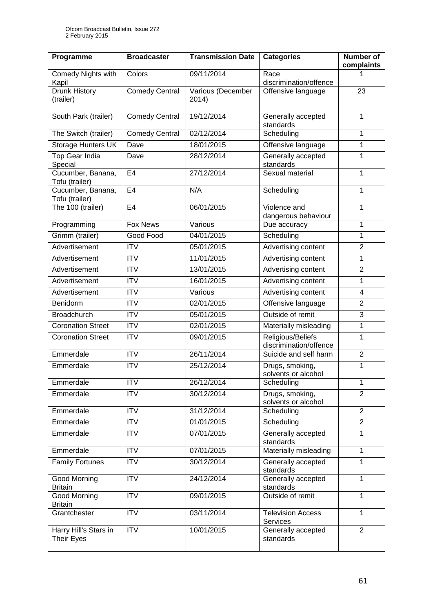| Programme                                  | <b>Broadcaster</b>    | <b>Transmission Date</b>   | <b>Categories</b>                           | <b>Number of</b><br>complaints |
|--------------------------------------------|-----------------------|----------------------------|---------------------------------------------|--------------------------------|
| Comedy Nights with<br>Kapil                | Colors                | 09/11/2014                 | Race<br>discrimination/offence              | 1                              |
| Drunk History<br>(trailer)                 | <b>Comedy Central</b> | Various (December<br>2014) | Offensive language                          | 23                             |
| South Park (trailer)                       | Comedy Central        | 19/12/2014                 | Generally accepted<br>standards             | $\mathbf{1}$                   |
| The Switch (trailer)                       | <b>Comedy Central</b> | 02/12/2014                 | Scheduling                                  | 1                              |
| Storage Hunters UK                         | Dave                  | 18/01/2015                 | Offensive language                          | $\mathbf{1}$                   |
| <b>Top Gear India</b><br>Special           | Dave                  | 28/12/2014                 | Generally accepted<br>standards             | 1                              |
| Cucumber, Banana,<br>Tofu (trailer)        | E <sub>4</sub>        | 27/12/2014                 | Sexual material                             | 1                              |
| Cucumber, Banana,<br>Tofu (trailer)        | E <sub>4</sub>        | N/A                        | Scheduling                                  | 1                              |
| The 100 (trailer)                          | E <sub>4</sub>        | 06/01/2015                 | Violence and<br>dangerous behaviour         | 1                              |
| Programming                                | <b>Fox News</b>       | Various                    | Due accuracy                                | 1                              |
| Grimm (trailer)                            | Good Food             | 04/01/2015                 | Scheduling                                  | $\mathbf{1}$                   |
| Advertisement                              | <b>ITV</b>            | 05/01/2015                 | Advertising content                         | $\overline{2}$                 |
| Advertisement                              | <b>ITV</b>            | 11/01/2015                 | Advertising content                         | 1                              |
| Advertisement                              | <b>ITV</b>            | 13/01/2015                 | Advertising content                         | $\overline{2}$                 |
| Advertisement                              | $\overline{ITV}$      | 16/01/2015                 | Advertising content                         | 1                              |
| Advertisement                              | <b>ITV</b>            | Various                    | Advertising content                         | 4                              |
| Benidorm                                   | <b>ITV</b>            | 02/01/2015                 | Offensive language                          | $\overline{2}$                 |
| <b>Broadchurch</b>                         | <b>ITV</b>            | 05/01/2015                 | Outside of remit                            | 3                              |
| <b>Coronation Street</b>                   | <b>ITV</b>            | 02/01/2015                 | Materially misleading                       | $\mathbf{1}$                   |
| <b>Coronation Street</b>                   | <b>ITV</b>            | 09/01/2015                 | Religious/Beliefs<br>discrimination/offence | 1                              |
| Emmerdale                                  | ITV                   | 26/11/2014                 | Suicide and self harm                       | $\overline{2}$                 |
| Emmerdale                                  | <b>ITV</b>            | 25/12/2014                 | Drugs, smoking,<br>solvents or alcohol      | 1                              |
| Emmerdale                                  | <b>ITV</b>            | 26/12/2014                 | Scheduling                                  | 1                              |
| Emmerdale                                  | <b>ITV</b>            | 30/12/2014                 | Drugs, smoking,<br>solvents or alcohol      | $\overline{2}$                 |
| Emmerdale                                  | $\overline{IV}$       | 31/12/2014                 | Scheduling                                  | $\overline{2}$                 |
| Emmerdale                                  | <b>ITV</b>            | 01/01/2015                 | Scheduling                                  | $\overline{2}$                 |
| Emmerdale                                  | $\overline{IV}$       | 07/01/2015                 | Generally accepted<br>standards             | 1                              |
| Emmerdale                                  | <b>ITV</b>            | 07/01/2015                 | Materially misleading                       | $\mathbf{1}$                   |
| <b>Family Fortunes</b>                     | <b>ITV</b>            | 30/12/2014                 | Generally accepted<br>standards             | $\mathbf{1}$                   |
| <b>Good Morning</b><br><b>Britain</b>      | <b>ITV</b>            | 24/12/2014                 | Generally accepted<br>standards             | $\mathbf{1}$                   |
| <b>Good Morning</b><br><b>Britain</b>      | <b>ITV</b>            | 09/01/2015                 | Outside of remit                            | 1                              |
| Grantchester                               | <b>ITV</b>            | 03/11/2014                 | <b>Television Access</b><br>Services        | $\mathbf{1}$                   |
| Harry Hill's Stars in<br><b>Their Eyes</b> | <b>ITV</b>            | 10/01/2015                 | Generally accepted<br>standards             | $\overline{2}$                 |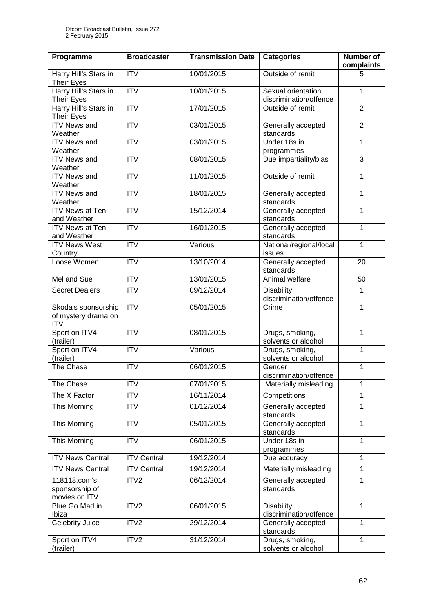| Programme                                                | <b>Broadcaster</b>      | <b>Transmission Date</b> | <b>Categories</b>                            | <b>Number of</b><br>complaints |
|----------------------------------------------------------|-------------------------|--------------------------|----------------------------------------------|--------------------------------|
| Harry Hill's Stars in<br><b>Their Eyes</b>               | <b>ITV</b>              | 10/01/2015               | Outside of remit                             | 5                              |
| Harry Hill's Stars in<br><b>Their Eyes</b>               | <b>ITV</b>              | 10/01/2015               | Sexual orientation<br>discrimination/offence | $\mathbf{1}$                   |
| Harry Hill's Stars in<br>Their Eyes                      | $\overline{\text{IV}}$  | 17/01/2015               | Outside of remit                             | $\overline{2}$                 |
| <b>ITV News and</b><br>Weather                           | $\overline{ITV}$        | 03/01/2015               | Generally accepted<br>standards              | $\overline{2}$                 |
| <b>ITV News and</b><br>Weather                           | $\overline{\text{ITV}}$ | 03/01/2015               | Under 18s in<br>programmes                   | $\mathbf 1$                    |
| <b>ITV News and</b><br>Weather                           | $\overline{\text{ITV}}$ | 08/01/2015               | Due impartiality/bias                        | $\overline{3}$                 |
| <b>ITV News and</b><br>Weather                           | $\overline{ITV}$        | 11/01/2015               | Outside of remit                             | 1                              |
| <b>ITV News and</b><br>Weather                           | <b>ITV</b>              | 18/01/2015               | Generally accepted<br>standards              | $\mathbf{1}$                   |
| <b>ITV News at Ten</b><br>and Weather                    | <b>ITV</b>              | 15/12/2014               | Generally accepted<br>standards              | 1                              |
| <b>ITV News at Ten</b><br>and Weather                    | $\overline{ITV}$        | 16/01/2015               | Generally accepted<br>standards              | 1                              |
| <b>ITV News West</b><br>Country                          | <b>ITV</b>              | Various                  | National/regional/local<br>issues            | $\mathbf{1}$                   |
| Loose Women                                              | $\overline{ITV}$        | 13/10/2014               | Generally accepted<br>standards              | 20                             |
| Mel and Sue                                              | <b>ITV</b>              | 13/01/2015               | Animal welfare                               | 50                             |
| <b>Secret Dealers</b>                                    | <b>ITV</b>              | 09/12/2014               | <b>Disability</b><br>discrimination/offence  | 1                              |
| Skoda's sponsorship<br>of mystery drama on<br><b>ITV</b> | $\overline{ITV}$        | 05/01/2015               | Crime                                        | 1                              |
| Sport on ITV4<br>(trailer)                               | $\overline{ITV}$        | 08/01/2015               | Drugs, smoking,<br>solvents or alcohol       | $\overline{1}$                 |
| Sport on ITV4<br>(trailer)                               | $\overline{ITV}$        | Various                  | Drugs, smoking,<br>solvents or alcohol       | 1                              |
| The Chase                                                | <b>ITV</b>              | 06/01/2015               | Gender<br>discrimination/offence             | $\mathbf{1}$                   |
| The Chase                                                | <b>ITV</b>              | 07/01/2015               | Materially misleading                        | 1                              |
| The X Factor                                             | <b>ITV</b>              | 16/11/2014               | Competitions                                 | 1                              |
| This Morning                                             | $\overline{ITV}$        | 01/12/2014               | Generally accepted<br>standards              | 1                              |
| This Morning                                             | $\overline{IV}$         | 05/01/2015               | Generally accepted<br>standards              | $\overline{1}$                 |
| This Morning                                             | <b>ITV</b>              | 06/01/2015               | Under 18s in<br>programmes                   | $\mathbf{1}$                   |
| <b>ITV News Central</b>                                  | <b>ITV Central</b>      | 19/12/2014               | Due accuracy                                 | $\mathbf{1}$                   |
| <b>ITV News Central</b>                                  | <b>ITV Central</b>      | 19/12/2014               | Materially misleading                        | 1                              |
| 118118.com's<br>sponsorship of<br>movies on ITV          | ITV2                    | 06/12/2014               | Generally accepted<br>standards              | $\mathbf{1}$                   |
| Blue Go Mad in<br>Ibiza                                  | ITV2                    | 06/01/2015               | Disability<br>discrimination/offence         | $\mathbf{1}$                   |
| <b>Celebrity Juice</b>                                   | ITV2                    | 29/12/2014               | Generally accepted<br>standards              | $\mathbf{1}$                   |
| Sport on ITV4<br>(trailer)                               | ITV2                    | 31/12/2014               | Drugs, smoking,<br>solvents or alcohol       | $\mathbf{1}$                   |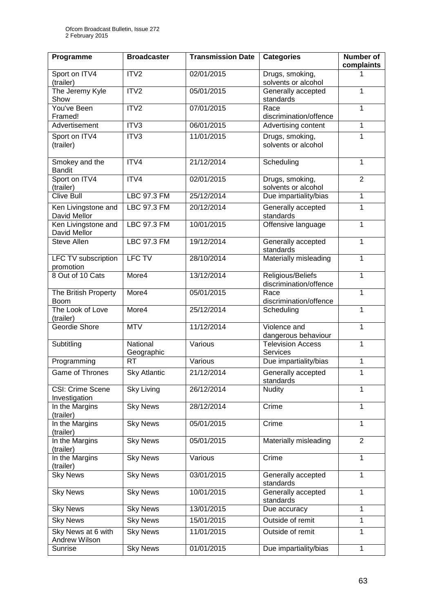| Programme                                | <b>Broadcaster</b>     | <b>Transmission Date</b> | <b>Categories</b>                           | Number of<br>complaints |
|------------------------------------------|------------------------|--------------------------|---------------------------------------------|-------------------------|
| Sport on ITV4<br>(trailer)               | ITV2                   | 02/01/2015               | Drugs, smoking,<br>solvents or alcohol      | 1                       |
| The Jeremy Kyle<br>Show                  | ITV2                   | 05/01/2015               | Generally accepted<br>standards             | 1                       |
| You've Been<br>Framed!                   | ITV2                   | 07/01/2015               | Race<br>discrimination/offence              | 1                       |
| Advertisement                            | ITV3                   | 06/01/2015               | Advertising content                         | 1                       |
| Sport on ITV4<br>(trailer)               | ITV3                   | 11/01/2015               | Drugs, smoking,<br>solvents or alcohol      | 1                       |
| Smokey and the<br><b>Bandit</b>          | ITV4                   | 21/12/2014               | Scheduling                                  | $\mathbf{1}$            |
| Sport on ITV4<br>(trailer)               | ITV4                   | 02/01/2015               | Drugs, smoking,<br>solvents or alcohol      | $\overline{2}$          |
| <b>Clive Bull</b>                        | <b>LBC 97.3 FM</b>     | 25/12/2014               | Due impartiality/bias                       | $\mathbf{1}$            |
| Ken Livingstone and<br>David Mellor      | LBC 97.3 FM            | 20/12/2014               | Generally accepted<br>standards             | 1                       |
| Ken Livingstone and<br>David Mellor      | <b>LBC 97.3 FM</b>     | 10/01/2015               | Offensive language                          | 1                       |
| Steve Allen                              | LBC 97.3 FM            | 19/12/2014               | Generally accepted<br>standards             | 1                       |
| LFC TV subscription<br>promotion         | <b>LFC TV</b>          | 28/10/2014               | Materially misleading                       | $\mathbf{1}$            |
| 8 Out of 10 Cats                         | More4                  | 13/12/2014               | Religious/Beliefs<br>discrimination/offence | $\overline{1}$          |
| The British Property<br><b>Boom</b>      | More4                  | 05/01/2015               | Race<br>discrimination/offence              | 1                       |
| The Look of Love<br>(trailer)            | More4                  | 25/12/2014               | Scheduling                                  | $\mathbf{1}$            |
| Geordie Shore                            | <b>MTV</b>             | 11/12/2014               | Violence and<br>dangerous behaviour         | $\mathbf{1}$            |
| Subtitling                               | National<br>Geographic | Various                  | <b>Television Access</b><br>Services        | 1                       |
| Programming                              | <b>RT</b>              | Various                  | Due impartiality/bias                       | 1                       |
| Game of Thrones                          | <b>Sky Atlantic</b>    | 21/12/2014               | Generally accepted<br>standards             | 1                       |
| <b>CSI: Crime Scene</b><br>Investigation | <b>Sky Living</b>      | 26/12/2014               | Nudity                                      | 1                       |
| In the Margins<br>(trailer)              | <b>Sky News</b>        | 28/12/2014               | Crime                                       | $\overline{1}$          |
| In the Margins<br>(trailer)              | <b>Sky News</b>        | 05/01/2015               | Crime                                       | $\mathbf{1}$            |
| In the Margins<br>(trailer)              | <b>Sky News</b>        | 05/01/2015               | Materially misleading                       | $\overline{2}$          |
| In the Margins<br>(trailer)              | <b>Sky News</b>        | Various                  | Crime                                       | $\mathbf{1}$            |
| <b>Sky News</b>                          | <b>Sky News</b>        | 03/01/2015               | Generally accepted<br>standards             | $\mathbf{1}$            |
| <b>Sky News</b>                          | <b>Sky News</b>        | 10/01/2015               | Generally accepted<br>standards             | $\mathbf{1}$            |
| <b>Sky News</b>                          | <b>Sky News</b>        | 13/01/2015               | Due accuracy                                | $\mathbf{1}$            |
| <b>Sky News</b>                          | <b>Sky News</b>        | 15/01/2015               | Outside of remit                            | 1                       |
| Sky News at 6 with                       | <b>Sky News</b>        | 11/01/2015               | Outside of remit                            | $\mathbf{1}$            |
| Andrew Wilson<br>Sunrise                 | <b>Sky News</b>        | 01/01/2015               | Due impartiality/bias                       | $\mathbf{1}$            |
|                                          |                        |                          |                                             |                         |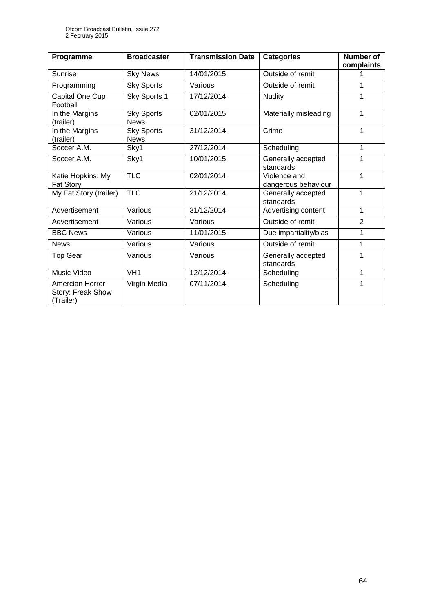| Programme                                         | <b>Broadcaster</b>               | <b>Transmission Date</b> | <b>Categories</b>                   | <b>Number of</b><br>complaints |
|---------------------------------------------------|----------------------------------|--------------------------|-------------------------------------|--------------------------------|
| Sunrise                                           | <b>Sky News</b>                  | 14/01/2015               | Outside of remit                    |                                |
| Programming                                       | <b>Sky Sports</b>                | Various                  | Outside of remit                    | 1                              |
| Capital One Cup<br>Football                       | Sky Sports 1                     | 17/12/2014               | <b>Nudity</b>                       | 1                              |
| In the Margins<br>(trailer)                       | <b>Sky Sports</b><br><b>News</b> | 02/01/2015               | Materially misleading               | 1                              |
| In the Margins<br>(trailer)                       | <b>Sky Sports</b><br><b>News</b> | 31/12/2014               | Crime                               | 1                              |
| Soccer A.M.                                       | Sky1                             | 27/12/2014               | Scheduling                          | 1                              |
| Soccer A.M.                                       | Sky1                             | 10/01/2015               | Generally accepted<br>standards     | 1                              |
| Katie Hopkins: My<br>Fat Story                    | <b>TLC</b>                       | 02/01/2014               | Violence and<br>dangerous behaviour | 1                              |
| My Fat Story (trailer)                            | <b>TLC</b>                       | 21/12/2014               | Generally accepted<br>standards     | 1                              |
| Advertisement                                     | Various                          | 31/12/2014               | Advertising content                 | 1                              |
| Advertisement                                     | Various                          | Various                  | Outside of remit                    | $\overline{2}$                 |
| <b>BBC News</b>                                   | Various                          | 11/01/2015               | Due impartiality/bias               | 1                              |
| <b>News</b>                                       | Various                          | Various                  | Outside of remit                    | 1                              |
| <b>Top Gear</b>                                   | Various                          | Various                  | Generally accepted<br>standards     | 1                              |
| Music Video                                       | VH <sub>1</sub>                  | 12/12/2014               | Scheduling                          | 1                              |
| Amercian Horror<br>Story: Freak Show<br>(Trailer) | Virgin Media                     | 07/11/2014               | Scheduling                          | 1                              |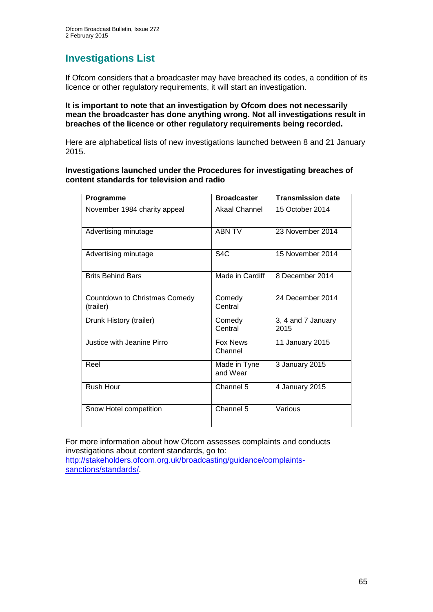## **Investigations List**

If Ofcom considers that a broadcaster may have breached its codes, a condition of its licence or other regulatory requirements, it will start an investigation.

#### **It is important to note that an investigation by Ofcom does not necessarily mean the broadcaster has done anything wrong. Not all investigations result in breaches of the licence or other regulatory requirements being recorded.**

Here are alphabetical lists of new investigations launched between 8 and 21 January 2015.

**Investigations launched under the Procedures for investigating breaches of content standards for television and radio**

| Programme                                  | <b>Broadcaster</b>         | <b>Transmission date</b>   |
|--------------------------------------------|----------------------------|----------------------------|
| November 1984 charity appeal               | Akaal Channel              | 15 October 2014            |
| Advertising minutage                       | <b>ABN TV</b>              | 23 November 2014           |
| Advertising minutage                       | S <sub>4</sub> C           | 15 November 2014           |
| <b>Brits Behind Bars</b>                   | Made in Cardiff            | 8 December 2014            |
| Countdown to Christmas Comedy<br>(trailer) | Comedy<br>Central          | 24 December 2014           |
| Drunk History (trailer)                    | Comedy<br>Central          | 3, 4 and 7 January<br>2015 |
| Justice with Jeanine Pirro                 | <b>Fox News</b><br>Channel | 11 January 2015            |
| Reel                                       | Made in Tyne<br>and Wear   | 3 January 2015             |
| Rush Hour                                  | Channel 5                  | 4 January 2015             |
| Snow Hotel competition                     | Channel 5                  | Various                    |

For more information about how Ofcom assesses complaints and conducts investigations about content standards, go to: [http://stakeholders.ofcom.org.uk/broadcasting/guidance/complaints-](http://stakeholders.ofcom.org.uk/broadcasting/guidance/complaints-sanctions/standards/)

[sanctions/standards/.](http://stakeholders.ofcom.org.uk/broadcasting/guidance/complaints-sanctions/standards/)